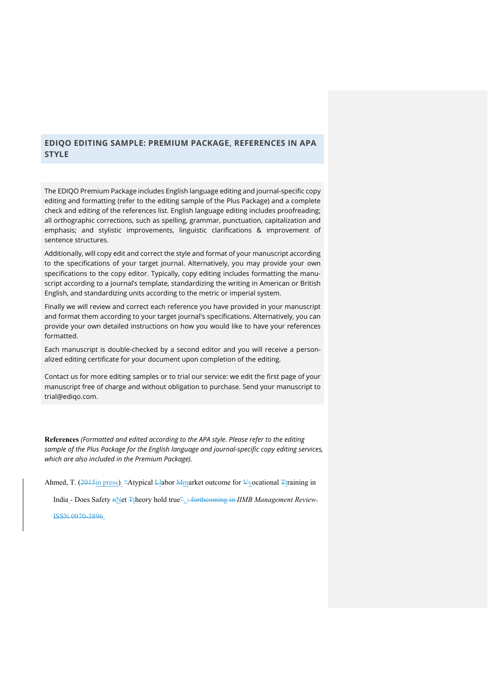## **EDIQO EDITING SAMPLE: PREMIUM PACKAGE, REFERENCES IN APA STYLE**

The EDIQO Premium Package includes English language editing and journal-specific copy editing and formatting (refer to the editing sample of the Plus Package) and a complete check and editing of the references list. English language editing includes proofreading; all orthographic corrections, such as spelling, grammar, punctuation, capitalization and emphasis; and stylistic improvements, linguistic clarifications & improvement of sentence structures.

Additionally, will copy edit and correct the style and format of your manuscript according to the specifications of your target journal. Alternatively, you may provide your own specifications to the copy editor. Typically, copy editing includes formatting the manuscript according to a journal's template, standardizing the writing in American or British English, and standardizing units according to the metric or imperial system.

Finally we will review and correct each reference you have provided in your manuscript and format them according to your target journal's specifications. Alternatively, you can provide your own detailed instructions on how you would like to have your references formatted.

Each manuscript is double-checked by a second editor and you will receive a personalized editing certificate for your document upon completion of the editing.

Contact us for more editing samples or to trial our service: we edit the first page of your manuscript free of charge and without obligation to purchase. Send your manuscript to trial@ediqo.com.

**References** *(Formatted and edited according to the APA style. Please refer to the editing sample of the Plus Package for the English language and journal-specific copy editing services, which are also included in the Premium Package).*

Ahmed, T. (2015in press). "Atypical Llabor Mmarket outcome for Vvocational Ttraining in

India - Does Safety nNet Ttheory hold true". : forthcoming in *IIMB Management Review*,

ISSN 0970-3896.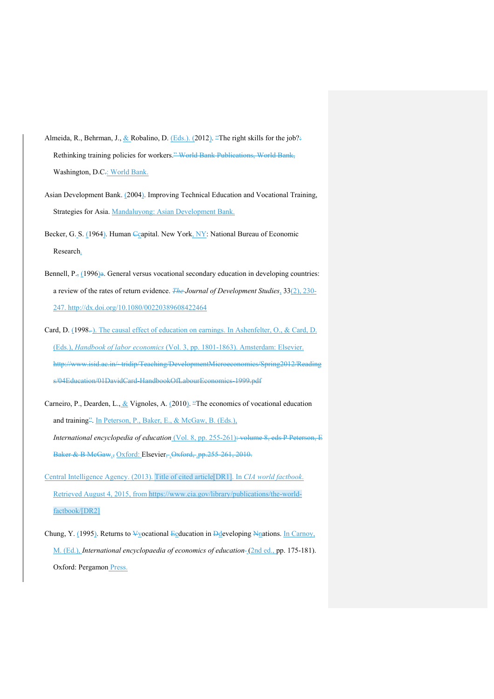- Almeida, R., Behrman, J., & Robalino, D. (Eds.). (2012). "The right skills for the job?: Rethinking training policies for workers." World Bank Publications, World Bank, Washington, D-C-: World Bank.
- Asian Development Bank. (2004). Improving Technical Education and Vocational Training, Strategies for Asia. Mandaluyong: Asian Development Bank.
- Becker, G. S. (1964). Human Ccapital. New York, NY: National Bureau of Economic Research.
- Bennell,  $P_{.5}$  (1996)a. General versus vocational secondary education in developing countries: a review of the rates of return evidence. *The Journal of Development Studies*, 33(2), 230- 247. http://dx.doi.org/10.1080/00220389608422464
- Card, D. (1998-). The causal effect of education on earnings. In Ashenfelter, O., & Card, D. (Eds.), *Handbook of labor economics* (Vol. 3, pp. 1801-1863). Amsterdam: Elsevier. http://www.isid.ac.in/~tridip/Teaching/DevelopmentMicroeconomics/Spring2012/Reading s/04Education/01DavidCard-HandbookOfLabourEconomics-1999.pdf
- Carneiro, P., Dearden, L., & Vignoles, A. (2010). "The economics of vocational education and training<sup>22</sup>. In Peterson, P., Baker, E., & McGaw, B. (Eds.), *International encyclopedia of education* (Vol. 8, pp. 255-261): volume 8, eds P Peterson, E Baker & B McGaw., Oxford: Elsevier, Oxford, .pp.255-261, 2010.
- Central Intelligence Agency. (2013). Title of cited article[DR1]. In *CIA world factbook*. Retrieved August 4, 2015, from https://www.cia.gov/library/publications/the-worldfactbook/[DR2]
- Chung, Y. (1995). Returns to  $\frac{1}{2}$ vocational Eeducation in Ddeveloping Nnations. In Carnoy, M. (Ed.), *International encyclopaedia of economics of education* (2nd ed., pp. 175-181). Oxford: Pergamon Press.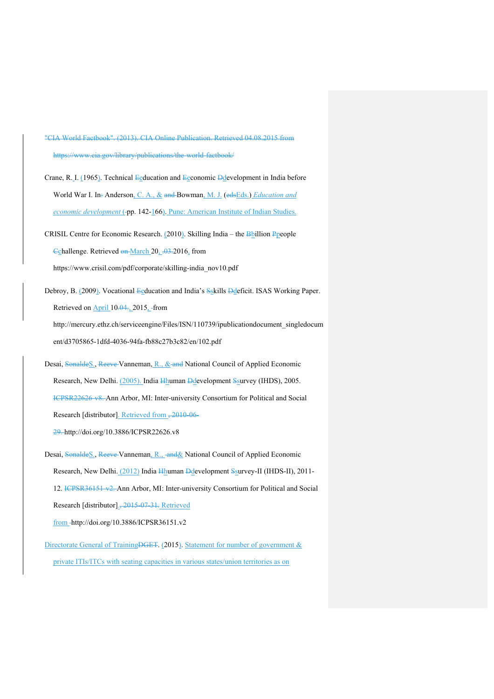"CIA World Factbook". (2013). CIA Online Publication. Retrieved 04.08.2015 from https://www.cia.gov/library/publications/the-world-factbook/

Crane, R. I. (1965). Technical Eeducation and Eeconomic Ddevelopment in India before World War I. In: Anderson, C. A., & and Bowman, M. J. (edsEds.) *Education and economic development* (-pp. 142-166). Pune: American Institute of Indian Studies.

- CRISIL Centre for Economic Research. (2010). Skilling India the Bbillion Ppeople Cchallenge. Retrieved on March 20, .03.2016, from https://www.crisil.com/pdf/corporate/skilling-india\_nov10.pdf
- Debroy, B. (2009). Vocational Eeducation and India's Sskills Ddeficit. ISAS Working Paper. Retrieved on April 10.04., 2015, from

http://mercury.ethz.ch/serviceengine/Files/ISN/110739/ipublicationdocument\_singledocum ent/d3705865-1dfd-4036-94fa-fb88c27b3c82/en/102.pdf

Desai, SonaldeS., Reeve-Vanneman, R., & and National Council of Applied Economic Research, New Delhi. (2005). India Hhuman Ddevelopment Ssurvey (IHDS), 2005. ICPSR22626-v8. Ann Arbor, MI: Inter-university Consortium for Political and Social Research [distributor]. Retrieved from , 2010-06-

29. http://doi.org/10.3886/ICPSR22626.v8

- Desai, SonaldeS., Reeve Vanneman, R., and & National Council of Applied Economic Research, New Delhi. (2012) India Hhuman Ddevelopment Ssurvey-II (IHDS-II), 2011- 12. ICPSR36151-v2. Ann Arbor, MI: Inter-university Consortium for Political and Social Research [distributor]., 2015-07-31*.* Retrieved from http://doi.org/10.3886/ICPSR36151.v2
- Directorate General of Training<del>DGET</del>. (2015). Statement for number of government & private ITIs/ITCs with seating capacities in various states/union territories as on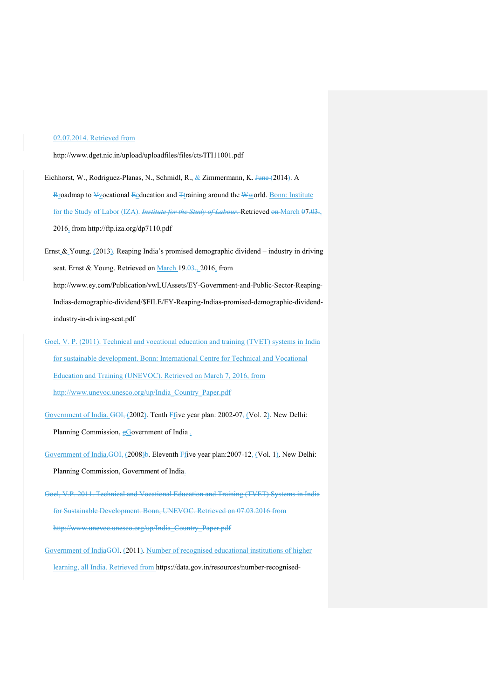## 02.07.2014. Retrieved from

http://www.dget.nic.in/upload/uploadfiles/files/cts/ITI11001.pdf

- Eichhorst, W., Rodriguez-Planas, N., Schmidl, R., & Zimmermann, K. June (2014). A Rroadmap to ¥vocational Eeducation and Ttraining around the Wworld. Bonn: Institute for the Study of Labor (IZA). *Institute for the Study of Labour*. Retrieved on March 07.03., 2016, from http://ftp.iza.org/dp7110.pdf
- Ernst & Young. (2013). Reaping India's promised demographic dividend industry in driving seat. Ernst & Young. Retrieved on March 19.03., 2016, from http://www.ey.com/Publication/vwLUAssets/EY-Government-and-Public-Sector-Reaping-Indias-demographic-dividend/\$FILE/EY-Reaping-Indias-promised-demographic-dividend-

industry-in-driving-seat.pdf

Goel, V. P. (2011). Technical and vocational education and training (TVET) systems in India for sustainable development. Bonn: International Centre for Technical and Vocational Education and Training (UNEVOC). Retrieved on March 7, 2016, from http://www.unevoc.unesco.org/up/India\_Country\_Paper.pdf

Government of India. GOI, (2002). Tenth Ffive year plan: 2002-07, (Vol. 2). New Delhi:

Planning Commission,  $g$ Government of India .

Government of India.<del>GOI,</del> (2008)b. Eleventh Ffive year plan:2007-12, (Vol. 1). New Delhi: Planning Commission, Government of India.

- Goel, V.P. 2011. Technical and Vocational Education and Training (TVET) Systems in India for Sustainable Development. Bonn, UNEVOC. Retrieved on 07.03.2016 from http://www.unevoc.unesco.org/up/India\_Country\_Paper.pdf
- Government of IndiaGOI. (2011). Number of recognised educational institutions of higher learning, all India. Retrieved from https://data.gov.in/resources/number-recognised-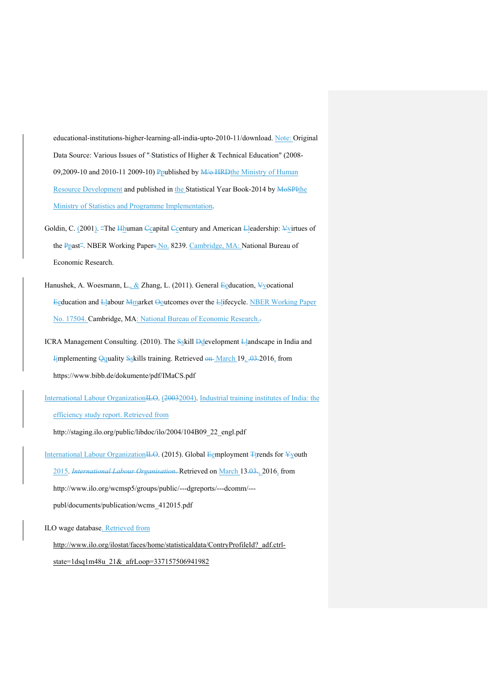educational-institutions-higher-learning-all-india-upto-2010-11/download. Note: Original Data Source: Various Issues of "-Statistics of Higher & Technical Education" (2008-09,2009-10 and 2010-11 2009-10) Ppublished by M/o HRDthe Ministry of Human Resource Development and published in the Statistical Year Book-2014 by MoSPIthe Ministry of Statistics and Programme Implementation.

- Goldin, C. (2001). "The Hhuman Ccapital Ccentury and American Lleadership: Vvirtues of the Ppast<sup>2</sup>. NBER Working Papers No. 8239. Cambridge, MA: National Bureau of Economic Research.
- Hanushek, A. Woesmann, L., & Zhang, L. (2011). General Eeducation, Vyocational Eeducation and Llabour Mmarket Ooutcomes over the Llifecycle. NBER Working Paper No. 17504. Cambridge, MA: National Bureau of Economic Research..
- ICRA Management Consulting. (2010). The Sskill Ddevelopment Llandscape in India and Implementing Qquality Sskills training. Retrieved  $\theta$  March 19, .03.2016, from https://www.bibb.de/dokumente/pdf/IMaCS.pdf

International Labour OrganizationILO. (20032004). Industrial training institutes of India: the efficiency study report. Retrieved from

http://staging.ilo.org/public/libdoc/ilo/2004/104B09\_22\_engl.pdf

International Labour OrganizationILO. (2015). Global Eemployment Ttrends for Yyouth 2015. *International Labour Organisation*. Retrieved on March 13.03., 2016, from http://www.ilo.org/wcmsp5/groups/public/---dgreports/---dcomm/-- publ/documents/publication/wcms\_412015.pdf

ILO wage database. Retrieved from

http://www.ilo.org/ilostat/faces/home/statisticaldata/ContryProfileId?\_adf.ctrlstate=1dsq1m48u\_21&\_afrLoop=337157506941982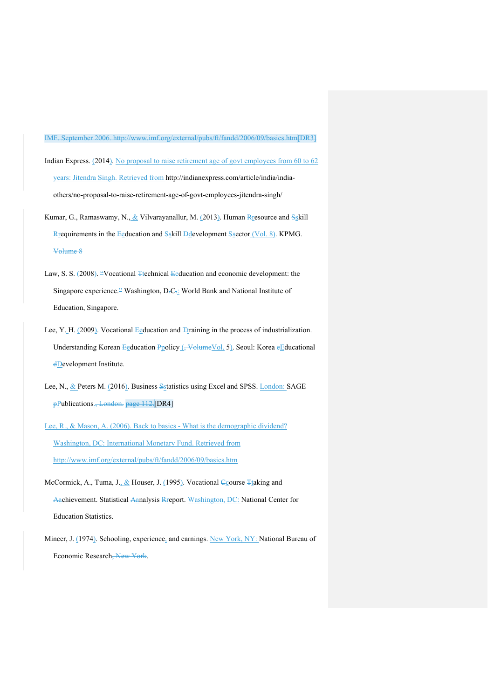IMF. September 2006. http://www.imf.org/external/pubs/ft/fandd/2006/09/basics.htm[DR3]

Indian Express. (2014). No proposal to raise retirement age of govt employees from 60 to 62 years: Jitendra Singh. Retrieved from http://indianexpress.com/article/india/indiaothers/no-proposal-to-raise-retirement-age-of-govt-employees-jitendra-singh/

- Kumar, G., Ramaswamy, N.,  $&$  Vilvarayanallur, M. (2013). Human Rresource and Sskill Rrequirements in the Eeducation and Sskill Ddevelopment Ssector (Vol. 8). KPMG. Volume 8
- Law, S. S. (2008). "Vocational Ttechnical Eeducation and economic development: the Singapore experience.<sup>2</sup> Washington, D.C.: World Bank and National Institute of Education, Singapore.
- Lee, Y. H. (2009). Vocational Eeducation and  $F_{\text{training}}$  in the process of industrialization. Understanding Korean Eeducation Ppolicy (, Volume Vol. 5). Seoul: Korea eEducational dDevelopment Institute.
- Lee, N., & Peters M. (2016). Business Sstatistics using Excel and SPSS. London: SAGE pPublications., London. page 112. [DR4]
- Lee, R., & Mason, A. (2006). Back to basics What is the demographic dividend? Washington, DC: International Monetary Fund. Retrieved from http://www.imf.org/external/pubs/ft/fandd/2006/09/basics.htm
- McCormick, A., Tuma, J., & Houser, J. (1995). Vocational Course Ttaking and Aachievement. Statistical Aanalysis Rreport. Washington, DC: National Center for Education Statistics.
- Mincer, J. (1974). Schooling, experience, and earnings. New York, NY: National Bureau of Economic Research, New York.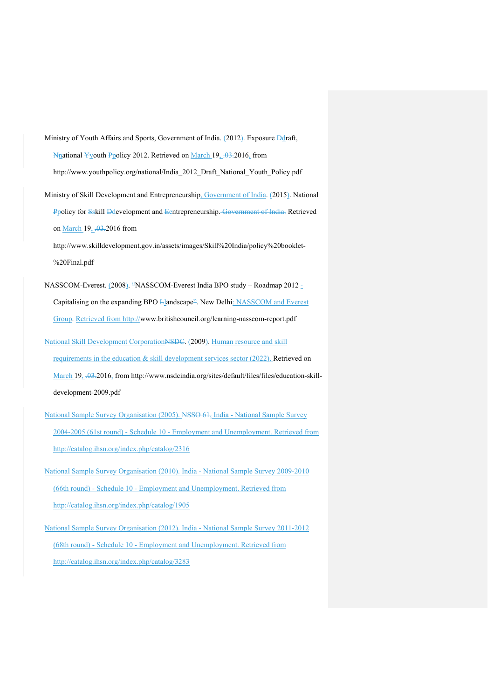Ministry of Youth Affairs and Sports, Government of India. (2012). Exposure Ddraft,  $N_{\text{mational}}$  Yyouth Ppolicy 2012. Retrieved on March 19, ... 03.2016, from http://www.youthpolicy.org/national/India\_2012\_Draft\_National\_Youth\_Policy.pdf

Ministry of Skill Development and Entrepreneurship, Government of India. (2015). National Ppolicy for Sskill Ddevelopment and Eentrepreneurship. Government of India. Retrieved on March 19, .03.2016 from

http://www.skilldevelopment.gov.in/assets/images/Skill%20India/policy%20booklet- %20Final.pdf

NASSCOM-Everest. (2008). "NASSCOM-Everest India BPO study – Roadmap 2012 - Capitalising on the expanding BPO Llandscape<sup>2</sup>. New Delhi: NASSCOM and Everest Group. Retrieved from http://www.britishcouncil.org/learning-nasscom-report.pdf

- National Skill Development CorporationNSDC. (2009). Human resource and skill requirements in the education & skill development services sector (2022). Retrieved on March 19, .03.2016, from http://www.nsdcindia.org/sites/default/files/files/education-skilldevelopment-2009.pdf
- National Sample Survey Organisation (2005). NSSO 61, India National Sample Survey 2004-2005 (61st round) - Schedule 10 - Employment and Unemployment. Retrieved from http://catalog.ihsn.org/index.php/catalog/2316

National Sample Survey Organisation (2010). India - National Sample Survey 2009-2010 (66th round) - Schedule 10 - Employment and Unemployment. Retrieved from http://catalog.ihsn.org/index.php/catalog/1905

National Sample Survey Organisation (2012). India - National Sample Survey 2011-2012 (68th round) - Schedule 10 - Employment and Unemployment. Retrieved from http://catalog.ihsn.org/index.php/catalog/3283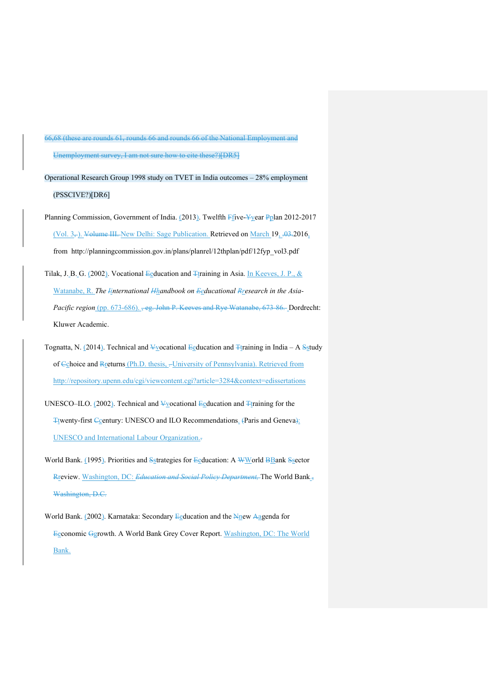66,68 (these are rounds 61, rounds 66 and rounds 66 of the National Employment and Unemployment survey, I am not sure how to cite these?)<sup>[DR5]</sup>

Operational Research Group 1998 study on TVET in India outcomes – 28% employment (PSSCIVE?)[DR6]

Planning Commission, Government of India. (2013). Twelfth Ffive-Yyear Pplan 2012-2017 (Vol.  $3_{\overline{7}}$ ). Volume III. New Delhi: Sage Publication. Retrieved on March 19, .03.2016, from http://planningcommission.gov.in/plans/planrel/12thplan/pdf/12fyp\_vol3.pdf

Tilak, J. B. G. (2002). Vocational Eeducation and Ttraining in Asia. In Keeves, J. P., & Watanabe, R. *The Iinternational Hhandbook on Eeducational Rresearch in the Asia-Pacific region* (pp. 673-686). <del>, eg. John P. Keeves and Rye Watanabe, 673-86.</del> Dordrecht: Kluwer Academic.

Tognatta, N. (2014). Technical and  $\frac{1}{2}$ vocational  $\frac{1}{2}$ education and  $\frac{1}{2}$ training in India – A Sstudy of Cchoice and Rreturns (Ph.D. thesis, -University of Pennsylvania). Retrieved from http://repository.upenn.edu/cgi/viewcontent.cgi?article=3284&context=edissertations

UNESCO–ILO. (2002). Technical and  $\frac{1}{2}$ vocational  $\frac{1}{2}$ education and  $\frac{1}{2}$ training for the Twenty-first Contury: UNESCO and ILO Recommendations. (Paris and Geneva): UNESCO and International Labour Organization..

World Bank. (1995). Priorities and Sstrategies for Eeducation: A WWorld BBank Ssector Rreview. Washington, DC: *Education and Social Policy Department,* The World Bank., Washington, D.C.

World Bank. (2002). Karnataka: Secondary Eeducation and the Nnew Aagenda for Eeconomic Ggrowth. A World Bank Grey Cover Report. Washington, DC: The World Bank.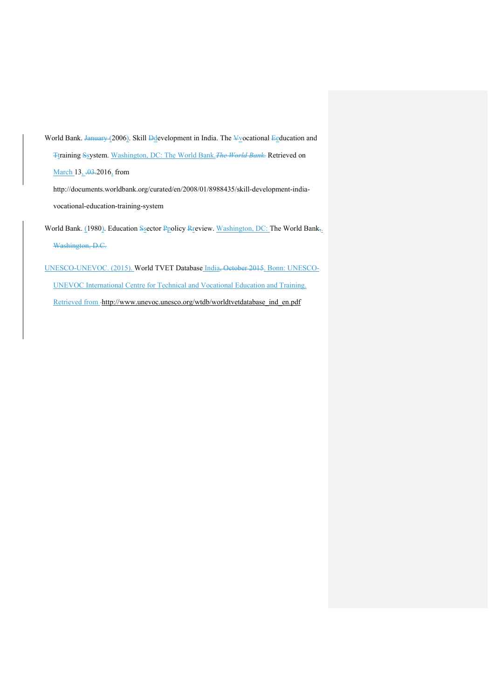World Bank. January (2006). Skill  $\frac{1}{2}$  evelopment in India. The  $\frac{1}{2}$  cational  $\frac{1}{2}$  education and Ttraining Ssystem. Washington, DC: The World Bank.*The World Bank.* Retrieved on

March 13, .03.2016, from

http://documents.worldbank.org/curated/en/2008/01/8988435/skill-development-indiavocational-education-training-system

World Bank. (1980). Education Ssector Ppolicy Review. Washington, DC: The World Bank,. Washington, D.C.

UNESCO-UNEVOC. (2015). World TVET Database India, October 2015. Bonn: UNESCO-UNEVOC International Centre for Technical and Vocational Education and Training. Retrieved from -http://www.unevoc.unesco.org/wtdb/worldtvetdatabase\_ind\_en.pdf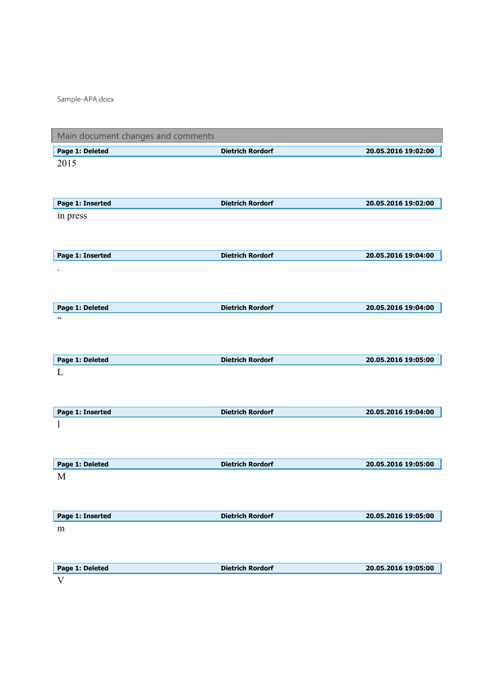Sample-APA.docx

| Main document changes and comments |                         |                     |
|------------------------------------|-------------------------|---------------------|
| Page 1: Deleted                    | <b>Dietrich Rordorf</b> | 20.05.2016 19:02:00 |
| 2015                               |                         |                     |
|                                    |                         |                     |
|                                    |                         |                     |
| Page 1: Inserted                   | <b>Dietrich Rordorf</b> | 20.05.2016 19:02:00 |
| in press                           |                         |                     |
|                                    |                         |                     |
|                                    |                         |                     |
| Page 1: Inserted                   | <b>Dietrich Rordorf</b> | 20.05.2016 19:04:00 |
|                                    |                         |                     |
|                                    |                         |                     |
|                                    |                         |                     |
| Page 1: Deleted                    | <b>Dietrich Rordorf</b> | 20.05.2016 19:04:00 |
| $\zeta$ $\zeta$                    |                         |                     |
|                                    |                         |                     |
|                                    |                         |                     |
| Page 1: Deleted                    | <b>Dietrich Rordorf</b> | 20.05.2016 19:05:00 |
| L                                  |                         |                     |
|                                    |                         |                     |
|                                    |                         |                     |
| Page 1: Inserted                   | <b>Dietrich Rordorf</b> | 20.05.2016 19:04:00 |
| 1                                  |                         |                     |
|                                    |                         |                     |
|                                    |                         |                     |
| Page 1: Deleted                    | <b>Dietrich Rordorf</b> | 20.05.2016 19:05:00 |
| M                                  |                         |                     |
|                                    |                         |                     |
|                                    |                         |                     |
| Page 1: Inserted                   | <b>Dietrich Rordorf</b> | 20.05.2016 19:05:00 |
| m                                  |                         |                     |
|                                    |                         |                     |
|                                    |                         |                     |
| Page 1: Deleted                    | <b>Dietrich Rordorf</b> | 20.05.2016 19:05:00 |
| V                                  |                         |                     |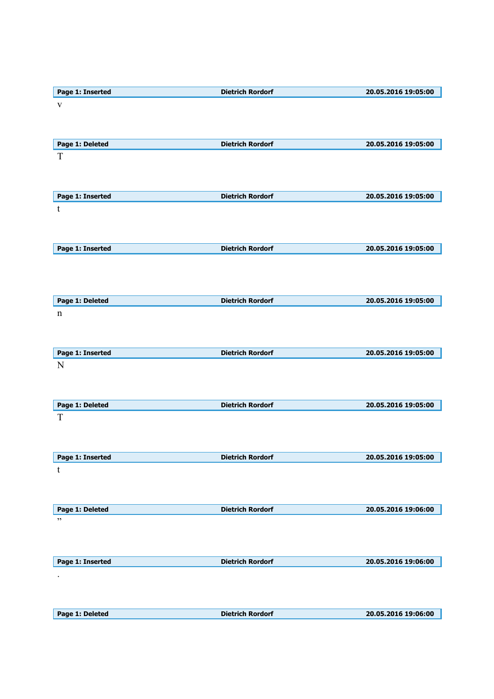| Page 1: Inserted | <b>Dietrich Rordorf</b> | 20.05.2016 19:05:00 |
|------------------|-------------------------|---------------------|
| $\mathbf{V}$     |                         |                     |
|                  |                         |                     |
|                  |                         |                     |
|                  |                         |                     |
| Page 1: Deleted  | <b>Dietrich Rordorf</b> | 20.05.2016 19:05:00 |
| T                |                         |                     |
|                  |                         |                     |
|                  |                         |                     |
|                  |                         |                     |
| Page 1: Inserted | <b>Dietrich Rordorf</b> | 20.05.2016 19:05:00 |
|                  |                         |                     |
| t                |                         |                     |
|                  |                         |                     |
|                  |                         |                     |
|                  |                         |                     |
| Page 1: Inserted | <b>Dietrich Rordorf</b> | 20.05.2016 19:05:00 |
|                  |                         |                     |
|                  |                         |                     |
|                  |                         |                     |
|                  |                         |                     |
| Page 1: Deleted  | <b>Dietrich Rordorf</b> | 20.05.2016 19:05:00 |
| $\mathbf n$      |                         |                     |
|                  |                         |                     |
|                  |                         |                     |
|                  |                         |                     |
| Page 1: Inserted | <b>Dietrich Rordorf</b> | 20.05.2016 19:05:00 |
| N                |                         |                     |
|                  |                         |                     |
|                  |                         |                     |
|                  |                         |                     |
| Page 1: Deleted  | <b>Dietrich Rordorf</b> | 20.05.2016 19:05:00 |
|                  |                         |                     |
| T                |                         |                     |
|                  |                         |                     |
|                  |                         |                     |
|                  |                         |                     |
| Page 1: Inserted | <b>Dietrich Rordorf</b> | 20.05.2016 19:05:00 |
| t                |                         |                     |
|                  |                         |                     |
|                  |                         |                     |
|                  |                         |                     |
| Page 1: Deleted  | <b>Dietrich Rordorf</b> | 20.05.2016 19:06:00 |
| $, ,$            |                         |                     |
|                  |                         |                     |
|                  |                         |                     |
|                  |                         |                     |
| Page 1: Inserted | <b>Dietrich Rordorf</b> | 20.05.2016 19:06:00 |
|                  |                         |                     |
|                  |                         |                     |
|                  |                         |                     |
|                  |                         |                     |
|                  |                         |                     |
| Page 1: Deleted  | <b>Dietrich Rordorf</b> | 20.05.2016 19:06:00 |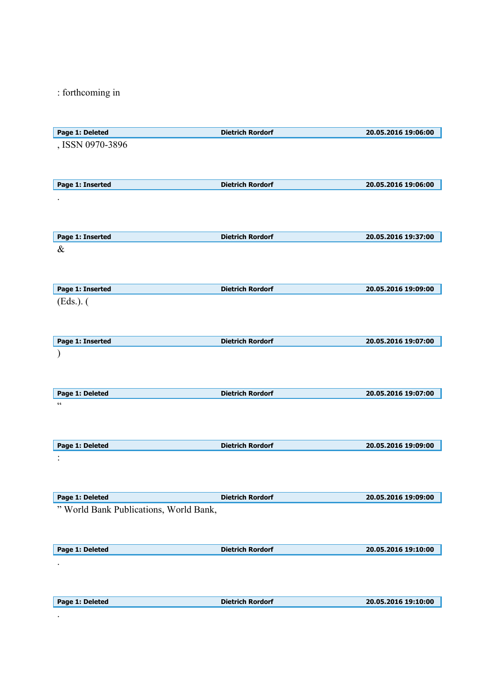: forthcoming in

| Page 1: Deleted                        | <b>Dietrich Rordorf</b> | 20.05.2016 19:06:00 |
|----------------------------------------|-------------------------|---------------------|
| , ISSN 0970-3896                       |                         |                     |
|                                        |                         |                     |
|                                        |                         |                     |
| Page 1: Inserted                       | <b>Dietrich Rordorf</b> | 20.05.2016 19:06:00 |
|                                        |                         |                     |
|                                        |                         |                     |
|                                        |                         |                     |
| Page 1: Inserted                       | <b>Dietrich Rordorf</b> | 20.05.2016 19:37:00 |
| $\&$                                   |                         |                     |
|                                        |                         |                     |
|                                        |                         |                     |
|                                        |                         |                     |
| Page 1: Inserted                       | <b>Dietrich Rordorf</b> | 20.05.2016 19:09:00 |
| (Eds.).                                |                         |                     |
|                                        |                         |                     |
|                                        |                         |                     |
| Page 1: Inserted                       | <b>Dietrich Rordorf</b> | 20.05.2016 19:07:00 |
|                                        |                         |                     |
|                                        |                         |                     |
|                                        |                         |                     |
| Page 1: Deleted                        | <b>Dietrich Rordorf</b> | 20.05.2016 19:07:00 |
| $\textsf{G}\,\textsf{G}$               |                         |                     |
|                                        |                         |                     |
|                                        |                         |                     |
| Page 1: Deleted                        | <b>Dietrich Rordorf</b> | 20.05.2016 19:09:00 |
|                                        |                         |                     |
|                                        |                         |                     |
|                                        |                         |                     |
| Page 1: Deleted                        | <b>Dietrich Rordorf</b> | 20.05.2016 19:09:00 |
| " World Bank Publications, World Bank, |                         |                     |
|                                        |                         |                     |
|                                        |                         |                     |
| Page 1: Deleted                        | <b>Dietrich Rordorf</b> | 20.05.2016 19:10:00 |
|                                        |                         |                     |
|                                        |                         |                     |
|                                        |                         |                     |
| Page 1: Deleted                        | <b>Dietrich Rordorf</b> | 20.05.2016 19:10:00 |
|                                        |                         |                     |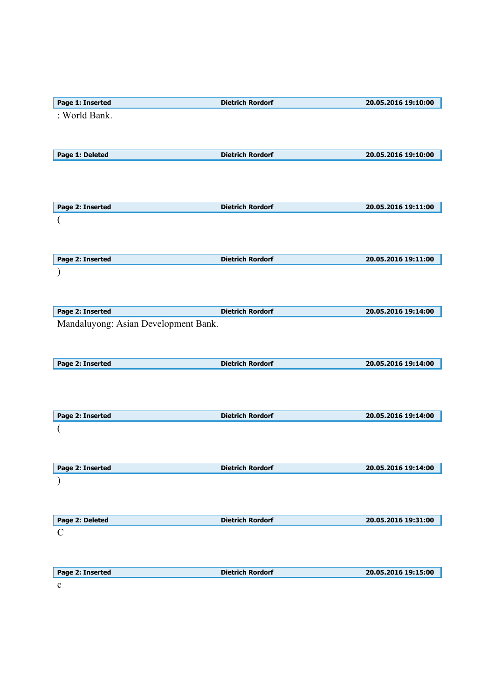| Page 1: Inserted                     | <b>Dietrich Rordorf</b> | 20.05.2016 19:10:00 |
|--------------------------------------|-------------------------|---------------------|
| : World Bank.                        |                         |                     |
|                                      |                         |                     |
|                                      |                         |                     |
|                                      |                         |                     |
| Page 1: Deleted                      | <b>Dietrich Rordorf</b> | 20.05.2016 19:10:00 |
|                                      |                         |                     |
|                                      |                         |                     |
|                                      |                         |                     |
| Page 2: Inserted                     | <b>Dietrich Rordorf</b> | 20.05.2016 19:11:00 |
|                                      |                         |                     |
|                                      |                         |                     |
|                                      |                         |                     |
|                                      |                         |                     |
| Page 2: Inserted                     | <b>Dietrich Rordorf</b> | 20.05.2016 19:11:00 |
|                                      |                         |                     |
|                                      |                         |                     |
|                                      |                         |                     |
|                                      |                         |                     |
| Page 2: Inserted                     | <b>Dietrich Rordorf</b> | 20.05.2016 19:14:00 |
| Mandaluyong: Asian Development Bank. |                         |                     |
|                                      |                         |                     |
|                                      |                         |                     |
| Page 2: Inserted                     | <b>Dietrich Rordorf</b> | 20.05.2016 19:14:00 |
|                                      |                         |                     |
|                                      |                         |                     |
|                                      |                         |                     |
|                                      |                         |                     |
| Page 2: Inserted                     | <b>Dietrich Rordorf</b> | 20.05.2016 19:14:00 |
|                                      |                         |                     |
|                                      |                         |                     |
|                                      |                         |                     |
|                                      |                         |                     |
| Page 2: Inserted                     | <b>Dietrich Rordorf</b> | 20.05.2016 19:14:00 |
|                                      |                         |                     |
|                                      |                         |                     |
|                                      |                         |                     |
| Page 2: Deleted                      | <b>Dietrich Rordorf</b> | 20.05.2016 19:31:00 |
| $\mathbf C$                          |                         |                     |
|                                      |                         |                     |
|                                      |                         |                     |
|                                      |                         |                     |
| Page 2: Inserted                     | <b>Dietrich Rordorf</b> | 20.05.2016 19:15:00 |
| $\mathbf C$                          |                         |                     |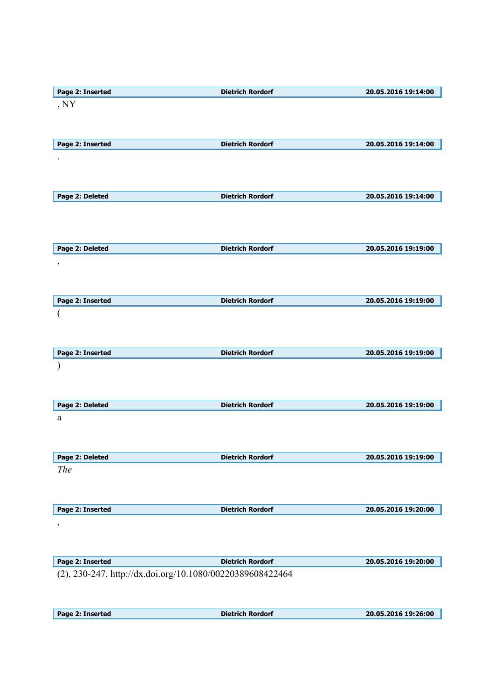| Page 2: Inserted                                          | <b>Dietrich Rordorf</b> | 20.05.2016 19:14:00 |
|-----------------------------------------------------------|-------------------------|---------------------|
| , NY                                                      |                         |                     |
|                                                           |                         |                     |
|                                                           |                         |                     |
| Page 2: Inserted                                          | <b>Dietrich Rordorf</b> | 20.05.2016 19:14:00 |
|                                                           |                         |                     |
|                                                           |                         |                     |
|                                                           |                         |                     |
| Page 2: Deleted                                           | <b>Dietrich Rordorf</b> | 20.05.2016 19:14:00 |
|                                                           |                         |                     |
|                                                           |                         |                     |
|                                                           |                         |                     |
| Page 2: Deleted                                           | <b>Dietrich Rordorf</b> | 20.05.2016 19:19:00 |
|                                                           |                         |                     |
| $\,$                                                      |                         |                     |
|                                                           |                         |                     |
|                                                           |                         |                     |
| Page 2: Inserted                                          | <b>Dietrich Rordorf</b> | 20.05.2016 19:19:00 |
| (                                                         |                         |                     |
|                                                           |                         |                     |
|                                                           |                         |                     |
| Page 2: Inserted                                          | <b>Dietrich Rordorf</b> | 20.05.2016 19:19:00 |
|                                                           |                         |                     |
|                                                           |                         |                     |
|                                                           |                         |                     |
| Page 2: Deleted                                           | <b>Dietrich Rordorf</b> | 20.05.2016 19:19:00 |
| a                                                         |                         |                     |
|                                                           |                         |                     |
|                                                           |                         |                     |
| Page 2: Deleted                                           | <b>Dietrich Rordorf</b> | 20.05.2016 19:19:00 |
| The                                                       |                         |                     |
|                                                           |                         |                     |
|                                                           |                         |                     |
| Page 2: Inserted                                          | <b>Dietrich Rordorf</b> | 20.05.2016 19:20:00 |
| $\overline{\phantom{a}}$                                  |                         |                     |
|                                                           |                         |                     |
|                                                           |                         |                     |
| Page 2: Inserted                                          | <b>Dietrich Rordorf</b> | 20.05.2016 19:20:00 |
| (2), 230-247. http://dx.doi.org/10.1080/00220389608422464 |                         |                     |
|                                                           |                         |                     |

| Page 2: Inserted | <b>Dietrich Rordorf</b> | 20.05.2016 19:26:00 |
|------------------|-------------------------|---------------------|
|                  |                         |                     |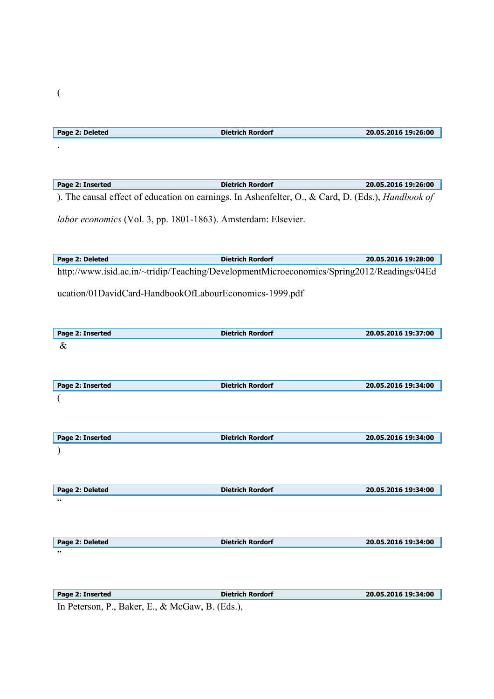| Page 2: Deleted                                                                                   | <b>Dietrich Rordorf</b> | 20.05.2016 19:26:00 |
|---------------------------------------------------------------------------------------------------|-------------------------|---------------------|
|                                                                                                   |                         |                     |
|                                                                                                   |                         |                     |
|                                                                                                   |                         |                     |
|                                                                                                   |                         |                     |
| Page 2: Inserted                                                                                  | <b>Dietrich Rordorf</b> | 20.05.2016 19:26:00 |
|                                                                                                   |                         |                     |
| ). The causal effect of education on earnings. In Ashenfelter, O., & Card, D. (Eds.), Handbook of |                         |                     |
|                                                                                                   |                         |                     |
| labor economics (Vol. 3, pp. 1801-1863). Amsterdam: Elsevier.                                     |                         |                     |
|                                                                                                   |                         |                     |
|                                                                                                   |                         |                     |
|                                                                                                   |                         |                     |
| Page 2: Deleted                                                                                   | <b>Dietrich Rordorf</b> | 20.05.2016 19:28:00 |
| http://www.isid.ac.in/~tridip/Teaching/DevelopmentMicroeconomics/Spring2012/Readings/04Ed         |                         |                     |
|                                                                                                   |                         |                     |
| ucation/01DavidCard-HandbookOfLabourEconomics-1999.pdf                                            |                         |                     |
|                                                                                                   |                         |                     |
|                                                                                                   |                         |                     |
|                                                                                                   |                         |                     |
| Page 2: Inserted                                                                                  | <b>Dietrich Rordorf</b> | 20.05.2016 19:37:00 |
| $\&$                                                                                              |                         |                     |
|                                                                                                   |                         |                     |
|                                                                                                   |                         |                     |
|                                                                                                   |                         |                     |
| Page 2: Inserted                                                                                  | <b>Dietrich Rordorf</b> | 20.05.2016 19:34:00 |
|                                                                                                   |                         |                     |
|                                                                                                   |                         |                     |
|                                                                                                   |                         |                     |
|                                                                                                   |                         |                     |
| Page 2: Inserted                                                                                  | <b>Dietrich Rordorf</b> | 20.05.2016 19:34:00 |
|                                                                                                   |                         |                     |
|                                                                                                   |                         |                     |
|                                                                                                   |                         |                     |
|                                                                                                   |                         |                     |
|                                                                                                   |                         |                     |
| Page 2: Deleted                                                                                   | <b>Dietrich Rordorf</b> | 20.05.2016 19:34:00 |
| 66                                                                                                |                         |                     |
|                                                                                                   |                         |                     |
|                                                                                                   |                         |                     |
|                                                                                                   |                         |                     |
| Page 2: Deleted                                                                                   | <b>Dietrich Rordorf</b> | 20.05.2016 19:34:00 |
| ,,                                                                                                |                         |                     |
|                                                                                                   |                         |                     |
|                                                                                                   |                         |                     |
|                                                                                                   |                         |                     |
| Page 2: Inserted                                                                                  | <b>Dietrich Rordorf</b> | 20.05.2016 19:34:00 |
|                                                                                                   |                         |                     |

In Peterson, P., Baker, E., & McGaw, B. (Eds.),

(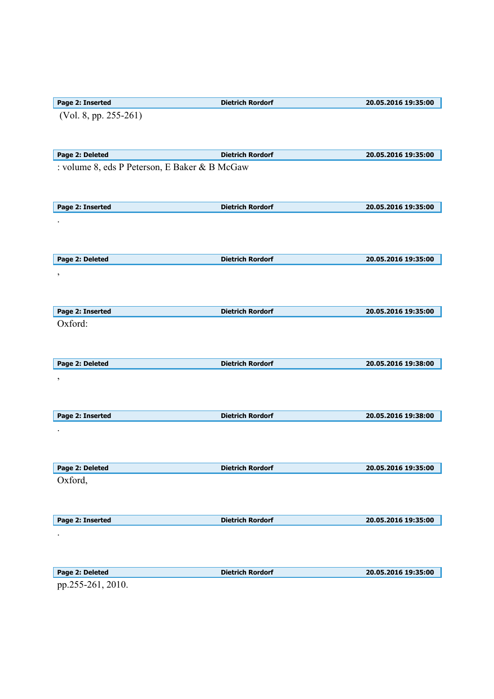| Page 2: Inserted                              | <b>Dietrich Rordorf</b> | 20.05.2016 19:35:00 |
|-----------------------------------------------|-------------------------|---------------------|
| (Vol. 8, pp. 255-261)                         |                         |                     |
|                                               |                         |                     |
|                                               |                         |                     |
| Page 2: Deleted                               | <b>Dietrich Rordorf</b> | 20.05.2016 19:35:00 |
|                                               |                         |                     |
| : volume 8, eds P Peterson, E Baker & B McGaw |                         |                     |
|                                               |                         |                     |
|                                               |                         |                     |
| Page 2: Inserted                              | <b>Dietrich Rordorf</b> | 20.05.2016 19:35:00 |
|                                               |                         |                     |
|                                               |                         |                     |
|                                               |                         |                     |
|                                               |                         |                     |
| Page 2: Deleted                               | <b>Dietrich Rordorf</b> | 20.05.2016 19:35:00 |
| $\,$                                          |                         |                     |
|                                               |                         |                     |
|                                               |                         |                     |
| Page 2: Inserted                              | <b>Dietrich Rordorf</b> | 20.05.2016 19:35:00 |
| Oxford:                                       |                         |                     |
|                                               |                         |                     |
|                                               |                         |                     |
|                                               |                         |                     |
| Page 2: Deleted                               | <b>Dietrich Rordorf</b> | 20.05.2016 19:38:00 |
| $\,$                                          |                         |                     |
|                                               |                         |                     |
|                                               |                         |                     |
| Page 2: Inserted                              | <b>Dietrich Rordorf</b> | 20.05.2016 19:38:00 |
|                                               |                         |                     |
|                                               |                         |                     |
|                                               |                         |                     |
|                                               |                         |                     |
| Page 2: Deleted                               | <b>Dietrich Rordorf</b> | 20.05.2016 19:35:00 |
| Oxford,                                       |                         |                     |
|                                               |                         |                     |
|                                               |                         |                     |
| Page 2: Inserted                              | <b>Dietrich Rordorf</b> | 20.05.2016 19:35:00 |
|                                               |                         |                     |
|                                               |                         |                     |
|                                               |                         |                     |
|                                               |                         |                     |
| Page 2: Deleted                               | <b>Dietrich Rordorf</b> | 20.05.2016 19:35:00 |
| pp.255-261, 2010.                             |                         |                     |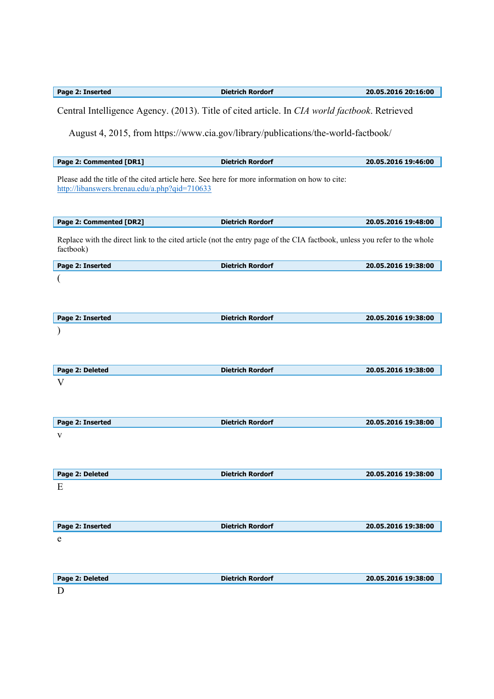| Page 2: Inserted                                                                                                                               | <b>Dietrich Rordorf</b>                                                           | 20.05.2016 20:16:00 |
|------------------------------------------------------------------------------------------------------------------------------------------------|-----------------------------------------------------------------------------------|---------------------|
| Central Intelligence Agency. (2013). Title of cited article. In CIA world factbook. Retrieved                                                  |                                                                                   |                     |
|                                                                                                                                                | August 4, 2015, from https://www.cia.gov/library/publications/the-world-factbook/ |                     |
| Page 2: Commented [DR1]                                                                                                                        | <b>Dietrich Rordorf</b>                                                           | 20.05.2016 19:46:00 |
| Please add the title of the cited article here. See here for more information on how to cite:<br>http://libanswers.brenau.edu/a.php?qid=710633 |                                                                                   |                     |
| Page 2: Commented [DR2]                                                                                                                        | <b>Dietrich Rordorf</b>                                                           | 20.05.2016 19:48:00 |
| Replace with the direct link to the cited article (not the entry page of the CIA factbook, unless you refer to the whole<br>factbook)          |                                                                                   |                     |
| Page 2: Inserted                                                                                                                               | <b>Dietrich Rordorf</b>                                                           | 20.05.2016 19:38:00 |
|                                                                                                                                                |                                                                                   |                     |
| Page 2: Inserted                                                                                                                               | <b>Dietrich Rordorf</b>                                                           | 20.05.2016 19:38:00 |
| Page 2: Deleted                                                                                                                                | <b>Dietrich Rordorf</b>                                                           | 20.05.2016 19:38:00 |
| V                                                                                                                                              |                                                                                   |                     |
|                                                                                                                                                |                                                                                   |                     |
| Page 2: Inserted                                                                                                                               | <b>Dietrich Rordorf</b>                                                           | 20.05.2016 19:38:00 |
| V                                                                                                                                              |                                                                                   |                     |
| Page 2: Deleted                                                                                                                                | <b>Dietrich Rordorf</b>                                                           | 20.05.2016 19:38:00 |
| E                                                                                                                                              |                                                                                   |                     |
| Page 2: Inserted                                                                                                                               | <b>Dietrich Rordorf</b>                                                           | 20.05.2016 19:38:00 |
| e                                                                                                                                              |                                                                                   |                     |
| Page 2: Deleted                                                                                                                                | <b>Dietrich Rordorf</b>                                                           | 20.05.2016 19:38:00 |
| D                                                                                                                                              |                                                                                   |                     |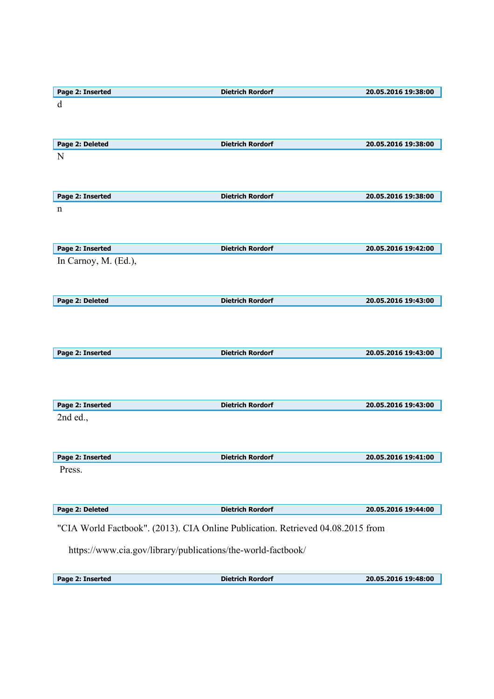| Page 2: Inserted     | <b>Dietrich Rordorf</b>                                                         | 20.05.2016 19:38:00 |
|----------------------|---------------------------------------------------------------------------------|---------------------|
| $\mathbf d$          |                                                                                 |                     |
|                      |                                                                                 |                     |
|                      |                                                                                 |                     |
| Page 2: Deleted      | <b>Dietrich Rordorf</b>                                                         | 20.05.2016 19:38:00 |
| N                    |                                                                                 |                     |
|                      |                                                                                 |                     |
|                      |                                                                                 |                     |
| Page 2: Inserted     | <b>Dietrich Rordorf</b>                                                         | 20.05.2016 19:38:00 |
| n                    |                                                                                 |                     |
|                      |                                                                                 |                     |
|                      |                                                                                 |                     |
| Page 2: Inserted     | <b>Dietrich Rordorf</b>                                                         | 20.05.2016 19:42:00 |
| In Carnoy, M. (Ed.), |                                                                                 |                     |
|                      |                                                                                 |                     |
| Page 2: Deleted      | <b>Dietrich Rordorf</b>                                                         | 20.05.2016 19:43:00 |
|                      |                                                                                 |                     |
|                      |                                                                                 |                     |
|                      |                                                                                 |                     |
| Page 2: Inserted     | <b>Dietrich Rordorf</b>                                                         | 20.05.2016 19:43:00 |
|                      |                                                                                 |                     |
|                      |                                                                                 |                     |
|                      |                                                                                 |                     |
| Page 2: Inserted     | <b>Dietrich Rordorf</b>                                                         | 20.05.2016 19:43:00 |
| 2nd ed.,             |                                                                                 |                     |
|                      |                                                                                 |                     |
|                      |                                                                                 |                     |
| Page 2: Inserted     | <b>Dietrich Rordorf</b>                                                         | 20.05.2016 19:41:00 |
| Press.               |                                                                                 |                     |
|                      |                                                                                 |                     |
|                      |                                                                                 |                     |
| Page 2: Deleted      | <b>Dietrich Rordorf</b>                                                         | 20.05.2016 19:44:00 |
|                      | "CIA World Factbook". (2013). CIA Online Publication. Retrieved 04.08.2015 from |                     |
|                      |                                                                                 |                     |
|                      | https://www.cia.gov/library/publications/the-world-factbook/                    |                     |
|                      |                                                                                 |                     |

| Page 2: Inserted | <b>Dietrich Rordorf</b> | 20.05.2016 19:48:00 |
|------------------|-------------------------|---------------------|
|                  |                         |                     |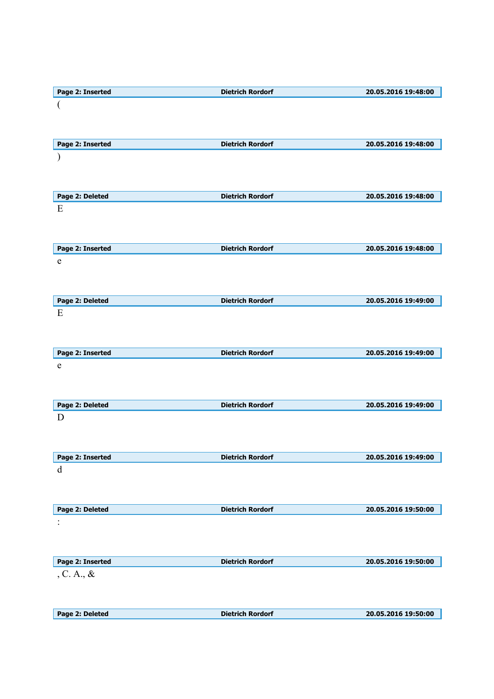| Page 2: Inserted | <b>Dietrich Rordorf</b> | 20.05.2016 19:48:00 |
|------------------|-------------------------|---------------------|
|                  |                         |                     |
|                  |                         |                     |
|                  |                         |                     |
|                  |                         |                     |
| Page 2: Inserted | <b>Dietrich Rordorf</b> | 20.05.2016 19:48:00 |
|                  |                         |                     |
|                  |                         |                     |
|                  |                         |                     |
|                  |                         |                     |
| Page 2: Deleted  | <b>Dietrich Rordorf</b> | 20.05.2016 19:48:00 |
| Ε                |                         |                     |
|                  |                         |                     |
|                  |                         |                     |
|                  |                         |                     |
| Page 2: Inserted | <b>Dietrich Rordorf</b> | 20.05.2016 19:48:00 |
| e                |                         |                     |
|                  |                         |                     |
|                  |                         |                     |
|                  |                         |                     |
| Page 2: Deleted  | <b>Dietrich Rordorf</b> | 20.05.2016 19:49:00 |
| E                |                         |                     |
|                  |                         |                     |
|                  |                         |                     |
| Page 2: Inserted | <b>Dietrich Rordorf</b> | 20.05.2016 19:49:00 |
|                  |                         |                     |
| ${\rm e}$        |                         |                     |
|                  |                         |                     |
|                  |                         |                     |
| Page 2: Deleted  | <b>Dietrich Rordorf</b> | 20.05.2016 19:49:00 |
| D                |                         |                     |
|                  |                         |                     |
|                  |                         |                     |
|                  |                         |                     |
| Page 2: Inserted | <b>Dietrich Rordorf</b> | 20.05.2016 19:49:00 |
| d                |                         |                     |
|                  |                         |                     |
|                  |                         |                     |
|                  |                         |                     |
| Page 2: Deleted  | <b>Dietrich Rordorf</b> | 20.05.2016 19:50:00 |
|                  |                         |                     |
|                  |                         |                     |
|                  |                         |                     |
| Page 2: Inserted | <b>Dietrich Rordorf</b> | 20.05.2016 19:50:00 |
|                  |                         |                     |
| , C. A., $\&$    |                         |                     |
|                  |                         |                     |
|                  |                         |                     |
| Page 2: Deleted  | <b>Dietrich Rordorf</b> | 20.05.2016 19:50:00 |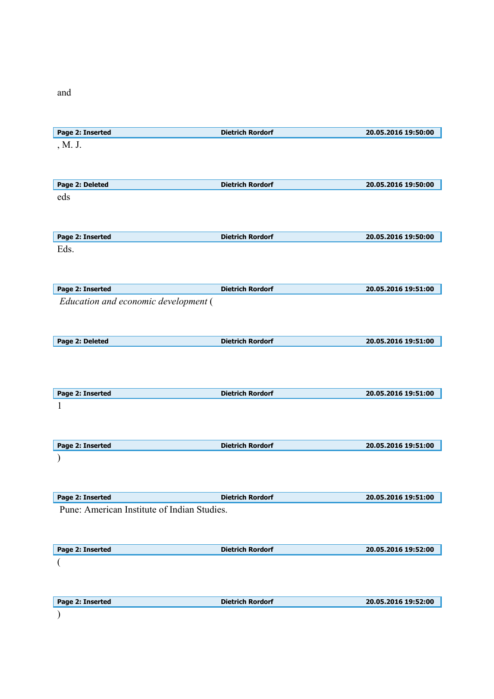and

|                                             | <b>Dietrich Rordorf</b> | 20.05.2016 19:50:00 |
|---------------------------------------------|-------------------------|---------------------|
| , M. J.                                     |                         |                     |
|                                             |                         |                     |
|                                             |                         |                     |
| Page 2: Deleted                             | <b>Dietrich Rordorf</b> | 20.05.2016 19:50:00 |
| eds                                         |                         |                     |
|                                             |                         |                     |
|                                             |                         |                     |
| Page 2: Inserted                            | <b>Dietrich Rordorf</b> | 20.05.2016 19:50:00 |
| Eds.                                        |                         |                     |
|                                             |                         |                     |
|                                             |                         |                     |
| Page 2: Inserted                            | <b>Dietrich Rordorf</b> | 20.05.2016 19:51:00 |
| Education and economic development (        |                         |                     |
|                                             |                         |                     |
|                                             |                         |                     |
| Page 2: Deleted                             | <b>Dietrich Rordorf</b> | 20.05.2016 19:51:00 |
|                                             |                         |                     |
|                                             |                         |                     |
|                                             |                         |                     |
| Page 2: Inserted                            | <b>Dietrich Rordorf</b> | 20.05.2016 19:51:00 |
| 1                                           |                         |                     |
|                                             |                         |                     |
|                                             |                         |                     |
|                                             |                         |                     |
|                                             |                         |                     |
| Page 2: Inserted                            | <b>Dietrich Rordorf</b> | 20.05.2016 19:51:00 |
|                                             |                         |                     |
|                                             |                         |                     |
|                                             |                         |                     |
| Pune: American Institute of Indian Studies. | <b>Dietrich Rordorf</b> | 20.05.2016 19:51:00 |
|                                             |                         |                     |
| Page 2: Inserted                            |                         |                     |
|                                             |                         |                     |
| Page 2: Inserted                            | <b>Dietrich Rordorf</b> | 20.05.2016 19:52:00 |
| $\overline{ }$                              |                         |                     |
|                                             |                         |                     |
| Page 2: Inserted                            | <b>Dietrich Rordorf</b> | 20.05.2016 19:52:00 |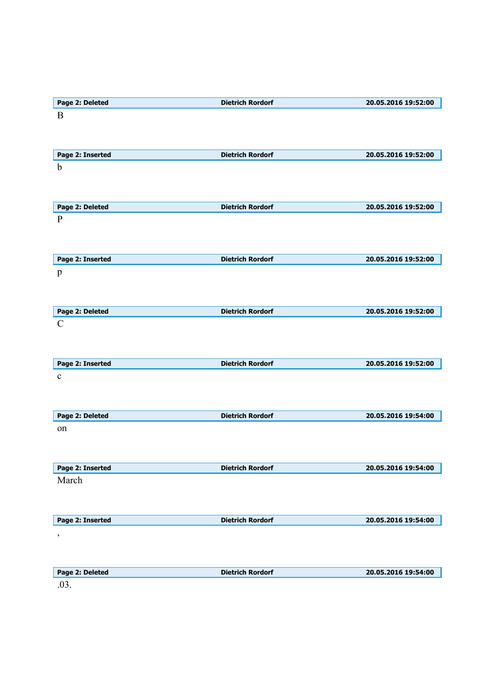| Page 2: Deleted  | <b>Dietrich Rordorf</b> | 20.05.2016 19:52:00 |
|------------------|-------------------------|---------------------|
| B                |                         |                     |
|                  |                         |                     |
|                  |                         |                     |
| Page 2: Inserted | <b>Dietrich Rordorf</b> | 20.05.2016 19:52:00 |
| $\mathbf b$      |                         |                     |
|                  |                         |                     |
|                  |                         |                     |
| Page 2: Deleted  | <b>Dietrich Rordorf</b> | 20.05.2016 19:52:00 |
| $\, {\bf P}$     |                         |                     |
|                  |                         |                     |
|                  |                         |                     |
|                  | <b>Dietrich Rordorf</b> |                     |
| Page 2: Inserted |                         | 20.05.2016 19:52:00 |
| $\, {\bf p}$     |                         |                     |
|                  |                         |                     |
|                  |                         |                     |
| Page 2: Deleted  | <b>Dietrich Rordorf</b> | 20.05.2016 19:52:00 |
| $\mathcal{C}$    |                         |                     |
|                  |                         |                     |
|                  |                         |                     |
| Page 2: Inserted | <b>Dietrich Rordorf</b> | 20.05.2016 19:52:00 |
| $\mathbf c$      |                         |                     |
|                  |                         |                     |
|                  |                         |                     |
| Page 2: Deleted  | <b>Dietrich Rordorf</b> | 20.05.2016 19:54:00 |
| on               |                         |                     |
|                  |                         |                     |
|                  |                         |                     |
| Page 2: Inserted | <b>Dietrich Rordorf</b> | 20.05.2016 19:54:00 |
| March            |                         |                     |
|                  |                         |                     |
|                  |                         |                     |
| Page 2: Inserted | <b>Dietrich Rordorf</b> | 20.05.2016 19:54:00 |
|                  |                         |                     |
| $\, ,$           |                         |                     |
|                  |                         |                     |
|                  |                         |                     |
| Page 2: Deleted  | <b>Dietrich Rordorf</b> | 20.05.2016 19:54:00 |
| .03.             |                         |                     |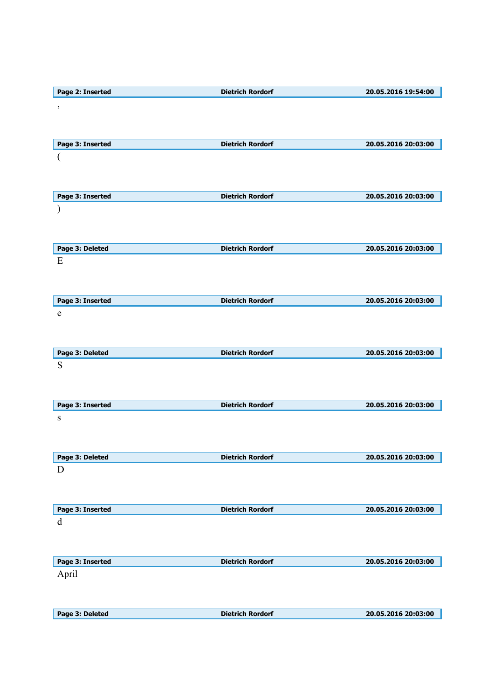| Page 2: Inserted | <b>Dietrich Rordorf</b> | 20.05.2016 19:54:00 |
|------------------|-------------------------|---------------------|
| $\,$             |                         |                     |
|                  |                         |                     |
|                  |                         |                     |
| Page 3: Inserted | <b>Dietrich Rordorf</b> | 20.05.2016 20:03:00 |
| (                |                         |                     |
|                  |                         |                     |
|                  |                         |                     |
| Page 3: Inserted | <b>Dietrich Rordorf</b> | 20.05.2016 20:03:00 |
|                  |                         |                     |
|                  |                         |                     |
|                  |                         |                     |
| Page 3: Deleted  | <b>Dietrich Rordorf</b> | 20.05.2016 20:03:00 |
| E                |                         |                     |
|                  |                         |                     |
|                  |                         |                     |
| Page 3: Inserted | <b>Dietrich Rordorf</b> | 20.05.2016 20:03:00 |
| e                |                         |                     |
|                  |                         |                     |
|                  |                         |                     |
| Page 3: Deleted  | <b>Dietrich Rordorf</b> | 20.05.2016 20:03:00 |
| S                |                         |                     |
|                  |                         |                     |
|                  |                         |                     |
| Page 3: Inserted | <b>Dietrich Rordorf</b> | 20.05.2016 20:03:00 |
| S                |                         |                     |
|                  |                         |                     |
|                  |                         |                     |
| Page 3: Deleted  | <b>Dietrich Rordorf</b> | 20.05.2016 20:03:00 |
| D                |                         |                     |
|                  |                         |                     |
|                  |                         |                     |
| Page 3: Inserted | <b>Dietrich Rordorf</b> | 20.05.2016 20:03:00 |
| d                |                         |                     |
|                  |                         |                     |
|                  |                         |                     |
| Page 3: Inserted | <b>Dietrich Rordorf</b> | 20.05.2016 20:03:00 |
| April            |                         |                     |
|                  |                         |                     |
|                  |                         |                     |
| Page 3: Deleted  | <b>Dietrich Rordorf</b> | 20.05.2016 20:03:00 |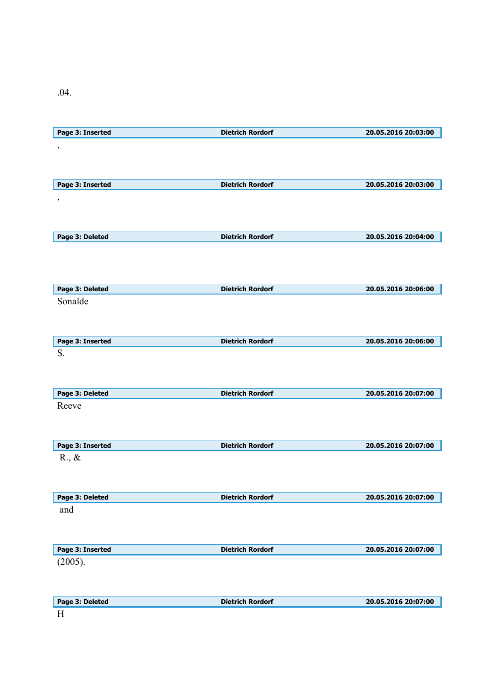.04.

| Page 3: Inserted           | <b>Dietrich Rordorf</b> | 20.05.2016 20:03:00 |
|----------------------------|-------------------------|---------------------|
| $\overline{\phantom{a}}$   |                         |                     |
|                            |                         |                     |
|                            |                         |                     |
| Page 3: Inserted           | <b>Dietrich Rordorf</b> | 20.05.2016 20:03:00 |
| $\,$                       |                         |                     |
|                            |                         |                     |
|                            |                         |                     |
| Page 3: Deleted            | <b>Dietrich Rordorf</b> | 20.05.2016 20:04:00 |
|                            |                         |                     |
|                            |                         |                     |
|                            | <b>Dietrich Rordorf</b> |                     |
| Page 3: Deleted<br>Sonalde |                         | 20.05.2016 20:06:00 |
|                            |                         |                     |
|                            |                         |                     |
| Page 3: Inserted           | <b>Dietrich Rordorf</b> | 20.05.2016 20:06:00 |
| S.                         |                         |                     |
|                            |                         |                     |
|                            |                         |                     |
| Page 3: Deleted            | <b>Dietrich Rordorf</b> | 20.05.2016 20:07:00 |
| Reeve                      |                         |                     |
|                            |                         |                     |
|                            |                         |                     |
|                            |                         |                     |
| Page 3: Inserted           | <b>Dietrich Rordorf</b> | 20.05.2016 20:07:00 |
| $R_{\cdot}, \&$            |                         |                     |
|                            |                         |                     |
|                            |                         |                     |
| Page 3: Deleted            | <b>Dietrich Rordorf</b> | 20.05.2016 20:07:00 |
| and                        |                         |                     |
|                            |                         |                     |
|                            |                         |                     |
| Page 3: Inserted           | <b>Dietrich Rordorf</b> | 20.05.2016 20:07:00 |
| (2005).                    |                         |                     |
|                            |                         |                     |
| Page 3: Deleted            | <b>Dietrich Rordorf</b> | 20.05.2016 20:07:00 |

H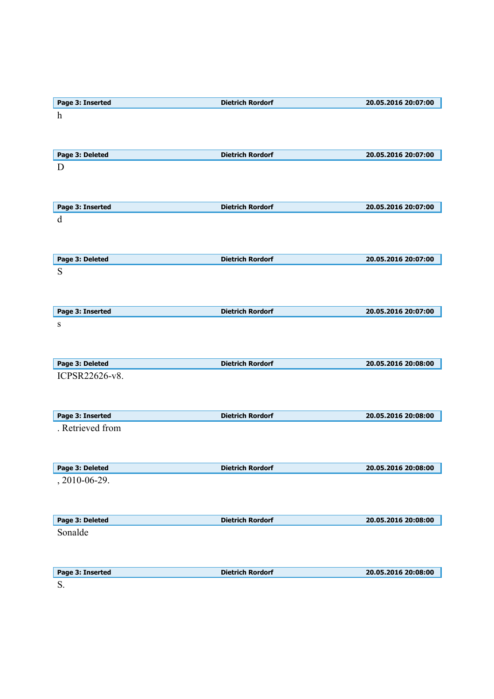| Page 3: Inserted           | <b>Dietrich Rordorf</b> | 20.05.2016 20:07:00 |
|----------------------------|-------------------------|---------------------|
| $\boldsymbol{h}$           |                         |                     |
|                            |                         |                     |
|                            |                         |                     |
| Page 3: Deleted            | <b>Dietrich Rordorf</b> | 20.05.2016 20:07:00 |
| D                          |                         |                     |
|                            |                         |                     |
|                            |                         |                     |
| Page 3: Inserted           | <b>Dietrich Rordorf</b> | 20.05.2016 20:07:00 |
| d                          |                         |                     |
|                            |                         |                     |
|                            |                         |                     |
| Page 3: Deleted            | <b>Dietrich Rordorf</b> | 20.05.2016 20:07:00 |
| S                          |                         |                     |
|                            |                         |                     |
|                            |                         |                     |
| Page 3: Inserted           | <b>Dietrich Rordorf</b> | 20.05.2016 20:07:00 |
| ${\bf S}$                  |                         |                     |
|                            |                         |                     |
|                            |                         |                     |
| Page 3: Deleted            | <b>Dietrich Rordorf</b> | 20.05.2016 20:08:00 |
| ICPSR22626-v8.             |                         |                     |
|                            |                         |                     |
|                            |                         |                     |
| Page 3: Inserted           | <b>Dietrich Rordorf</b> | 20.05.2016 20:08:00 |
| . Retrieved from           |                         |                     |
|                            |                         |                     |
|                            |                         |                     |
| Page 3: Deleted            | <b>Dietrich Rordorf</b> | 20.05.2016 20:08:00 |
| , 2010-06-29.              |                         |                     |
|                            |                         |                     |
|                            |                         |                     |
|                            |                         |                     |
| Page 3: Deleted<br>Sonalde | <b>Dietrich Rordorf</b> | 20.05.2016 20:08:00 |
|                            |                         |                     |
|                            |                         |                     |
|                            |                         |                     |
| Page 3: Inserted           | <b>Dietrich Rordorf</b> | 20.05.2016 20:08:00 |
| S.                         |                         |                     |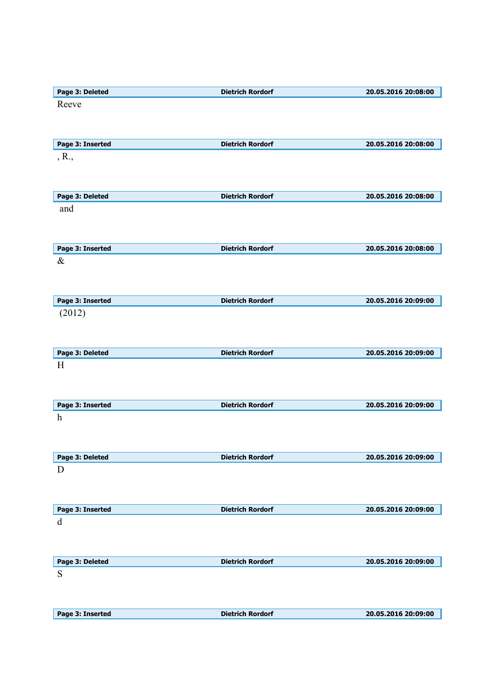| Page 3: Deleted      | <b>Dietrich Rordorf</b> | 20.05.2016 20:08:00 |
|----------------------|-------------------------|---------------------|
| Reeve                |                         |                     |
|                      |                         |                     |
|                      |                         |                     |
| Page 3: Inserted     | <b>Dietrich Rordorf</b> | 20.05.2016 20:08:00 |
| , R.,                |                         |                     |
|                      |                         |                     |
|                      |                         |                     |
| Page 3: Deleted      | <b>Dietrich Rordorf</b> | 20.05.2016 20:08:00 |
| and                  |                         |                     |
|                      |                         |                     |
|                      |                         |                     |
| Page 3: Inserted     | <b>Dietrich Rordorf</b> | 20.05.2016 20:08:00 |
| $\&$                 |                         |                     |
|                      |                         |                     |
|                      |                         |                     |
| Page 3: Inserted     | <b>Dietrich Rordorf</b> | 20.05.2016 20:09:00 |
| (2012)               |                         |                     |
|                      |                         |                     |
|                      |                         |                     |
| Page 3: Deleted<br>H | <b>Dietrich Rordorf</b> | 20.05.2016 20:09:00 |
|                      |                         |                     |
|                      |                         |                     |
| Page 3: Inserted     | <b>Dietrich Rordorf</b> | 20.05.2016 20:09:00 |
| $\boldsymbol{h}$     |                         |                     |
|                      |                         |                     |
|                      |                         |                     |
| Page 3: Deleted      | <b>Dietrich Rordorf</b> | 20.05.2016 20:09:00 |
| D                    |                         |                     |
|                      |                         |                     |
|                      |                         |                     |
| Page 3: Inserted     | <b>Dietrich Rordorf</b> | 20.05.2016 20:09:00 |
| d                    |                         |                     |
|                      |                         |                     |
|                      |                         |                     |
| Page 3: Deleted      | <b>Dietrich Rordorf</b> | 20.05.2016 20:09:00 |
| S                    |                         |                     |
|                      |                         |                     |
|                      |                         |                     |
| Page 3: Inserted     | <b>Dietrich Rordorf</b> | 20.05.2016 20:09:00 |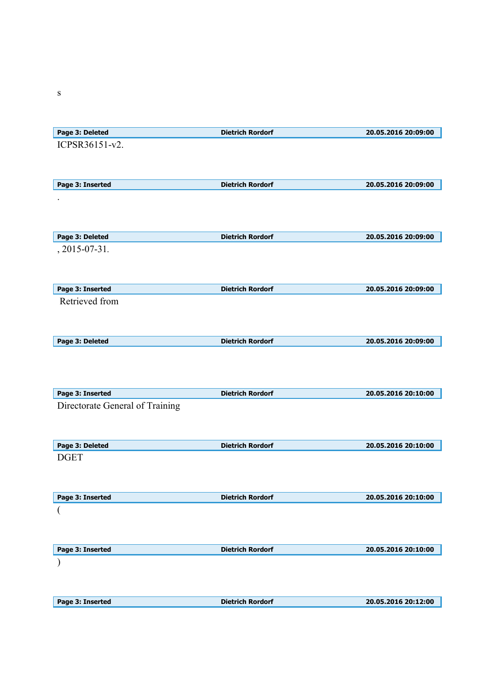| Page 3: Deleted                 | <b>Dietrich Rordorf</b> | 20.05.2016 20:09:00 |
|---------------------------------|-------------------------|---------------------|
| ICPSR36151-v2.                  |                         |                     |
|                                 |                         |                     |
|                                 |                         |                     |
| Page 3: Inserted                | <b>Dietrich Rordorf</b> | 20.05.2016 20:09:00 |
|                                 |                         |                     |
|                                 |                         |                     |
|                                 |                         |                     |
| Page 3: Deleted                 | <b>Dietrich Rordorf</b> | 20.05.2016 20:09:00 |
| , 2015-07-31.                   |                         |                     |
|                                 |                         |                     |
|                                 |                         |                     |
| Page 3: Inserted                | <b>Dietrich Rordorf</b> | 20.05.2016 20:09:00 |
| Retrieved from                  |                         |                     |
|                                 |                         |                     |
|                                 |                         |                     |
| Page 3: Deleted                 | <b>Dietrich Rordorf</b> | 20.05.2016 20:09:00 |
|                                 |                         |                     |
|                                 |                         |                     |
| Page 3: Inserted                | <b>Dietrich Rordorf</b> | 20.05.2016 20:10:00 |
| Directorate General of Training |                         |                     |
|                                 |                         |                     |
|                                 |                         |                     |
| Page 3: Deleted                 | <b>Dietrich Rordorf</b> | 20.05.2016 20:10:00 |
| <b>DGET</b>                     |                         |                     |
|                                 |                         |                     |
|                                 |                         |                     |
| Page 3: Inserted                | <b>Dietrich Rordorf</b> | 20.05.2016 20:10:00 |
|                                 |                         |                     |
|                                 |                         |                     |
|                                 |                         |                     |
| Page 3: Inserted                | <b>Dietrich Rordorf</b> | 20.05.2016 20:10:00 |
|                                 |                         |                     |
|                                 |                         |                     |
|                                 |                         |                     |
| Page 3: Inserted                | <b>Dietrich Rordorf</b> | 20.05.2016 20:12:00 |

s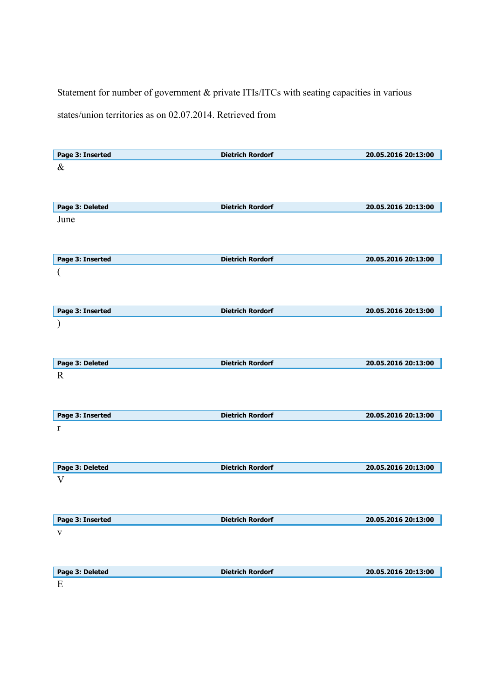Statement for number of government & private ITIs/ITCs with seating capacities in various

states/union territories as on 02.07.2014. Retrieved from

| Page 3: Inserted | <b>Dietrich Rordorf</b> | 20.05.2016 20:13:00 |
|------------------|-------------------------|---------------------|
| $\&$             |                         |                     |
|                  |                         |                     |
|                  |                         |                     |
| Page 3: Deleted  | <b>Dietrich Rordorf</b> | 20.05.2016 20:13:00 |
| June             |                         |                     |
|                  |                         |                     |
|                  |                         |                     |
| Page 3: Inserted | <b>Dietrich Rordorf</b> | 20.05.2016 20:13:00 |
| (                |                         |                     |
|                  |                         |                     |
|                  |                         |                     |
|                  |                         |                     |
| Page 3: Inserted | <b>Dietrich Rordorf</b> | 20.05.2016 20:13:00 |
|                  |                         |                     |
|                  |                         |                     |
|                  |                         |                     |
| Page 3: Deleted  | <b>Dietrich Rordorf</b> | 20.05.2016 20:13:00 |
| $\mathbb{R}$     |                         |                     |
|                  |                         |                     |
|                  |                         |                     |
| Page 3: Inserted | <b>Dietrich Rordorf</b> | 20.05.2016 20:13:00 |
| r                |                         |                     |
|                  |                         |                     |
|                  |                         |                     |
| Page 3: Deleted  | <b>Dietrich Rordorf</b> | 20.05.2016 20:13:00 |
| V                |                         |                     |
|                  |                         |                     |
|                  |                         |                     |
| Page 3: Inserted | <b>Dietrich Rordorf</b> | 20.05.2016 20:13:00 |
| $\mathbf V$      |                         |                     |
|                  |                         |                     |
|                  |                         |                     |
| Page 3: Deleted  | <b>Dietrich Rordorf</b> | 20.05.2016 20:13:00 |
|                  |                         |                     |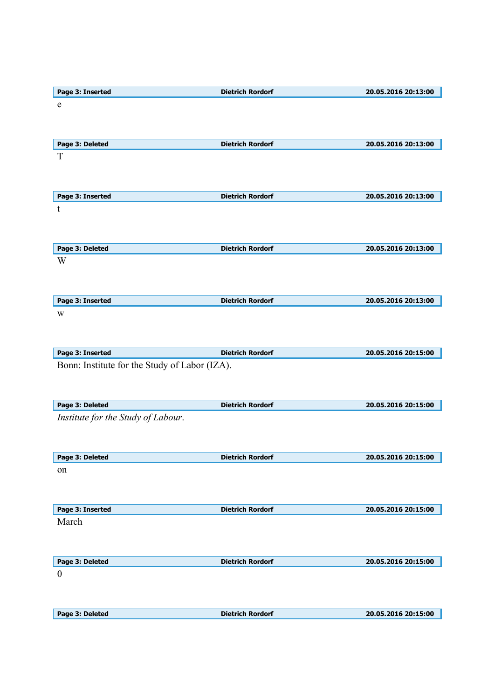| Page 3: Inserted                              | <b>Dietrich Rordorf</b> | 20.05.2016 20:13:00 |
|-----------------------------------------------|-------------------------|---------------------|
| e                                             |                         |                     |
|                                               |                         |                     |
|                                               |                         |                     |
|                                               |                         |                     |
| Page 3: Deleted                               | <b>Dietrich Rordorf</b> | 20.05.2016 20:13:00 |
| T                                             |                         |                     |
|                                               |                         |                     |
|                                               |                         |                     |
|                                               |                         |                     |
| Page 3: Inserted                              | <b>Dietrich Rordorf</b> | 20.05.2016 20:13:00 |
| t                                             |                         |                     |
|                                               |                         |                     |
|                                               |                         |                     |
| Page 3: Deleted                               | <b>Dietrich Rordorf</b> | 20.05.2016 20:13:00 |
| W                                             |                         |                     |
|                                               |                         |                     |
|                                               |                         |                     |
|                                               |                         |                     |
| Page 3: Inserted                              | <b>Dietrich Rordorf</b> | 20.05.2016 20:13:00 |
| W                                             |                         |                     |
|                                               |                         |                     |
|                                               |                         |                     |
|                                               |                         |                     |
| Page 3: Inserted                              | <b>Dietrich Rordorf</b> | 20.05.2016 20:15:00 |
|                                               |                         |                     |
| Bonn: Institute for the Study of Labor (IZA). |                         |                     |
|                                               |                         |                     |
|                                               |                         |                     |
|                                               |                         |                     |
| Page 3: Deleted                               | <b>Dietrich Rordorf</b> | 20.05.2016 20:15:00 |
| Institute for the Study of Labour.            |                         |                     |
|                                               |                         |                     |
|                                               |                         |                     |
| Page 3: Deleted                               | <b>Dietrich Rordorf</b> | 20.05.2016 20:15:00 |
| on                                            |                         |                     |
|                                               |                         |                     |
|                                               |                         |                     |
|                                               |                         |                     |
| Page 3: Inserted                              | <b>Dietrich Rordorf</b> | 20.05.2016 20:15:00 |
| March                                         |                         |                     |
|                                               |                         |                     |
|                                               |                         |                     |
|                                               |                         |                     |
| Page 3: Deleted                               | <b>Dietrich Rordorf</b> | 20.05.2016 20:15:00 |
| $\boldsymbol{0}$                              |                         |                     |
|                                               |                         |                     |
|                                               |                         |                     |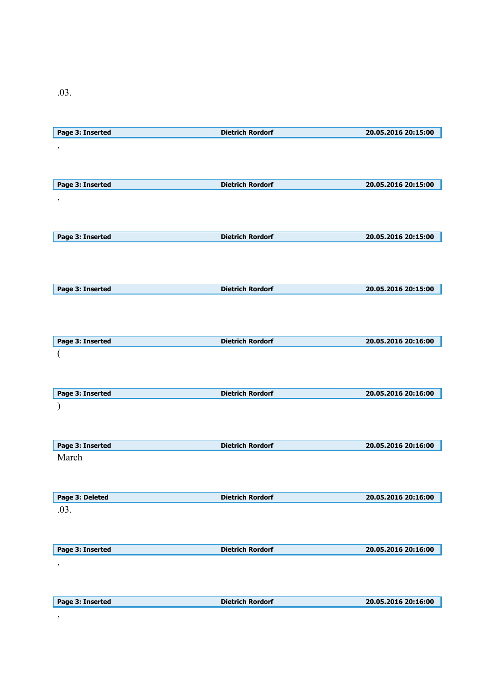.03.

| Page 3: Inserted | <b>Dietrich Rordorf</b> | 20.05.2016 20:15:00 |
|------------------|-------------------------|---------------------|
| $\,$             |                         |                     |
|                  |                         |                     |
|                  |                         |                     |
| Page 3: Inserted | <b>Dietrich Rordorf</b> | 20.05.2016 20:15:00 |
|                  |                         |                     |
| $\,$             |                         |                     |
|                  |                         |                     |
|                  |                         |                     |
| Page 3: Inserted | <b>Dietrich Rordorf</b> | 20.05.2016 20:15:00 |
|                  |                         |                     |
|                  |                         |                     |
|                  |                         |                     |
| Page 3: Inserted | <b>Dietrich Rordorf</b> | 20.05.2016 20:15:00 |
|                  |                         |                     |
|                  |                         |                     |
|                  |                         |                     |
| Page 3: Inserted | <b>Dietrich Rordorf</b> | 20.05.2016 20:16:00 |
|                  |                         |                     |
|                  |                         |                     |
|                  |                         |                     |
|                  |                         |                     |
| Page 3: Inserted | <b>Dietrich Rordorf</b> | 20.05.2016 20:16:00 |
|                  |                         |                     |
|                  |                         |                     |
|                  |                         |                     |
| Page 3: Inserted | <b>Dietrich Rordorf</b> | 20.05.2016 20:16:00 |
| March            |                         |                     |
|                  |                         |                     |
|                  |                         |                     |
| Page 3: Deleted  | <b>Dietrich Rordorf</b> | 20.05.2016 20:16:00 |
| .03.             |                         |                     |
|                  |                         |                     |
|                  |                         |                     |
|                  |                         |                     |
| Page 3: Inserted | <b>Dietrich Rordorf</b> | 20.05.2016 20:16:00 |
| $\,$             |                         |                     |
|                  |                         |                     |
|                  |                         |                     |
| Page 3: Inserted | <b>Dietrich Rordorf</b> | 20.05.2016 20:16:00 |
|                  |                         |                     |

,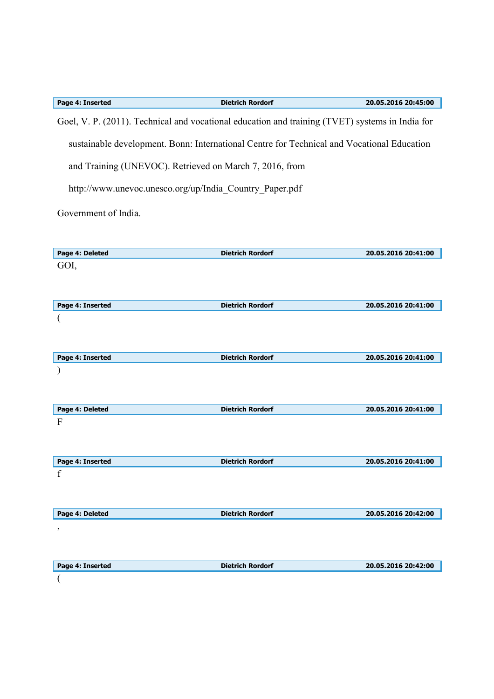| Page 4: Inserted | <b>Dietrich Rordorf</b>                                                                         | 20.05.2016 20:45:00 |
|------------------|-------------------------------------------------------------------------------------------------|---------------------|
|                  | Goel, V. P. (2011). Technical and vocational education and training (TVET) systems in India for |                     |
|                  | sustainable development. Bonn: International Centre for Technical and Vocational Education      |                     |
|                  | and Training (UNEVOC). Retrieved on March 7, 2016, from                                         |                     |
|                  | http://www.unevoc.unesco.org/up/India Country Paper.pdf                                         |                     |
|                  |                                                                                                 |                     |

Government of India.

| Page 4: Deleted          | <b>Dietrich Rordorf</b> | 20.05.2016 20:41:00 |
|--------------------------|-------------------------|---------------------|
| GOI,                     |                         |                     |
|                          |                         |                     |
|                          |                         |                     |
| Page 4: Inserted         | <b>Dietrich Rordorf</b> | 20.05.2016 20:41:00 |
|                          |                         |                     |
|                          |                         |                     |
|                          |                         |                     |
| Page 4: Inserted         | <b>Dietrich Rordorf</b> | 20.05.2016 20:41:00 |
|                          |                         |                     |
|                          |                         |                     |
|                          |                         |                     |
| Page 4: Deleted          | <b>Dietrich Rordorf</b> | 20.05.2016 20:41:00 |
| $\overline{F}$           |                         |                     |
|                          |                         |                     |
|                          |                         |                     |
| Page 4: Inserted         | <b>Dietrich Rordorf</b> | 20.05.2016 20:41:00 |
| $\mathbf f$              |                         |                     |
|                          |                         |                     |
|                          |                         |                     |
| Page 4: Deleted          | <b>Dietrich Rordorf</b> | 20.05.2016 20:42:00 |
| $\,$                     |                         |                     |
|                          |                         |                     |
|                          |                         |                     |
| Page 4: Inserted         | <b>Dietrich Rordorf</b> | 20.05.2016 20:42:00 |
| $\overline{\mathcal{L}}$ |                         |                     |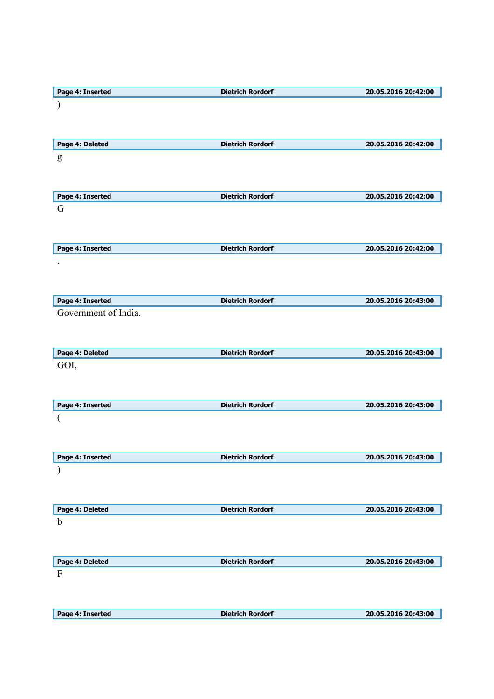| Page 4: Inserted     | <b>Dietrich Rordorf</b> | 20.05.2016 20:42:00 |
|----------------------|-------------------------|---------------------|
|                      |                         |                     |
|                      |                         |                     |
|                      |                         |                     |
| Page 4: Deleted      | <b>Dietrich Rordorf</b> | 20.05.2016 20:42:00 |
|                      |                         |                     |
| g                    |                         |                     |
|                      |                         |                     |
|                      |                         |                     |
| Page 4: Inserted     | <b>Dietrich Rordorf</b> | 20.05.2016 20:42:00 |
| G                    |                         |                     |
|                      |                         |                     |
|                      |                         |                     |
| Page 4: Inserted     | <b>Dietrich Rordorf</b> | 20.05.2016 20:42:00 |
|                      |                         |                     |
|                      |                         |                     |
|                      |                         |                     |
|                      |                         |                     |
| Page 4: Inserted     | <b>Dietrich Rordorf</b> | 20.05.2016 20:43:00 |
| Government of India. |                         |                     |
|                      |                         |                     |
|                      |                         |                     |
| Page 4: Deleted      | <b>Dietrich Rordorf</b> | 20.05.2016 20:43:00 |
| GOI,                 |                         |                     |
|                      |                         |                     |
|                      |                         |                     |
| Page 4: Inserted     | <b>Dietrich Rordorf</b> | 20.05.2016 20:43:00 |
|                      |                         |                     |
|                      |                         |                     |
|                      |                         |                     |
|                      |                         |                     |
| Page 4: Inserted     | <b>Dietrich Rordorf</b> | 20.05.2016 20:43:00 |
|                      |                         |                     |
|                      |                         |                     |
|                      |                         |                     |
| Page 4: Deleted      | <b>Dietrich Rordorf</b> | 20.05.2016 20:43:00 |
| $\mathbf b$          |                         |                     |
|                      |                         |                     |
|                      |                         |                     |
| Page 4: Deleted      | <b>Dietrich Rordorf</b> | 20.05.2016 20:43:00 |
| $\mathbf F$          |                         |                     |
|                      |                         |                     |
|                      |                         |                     |
|                      |                         |                     |
|                      |                         |                     |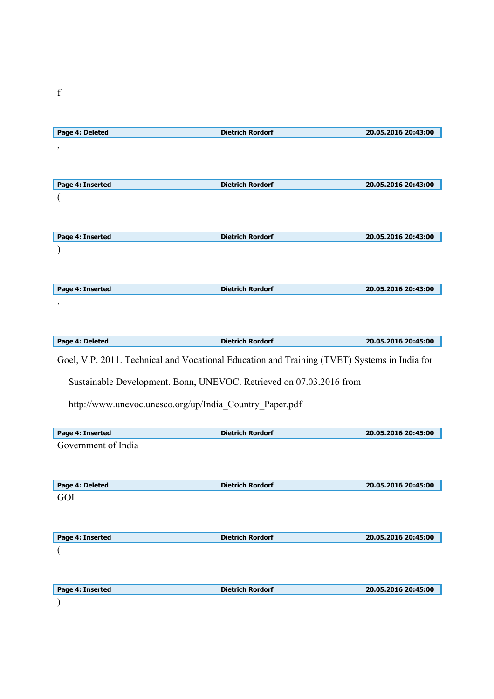| Page 4: Deleted                                                                              | <b>Dietrich Rordorf</b>                                             | 20.05.2016 20:43:00 |
|----------------------------------------------------------------------------------------------|---------------------------------------------------------------------|---------------------|
| ,                                                                                            |                                                                     |                     |
|                                                                                              |                                                                     |                     |
|                                                                                              |                                                                     |                     |
| Page 4: Inserted                                                                             | <b>Dietrich Rordorf</b>                                             | 20.05.2016 20:43:00 |
|                                                                                              |                                                                     |                     |
|                                                                                              |                                                                     |                     |
|                                                                                              |                                                                     |                     |
|                                                                                              |                                                                     |                     |
| Page 4: Inserted                                                                             | <b>Dietrich Rordorf</b>                                             | 20.05.2016 20:43:00 |
|                                                                                              |                                                                     |                     |
|                                                                                              |                                                                     |                     |
|                                                                                              |                                                                     |                     |
| Page 4: Inserted                                                                             | <b>Dietrich Rordorf</b>                                             | 20.05.2016 20:43:00 |
|                                                                                              |                                                                     |                     |
|                                                                                              |                                                                     |                     |
|                                                                                              |                                                                     |                     |
| Page 4: Deleted                                                                              | <b>Dietrich Rordorf</b>                                             | 20.05.2016 20:45:00 |
|                                                                                              |                                                                     |                     |
| Goel, V.P. 2011. Technical and Vocational Education and Training (TVET) Systems in India for |                                                                     |                     |
|                                                                                              |                                                                     |                     |
|                                                                                              | Sustainable Development. Bonn, UNEVOC. Retrieved on 07.03.2016 from |                     |
| http://www.unevoc.unesco.org/up/India Country Paper.pdf                                      |                                                                     |                     |
|                                                                                              |                                                                     |                     |
|                                                                                              |                                                                     |                     |
| Page 4: Inserted                                                                             | <b>Dietrich Rordorf</b>                                             | 20.05.2016 20:45:00 |
| Government of India                                                                          |                                                                     |                     |
|                                                                                              |                                                                     |                     |
|                                                                                              |                                                                     |                     |
| Page 4: Deleted                                                                              | <b>Dietrich Rordorf</b>                                             | 20.05.2016 20:45:00 |
| GOI                                                                                          |                                                                     |                     |
|                                                                                              |                                                                     |                     |
|                                                                                              |                                                                     |                     |
| Page 4: Inserted                                                                             | <b>Dietrich Rordorf</b>                                             | 20.05.2016 20:45:00 |
|                                                                                              |                                                                     |                     |
|                                                                                              |                                                                     |                     |
|                                                                                              |                                                                     |                     |
|                                                                                              |                                                                     |                     |
|                                                                                              |                                                                     |                     |
| Page 4: Inserted                                                                             | <b>Dietrich Rordorf</b>                                             | 20.05.2016 20:45:00 |
|                                                                                              |                                                                     |                     |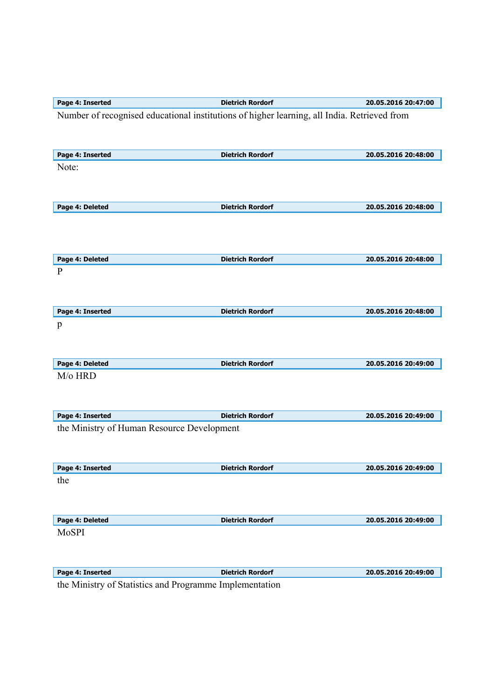| Page 4: Inserted                                                             | <b>Dietrich Rordorf</b>                                                                     | 20.05.2016 20:47:00 |
|------------------------------------------------------------------------------|---------------------------------------------------------------------------------------------|---------------------|
|                                                                              | Number of recognised educational institutions of higher learning, all India. Retrieved from |                     |
|                                                                              |                                                                                             |                     |
|                                                                              |                                                                                             |                     |
| Page 4: Inserted                                                             | <b>Dietrich Rordorf</b>                                                                     | 20.05.2016 20:48:00 |
| Note:                                                                        |                                                                                             |                     |
|                                                                              |                                                                                             |                     |
|                                                                              | <b>Dietrich Rordorf</b>                                                                     | 20.05.2016 20:48:00 |
| Page 4: Deleted                                                              |                                                                                             |                     |
|                                                                              |                                                                                             |                     |
|                                                                              |                                                                                             |                     |
| Page 4: Deleted                                                              | <b>Dietrich Rordorf</b>                                                                     | 20.05.2016 20:48:00 |
| $\mathbf{P}$                                                                 |                                                                                             |                     |
|                                                                              |                                                                                             |                     |
|                                                                              |                                                                                             |                     |
| Page 4: Inserted                                                             | <b>Dietrich Rordorf</b>                                                                     | 20.05.2016 20:48:00 |
| p                                                                            |                                                                                             |                     |
|                                                                              |                                                                                             |                     |
| Page 4: Deleted                                                              | <b>Dietrich Rordorf</b>                                                                     | 20.05.2016 20:49:00 |
| M/o HRD                                                                      |                                                                                             |                     |
|                                                                              |                                                                                             |                     |
|                                                                              |                                                                                             |                     |
| Page 4: Inserted                                                             | <b>Dietrich Rordorf</b>                                                                     | 20.05.2016 20:49:00 |
| the Ministry of Human Resource Development                                   |                                                                                             |                     |
|                                                                              |                                                                                             |                     |
|                                                                              |                                                                                             |                     |
| Page 4: Inserted                                                             | <b>Dietrich Rordorf</b>                                                                     | 20.05.2016 20:49:00 |
| the                                                                          |                                                                                             |                     |
|                                                                              |                                                                                             |                     |
| Page 4: Deleted                                                              | <b>Dietrich Rordorf</b>                                                                     | 20.05.2016 20:49:00 |
| MoSPI                                                                        |                                                                                             |                     |
|                                                                              |                                                                                             |                     |
|                                                                              |                                                                                             |                     |
| Page 4: Inserted                                                             | <b>Dietrich Rordorf</b>                                                                     | 20.05.2016 20:49:00 |
| $0.01 \times 10^{-1}$<br>$\mathbf{1}$ $\mathbf{X}$ $\mathbf{F}$ $\mathbf{F}$ | $\mathbf{r} = \mathbf{1}$ and $\mathbf{r} = \mathbf{r}$<br>$\overline{1}$                   |                     |

the Ministry of Statistics and Programme Implementation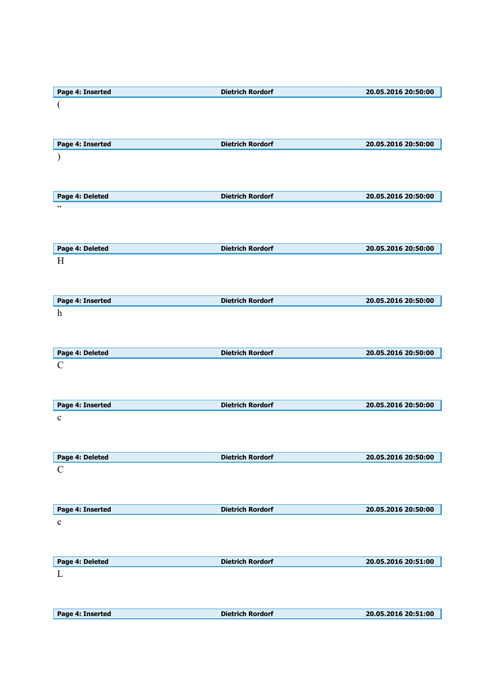| Page 4: Inserted | <b>Dietrich Rordorf</b> | 20.05.2016 20:50:00 |
|------------------|-------------------------|---------------------|
|                  |                         |                     |
|                  |                         |                     |
|                  |                         |                     |
| Page 4: Inserted | <b>Dietrich Rordorf</b> | 20.05.2016 20:50:00 |
|                  |                         |                     |
|                  |                         |                     |
|                  |                         |                     |
|                  |                         |                     |
| Page 4: Deleted  | <b>Dietrich Rordorf</b> | 20.05.2016 20:50:00 |
| $\zeta\,\zeta$   |                         |                     |
|                  |                         |                     |
|                  |                         |                     |
| Page 4: Deleted  | <b>Dietrich Rordorf</b> | 20.05.2016 20:50:00 |
| H                |                         |                     |
|                  |                         |                     |
|                  |                         |                     |
|                  |                         |                     |
| Page 4: Inserted | <b>Dietrich Rordorf</b> | 20.05.2016 20:50:00 |
| $\boldsymbol{h}$ |                         |                     |
|                  |                         |                     |
|                  |                         |                     |
| Page 4: Deleted  | <b>Dietrich Rordorf</b> | 20.05.2016 20:50:00 |
| $\mathbf C$      |                         |                     |
|                  |                         |                     |
|                  |                         |                     |
| Page 4: Inserted | <b>Dietrich Rordorf</b> | 20.05.2016 20:50:00 |
|                  |                         |                     |
| $\mathbf c$      |                         |                     |
|                  |                         |                     |
|                  |                         |                     |
| Page 4: Deleted  | <b>Dietrich Rordorf</b> | 20.05.2016 20:50:00 |
| $\mathbf C$      |                         |                     |
|                  |                         |                     |
|                  |                         |                     |
| Page 4: Inserted | <b>Dietrich Rordorf</b> | 20.05.2016 20:50:00 |
| $\mathbf c$      |                         |                     |
|                  |                         |                     |
|                  |                         |                     |
|                  |                         |                     |
| Page 4: Deleted  | <b>Dietrich Rordorf</b> | 20.05.2016 20:51:00 |
|                  |                         |                     |
| L                |                         |                     |
|                  |                         |                     |
|                  |                         |                     |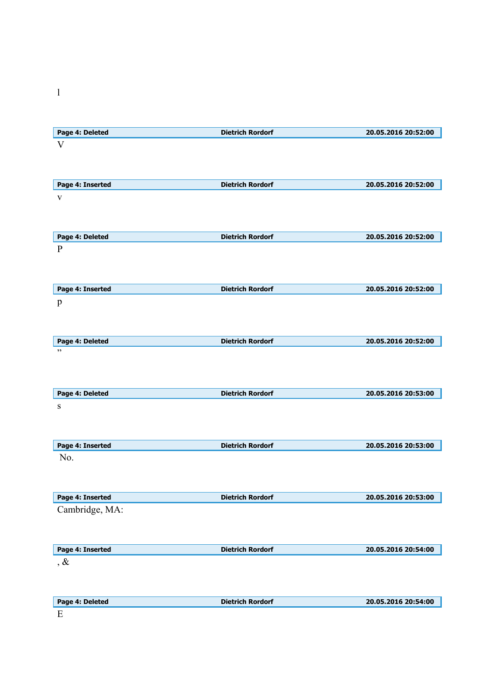| Page 4: Deleted  | <b>Dietrich Rordorf</b> | 20.05.2016 20:52:00 |
|------------------|-------------------------|---------------------|
| $\rm V$          |                         |                     |
|                  |                         |                     |
|                  |                         |                     |
| Page 4: Inserted | <b>Dietrich Rordorf</b> | 20.05.2016 20:52:00 |
|                  |                         |                     |
| $\mathbf{V}$     |                         |                     |
|                  |                         |                     |
|                  |                         |                     |
| Page 4: Deleted  | <b>Dietrich Rordorf</b> | 20.05.2016 20:52:00 |
| $\mathbf{P}$     |                         |                     |
|                  |                         |                     |
|                  |                         |                     |
| Page 4: Inserted | <b>Dietrich Rordorf</b> | 20.05.2016 20:52:00 |
| $\mathbf{p}$     |                         |                     |
|                  |                         |                     |
|                  |                         |                     |
| Page 4: Deleted  | <b>Dietrich Rordorf</b> | 20.05.2016 20:52:00 |
| , ,              |                         |                     |
|                  |                         |                     |
|                  |                         |                     |
|                  | <b>Dietrich Rordorf</b> | 20.05.2016 20:53:00 |
| Page 4: Deleted  |                         |                     |
| ${\bf S}$        |                         |                     |
|                  |                         |                     |
|                  |                         |                     |
| Page 4: Inserted | <b>Dietrich Rordorf</b> | 20.05.2016 20:53:00 |
| No.              |                         |                     |
|                  |                         |                     |
|                  |                         |                     |
| Page 4: Inserted | <b>Dietrich Rordorf</b> | 20.05.2016 20:53:00 |
| Cambridge, MA:   |                         |                     |
|                  |                         |                     |
|                  |                         |                     |
| Page 4: Inserted | <b>Dietrich Rordorf</b> | 20.05.2016 20:54:00 |
| $, \&$           |                         |                     |
|                  |                         |                     |
|                  |                         |                     |
| Page 4: Deleted  | <b>Dietrich Rordorf</b> | 20.05.2016 20:54:00 |
|                  |                         |                     |

 $\mathbf{l}$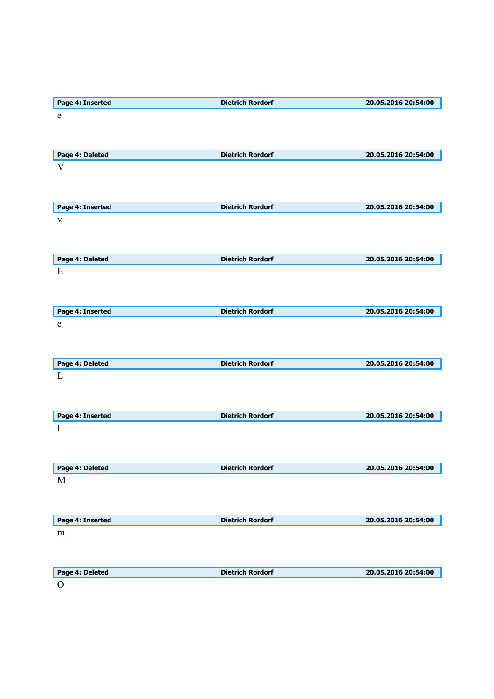| Page 4: Inserted | <b>Dietrich Rordorf</b> | 20.05.2016 20:54:00 |
|------------------|-------------------------|---------------------|
| $\mathbf e$      |                         |                     |
|                  |                         |                     |
|                  |                         |                     |
| Page 4: Deleted  | <b>Dietrich Rordorf</b> | 20.05.2016 20:54:00 |
| V                |                         |                     |
|                  |                         |                     |
|                  |                         |                     |
| Page 4: Inserted | <b>Dietrich Rordorf</b> | 20.05.2016 20:54:00 |
| $\mathbf{V}$     |                         |                     |
|                  |                         |                     |
|                  |                         |                     |
|                  |                         |                     |
| Page 4: Deleted  | <b>Dietrich Rordorf</b> | 20.05.2016 20:54:00 |
| E                |                         |                     |
|                  |                         |                     |
|                  |                         |                     |
| Page 4: Inserted | <b>Dietrich Rordorf</b> | 20.05.2016 20:54:00 |
| e                |                         |                     |
|                  |                         |                     |
|                  |                         |                     |
| Page 4: Deleted  | <b>Dietrich Rordorf</b> | 20.05.2016 20:54:00 |
| L                |                         |                     |
|                  |                         |                     |
|                  |                         |                     |
| Page 4: Inserted | <b>Dietrich Rordorf</b> | 20.05.2016 20:54:00 |
|                  |                         |                     |
|                  |                         |                     |
|                  |                         |                     |
| Page 4: Deleted  | <b>Dietrich Rordorf</b> | 20.05.2016 20:54:00 |
| M                |                         |                     |
|                  |                         |                     |
|                  |                         |                     |
| Page 4: Inserted | <b>Dietrich Rordorf</b> | 20.05.2016 20:54:00 |
| m                |                         |                     |
|                  |                         |                     |
|                  |                         |                     |
|                  |                         |                     |
| Page 4: Deleted  | <b>Dietrich Rordorf</b> | 20.05.2016 20:54:00 |
| $\Omega$         |                         |                     |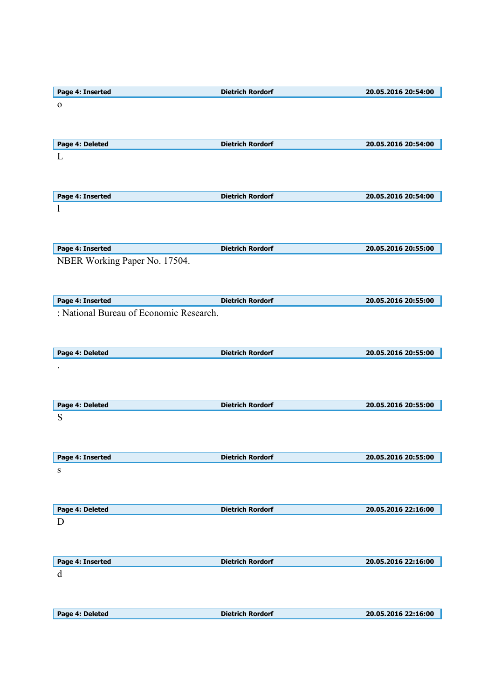| Page 4: Inserted                        | <b>Dietrich Rordorf</b> | 20.05.2016 20:54:00 |
|-----------------------------------------|-------------------------|---------------------|
| $\mathbf{o}$                            |                         |                     |
|                                         |                         |                     |
|                                         |                         |                     |
| Page 4: Deleted                         | <b>Dietrich Rordorf</b> | 20.05.2016 20:54:00 |
|                                         |                         |                     |
| L                                       |                         |                     |
|                                         |                         |                     |
|                                         |                         |                     |
| Page 4: Inserted                        | <b>Dietrich Rordorf</b> | 20.05.2016 20:54:00 |
| 1                                       |                         |                     |
|                                         |                         |                     |
|                                         |                         |                     |
|                                         |                         |                     |
| Page 4: Inserted                        | <b>Dietrich Rordorf</b> | 20.05.2016 20:55:00 |
| NBER Working Paper No. 17504.           |                         |                     |
|                                         |                         |                     |
|                                         |                         |                     |
|                                         |                         |                     |
| Page 4: Inserted                        | <b>Dietrich Rordorf</b> | 20.05.2016 20:55:00 |
| : National Bureau of Economic Research. |                         |                     |
|                                         |                         |                     |
|                                         |                         |                     |
| Page 4: Deleted                         | <b>Dietrich Rordorf</b> | 20.05.2016 20:55:00 |
|                                         |                         |                     |
|                                         |                         |                     |
|                                         |                         |                     |
|                                         |                         |                     |
| Page 4: Deleted                         | <b>Dietrich Rordorf</b> | 20.05.2016 20:55:00 |
| S                                       |                         |                     |
|                                         |                         |                     |
|                                         |                         |                     |
|                                         |                         |                     |
| Page 4: Inserted                        | <b>Dietrich Rordorf</b> | 20.05.2016 20:55:00 |
| S                                       |                         |                     |
|                                         |                         |                     |
|                                         |                         |                     |
|                                         |                         |                     |
| Page 4: Deleted                         | <b>Dietrich Rordorf</b> | 20.05.2016 22:16:00 |
| D                                       |                         |                     |
|                                         |                         |                     |
|                                         |                         |                     |
| Page 4: Inserted                        | <b>Dietrich Rordorf</b> | 20.05.2016 22:16:00 |
|                                         |                         |                     |
| d                                       |                         |                     |
|                                         |                         |                     |
|                                         |                         |                     |
|                                         |                         |                     |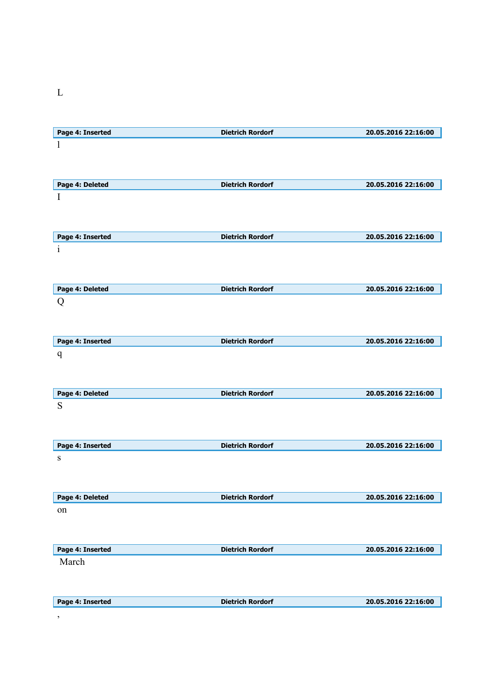L

| Page 4: Inserted | <b>Dietrich Rordorf</b> | 20.05.2016 22:16:00 |
|------------------|-------------------------|---------------------|
| 1                |                         |                     |
|                  |                         |                     |
|                  |                         |                     |
| Page 4: Deleted  | <b>Dietrich Rordorf</b> | 20.05.2016 22:16:00 |
|                  |                         |                     |
| I                |                         |                     |
|                  |                         |                     |
|                  |                         |                     |
| Page 4: Inserted | <b>Dietrich Rordorf</b> | 20.05.2016 22:16:00 |
|                  |                         |                     |
| $\mathbf{i}$     |                         |                     |
|                  |                         |                     |
|                  |                         |                     |
| Page 4: Deleted  | <b>Dietrich Rordorf</b> | 20.05.2016 22:16:00 |
| Q                |                         |                     |
|                  |                         |                     |
|                  |                         |                     |
|                  |                         |                     |
| Page 4: Inserted | <b>Dietrich Rordorf</b> | 20.05.2016 22:16:00 |
| $\mathbf q$      |                         |                     |
|                  |                         |                     |
|                  |                         |                     |
|                  |                         |                     |
| Page 4: Deleted  | <b>Dietrich Rordorf</b> | 20.05.2016 22:16:00 |
| S                |                         |                     |
|                  |                         |                     |
|                  |                         |                     |
|                  |                         |                     |
| Page 4: Inserted | <b>Dietrich Rordorf</b> | 20.05.2016 22:16:00 |
| S                |                         |                     |
|                  |                         |                     |
|                  |                         |                     |
|                  |                         |                     |
| Page 4: Deleted  | <b>Dietrich Rordorf</b> | 20.05.2016 22:16:00 |
| on               |                         |                     |
|                  |                         |                     |
|                  |                         |                     |
|                  |                         |                     |
| Page 4: Inserted | <b>Dietrich Rordorf</b> | 20.05.2016 22:16:00 |
| March            |                         |                     |
|                  |                         |                     |
|                  |                         |                     |
|                  |                         |                     |
| Page 4: Inserted | <b>Dietrich Rordorf</b> | 20.05.2016 22:16:00 |
| $\, \bullet$     |                         |                     |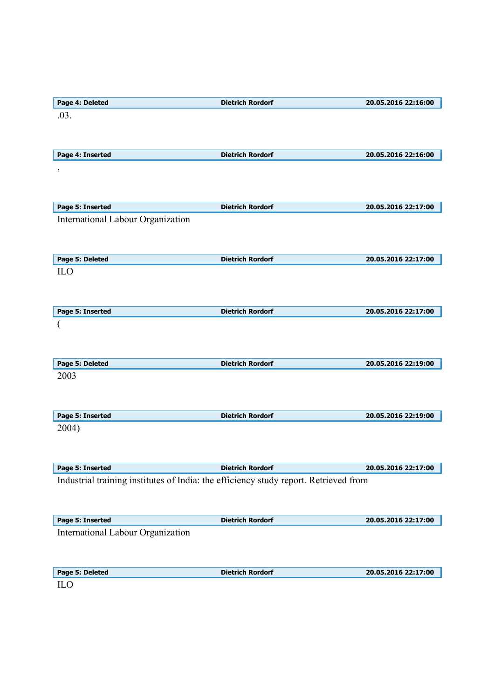| Page 4: Deleted                                                                      | <b>Dietrich Rordorf</b> | 20.05.2016 22:16:00 |
|--------------------------------------------------------------------------------------|-------------------------|---------------------|
| .03.                                                                                 |                         |                     |
|                                                                                      |                         |                     |
|                                                                                      |                         |                     |
| Page 4: Inserted                                                                     | <b>Dietrich Rordorf</b> | 20.05.2016 22:16:00 |
| $\pmb{\mathfrak{z}}$                                                                 |                         |                     |
|                                                                                      |                         |                     |
|                                                                                      |                         |                     |
| Page 5: Inserted                                                                     | <b>Dietrich Rordorf</b> | 20.05.2016 22:17:00 |
| International Labour Organization                                                    |                         |                     |
|                                                                                      |                         |                     |
|                                                                                      |                         |                     |
| Page 5: Deleted                                                                      | <b>Dietrich Rordorf</b> | 20.05.2016 22:17:00 |
| <b>ILO</b>                                                                           |                         |                     |
|                                                                                      |                         |                     |
|                                                                                      |                         |                     |
| Page 5: Inserted                                                                     | <b>Dietrich Rordorf</b> | 20.05.2016 22:17:00 |
|                                                                                      |                         |                     |
|                                                                                      |                         |                     |
|                                                                                      |                         |                     |
| Page 5: Deleted                                                                      | <b>Dietrich Rordorf</b> | 20.05.2016 22:19:00 |
| 2003                                                                                 |                         |                     |
|                                                                                      |                         |                     |
|                                                                                      |                         |                     |
|                                                                                      |                         |                     |
| Page 5: Inserted                                                                     | <b>Dietrich Rordorf</b> | 20.05.2016 22:19:00 |
| 2004)                                                                                |                         |                     |
|                                                                                      |                         |                     |
|                                                                                      |                         |                     |
| Page 5: Inserted                                                                     | <b>Dietrich Rordorf</b> | 20.05.2016 22:17:00 |
| Industrial training institutes of India: the efficiency study report. Retrieved from |                         |                     |
|                                                                                      |                         |                     |
|                                                                                      |                         |                     |
| Page 5: Inserted                                                                     | <b>Dietrich Rordorf</b> | 20.05.2016 22:17:00 |
| International Labour Organization                                                    |                         |                     |
|                                                                                      |                         |                     |
|                                                                                      |                         |                     |
| Page 5: Deleted                                                                      | <b>Dietrich Rordorf</b> | 20.05.2016 22:17:00 |
| ILO                                                                                  |                         |                     |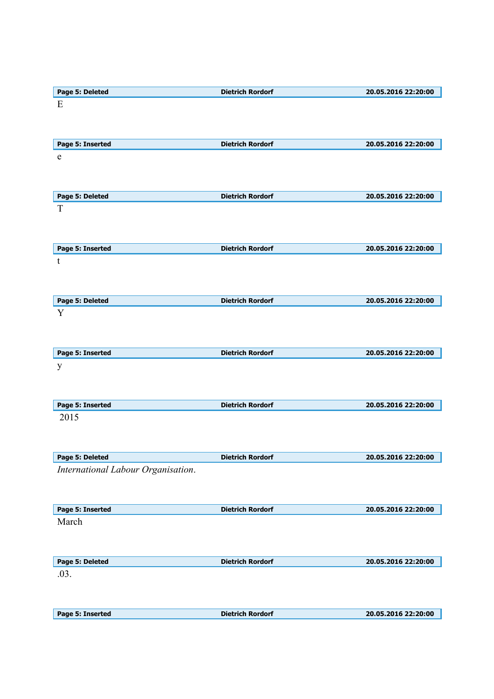| Page 5: Deleted                    | <b>Dietrich Rordorf</b> | 20.05.2016 22:20:00 |
|------------------------------------|-------------------------|---------------------|
| E                                  |                         |                     |
|                                    |                         |                     |
|                                    |                         |                     |
| Page 5: Inserted                   | <b>Dietrich Rordorf</b> | 20.05.2016 22:20:00 |
| $\mathbf e$                        |                         |                     |
|                                    |                         |                     |
|                                    |                         |                     |
|                                    | <b>Dietrich Rordorf</b> | 20.05.2016 22:20:00 |
| Page 5: Deleted<br>T               |                         |                     |
|                                    |                         |                     |
|                                    |                         |                     |
|                                    |                         |                     |
| Page 5: Inserted                   | <b>Dietrich Rordorf</b> | 20.05.2016 22:20:00 |
| $\mathbf t$                        |                         |                     |
|                                    |                         |                     |
|                                    |                         |                     |
| Page 5: Deleted                    | <b>Dietrich Rordorf</b> | 20.05.2016 22:20:00 |
| Y                                  |                         |                     |
|                                    |                         |                     |
|                                    |                         |                     |
| Page 5: Inserted                   | <b>Dietrich Rordorf</b> | 20.05.2016 22:20:00 |
| y                                  |                         |                     |
|                                    |                         |                     |
|                                    |                         |                     |
| Page 5: Inserted                   | <b>Dietrich Rordorf</b> | 20.05.2016 22:20:00 |
| 2015                               |                         |                     |
|                                    |                         |                     |
|                                    |                         |                     |
| Page 5: Deleted                    | <b>Dietrich Rordorf</b> | 20.05.2016 22:20:00 |
| International Labour Organisation. |                         |                     |
|                                    |                         |                     |
|                                    |                         |                     |
|                                    |                         |                     |
| Page 5: Inserted                   | <b>Dietrich Rordorf</b> | 20.05.2016 22:20:00 |
| March                              |                         |                     |
|                                    |                         |                     |
|                                    |                         |                     |
| Page 5: Deleted                    | <b>Dietrich Rordorf</b> | 20.05.2016 22:20:00 |
| .03.                               |                         |                     |
|                                    |                         |                     |
|                                    |                         |                     |
| Page 5: Inserted                   | <b>Dietrich Rordorf</b> | 20.05.2016 22:20:00 |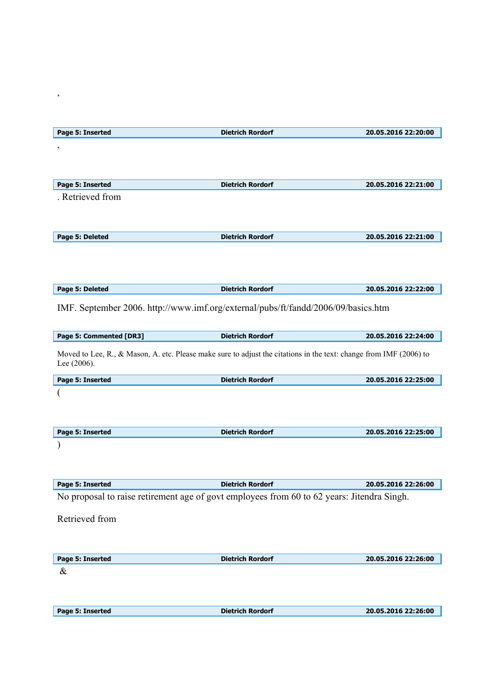| Page 5: Inserted                                                                                                                  | <b>Dietrich Rordorf</b> | 20.05.2016 22:20:00 |
|-----------------------------------------------------------------------------------------------------------------------------------|-------------------------|---------------------|
| ,                                                                                                                                 |                         |                     |
|                                                                                                                                   |                         |                     |
|                                                                                                                                   |                         |                     |
| Page 5: Inserted                                                                                                                  | <b>Dietrich Rordorf</b> | 20.05.2016 22:21:00 |
| . Retrieved from                                                                                                                  |                         |                     |
|                                                                                                                                   |                         |                     |
|                                                                                                                                   |                         |                     |
| Page 5: Deleted                                                                                                                   | <b>Dietrich Rordorf</b> | 20.05.2016 22:21:00 |
|                                                                                                                                   |                         |                     |
|                                                                                                                                   |                         |                     |
|                                                                                                                                   |                         |                     |
| Page 5: Deleted                                                                                                                   | <b>Dietrich Rordorf</b> | 20.05.2016 22:22:00 |
|                                                                                                                                   |                         |                     |
| IMF. September 2006. http://www.imf.org/external/pubs/ft/fandd/2006/09/basics.htm                                                 |                         |                     |
|                                                                                                                                   |                         |                     |
| Page 5: Commented [DR3]                                                                                                           | <b>Dietrich Rordorf</b> | 20.05.2016 22:24:00 |
|                                                                                                                                   |                         |                     |
| Moved to Lee, R., & Mason, A. etc. Please make sure to adjust the citations in the text: change from IMF (2006) to<br>Lee (2006). |                         |                     |
|                                                                                                                                   |                         |                     |
| Page 5: Inserted                                                                                                                  | <b>Dietrich Rordorf</b> | 20.05.2016 22:25:00 |
|                                                                                                                                   |                         |                     |
|                                                                                                                                   |                         |                     |
|                                                                                                                                   |                         |                     |
| Page 5: Inserted                                                                                                                  | <b>Dietrich Rordorf</b> | 20.05.2016 22:25:00 |
|                                                                                                                                   |                         |                     |
|                                                                                                                                   |                         |                     |
|                                                                                                                                   |                         |                     |
| Page 5: Inserted                                                                                                                  | <b>Dietrich Rordorf</b> | 20.05.2016 22:26:00 |
| No proposal to raise retirement age of govt employees from 60 to 62 years: Jitendra Singh.                                        |                         |                     |
|                                                                                                                                   |                         |                     |
| Retrieved from                                                                                                                    |                         |                     |
|                                                                                                                                   |                         |                     |
|                                                                                                                                   |                         |                     |
| Page 5: Inserted                                                                                                                  | <b>Dietrich Rordorf</b> | 20.05.2016 22:26:00 |
| &                                                                                                                                 |                         |                     |
|                                                                                                                                   |                         |                     |
|                                                                                                                                   |                         |                     |
| Page 5: Inserted                                                                                                                  | <b>Dietrich Rordorf</b> | 20.05.2016 22:26:00 |

,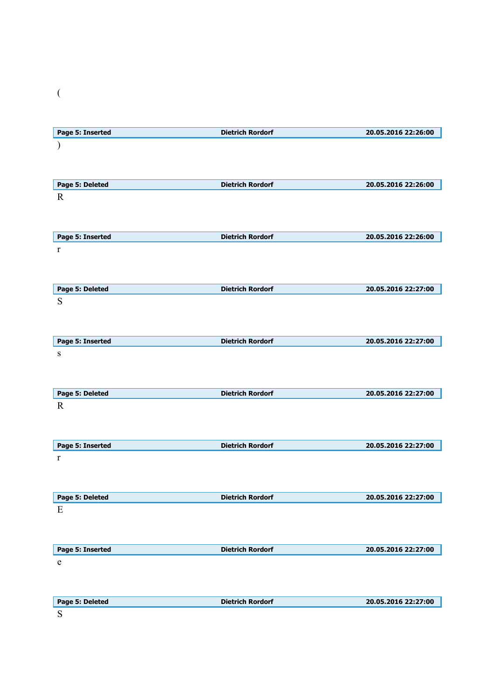| i<br>۰. |  |
|---------|--|
| 8       |  |

| Page 5: Inserted | <b>Dietrich Rordorf</b> | 20.05.2016 22:26:00 |
|------------------|-------------------------|---------------------|
|                  |                         |                     |
|                  |                         |                     |
|                  |                         |                     |
| Page 5: Deleted  | <b>Dietrich Rordorf</b> | 20.05.2016 22:26:00 |
| $\mathbf R$      |                         |                     |
|                  |                         |                     |
|                  |                         |                     |
|                  |                         |                     |
| Page 5: Inserted | <b>Dietrich Rordorf</b> | 20.05.2016 22:26:00 |
| $\bf r$          |                         |                     |
|                  |                         |                     |
|                  |                         |                     |
|                  |                         |                     |
| Page 5: Deleted  | <b>Dietrich Rordorf</b> | 20.05.2016 22:27:00 |
| S                |                         |                     |
|                  |                         |                     |
|                  |                         |                     |
|                  |                         |                     |
| Page 5: Inserted | <b>Dietrich Rordorf</b> | 20.05.2016 22:27:00 |
| ${\bf S}$        |                         |                     |
|                  |                         |                     |
|                  |                         |                     |
| Page 5: Deleted  | <b>Dietrich Rordorf</b> | 20.05.2016 22:27:00 |
| $\mathbf R$      |                         |                     |
|                  |                         |                     |
|                  |                         |                     |
|                  |                         |                     |
| Page 5: Inserted | <b>Dietrich Rordorf</b> | 20.05.2016 22:27:00 |
| $\bf r$          |                         |                     |
|                  |                         |                     |
|                  |                         |                     |
|                  |                         |                     |
| Page 5: Deleted  | <b>Dietrich Rordorf</b> | 20.05.2016 22:27:00 |
| E                |                         |                     |
|                  |                         |                     |
|                  |                         |                     |
|                  |                         |                     |
| Page 5: Inserted | <b>Dietrich Rordorf</b> | 20.05.2016 22:27:00 |
| $\mathbf e$      |                         |                     |
|                  |                         |                     |
|                  |                         |                     |
|                  |                         |                     |
| Page 5: Deleted  | <b>Dietrich Rordorf</b> | 20.05.2016 22:27:00 |
| ${\bf S}$        |                         |                     |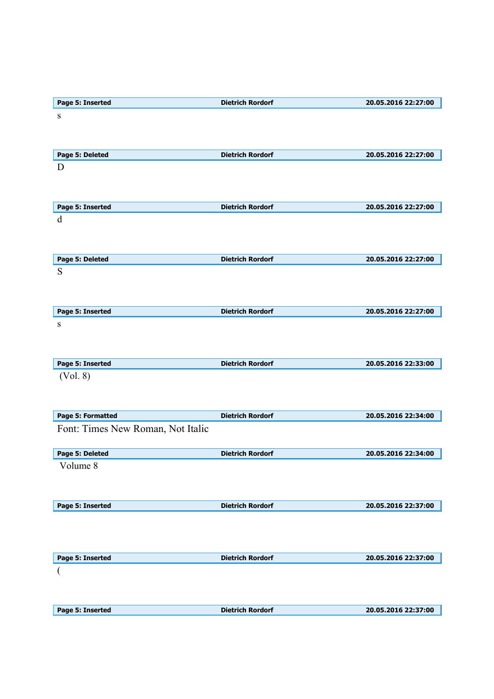| Page 5: Inserted                  | <b>Dietrich Rordorf</b> | 20.05.2016 22:27:00 |
|-----------------------------------|-------------------------|---------------------|
| ${\bf S}$                         |                         |                     |
|                                   |                         |                     |
|                                   |                         |                     |
| Page 5: Deleted                   | <b>Dietrich Rordorf</b> | 20.05.2016 22:27:00 |
| D                                 |                         |                     |
|                                   |                         |                     |
|                                   |                         |                     |
|                                   |                         |                     |
| Page 5: Inserted                  | <b>Dietrich Rordorf</b> | 20.05.2016 22:27:00 |
| $\mathbf d$                       |                         |                     |
|                                   |                         |                     |
|                                   |                         |                     |
| Page 5: Deleted                   | <b>Dietrich Rordorf</b> | 20.05.2016 22:27:00 |
| S                                 |                         |                     |
|                                   |                         |                     |
|                                   |                         |                     |
| Page 5: Inserted                  | <b>Dietrich Rordorf</b> | 20.05.2016 22:27:00 |
| ${\bf S}$                         |                         |                     |
|                                   |                         |                     |
|                                   |                         |                     |
| Page 5: Inserted                  | <b>Dietrich Rordorf</b> | 20.05.2016 22:33:00 |
| (Vol. 8)                          |                         |                     |
|                                   |                         |                     |
|                                   |                         |                     |
| Page 5: Formatted                 | <b>Dietrich Rordorf</b> | 20.05.2016 22:34:00 |
| Font: Times New Roman, Not Italic |                         |                     |
|                                   |                         |                     |
| Page 5: Deleted                   | <b>Dietrich Rordorf</b> | 20.05.2016 22:34:00 |
| Volume 8                          |                         |                     |
|                                   |                         |                     |
|                                   |                         |                     |
|                                   |                         |                     |
| Page 5: Inserted                  | <b>Dietrich Rordorf</b> | 20.05.2016 22:37:00 |
|                                   |                         |                     |
|                                   |                         |                     |
|                                   |                         |                     |
| Page 5: Inserted                  | <b>Dietrich Rordorf</b> | 20.05.2016 22:37:00 |
|                                   |                         |                     |
|                                   |                         |                     |
|                                   |                         |                     |
| Page 5: Inserted                  | <b>Dietrich Rordorf</b> | 20.05.2016 22:37:00 |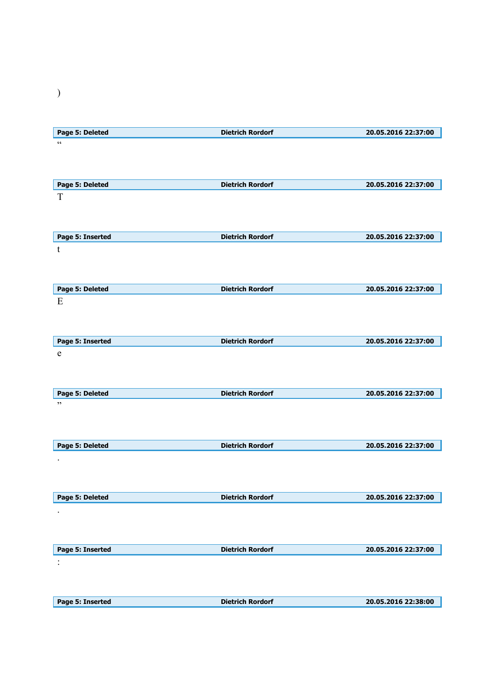| Page 5: Deleted  | <b>Dietrich Rordorf</b> | 20.05.2016 22:37:00 |
|------------------|-------------------------|---------------------|
| $\zeta$ $\zeta$  |                         |                     |
|                  |                         |                     |
|                  |                         |                     |
|                  |                         |                     |
| Page 5: Deleted  | <b>Dietrich Rordorf</b> | 20.05.2016 22:37:00 |
| T                |                         |                     |
|                  |                         |                     |
|                  |                         |                     |
|                  |                         |                     |
| Page 5: Inserted | <b>Dietrich Rordorf</b> | 20.05.2016 22:37:00 |
| t                |                         |                     |
|                  |                         |                     |
|                  |                         |                     |
|                  |                         |                     |
| Page 5: Deleted  | <b>Dietrich Rordorf</b> | 20.05.2016 22:37:00 |
| E                |                         |                     |
|                  |                         |                     |
|                  |                         |                     |
|                  |                         |                     |
| Page 5: Inserted | <b>Dietrich Rordorf</b> | 20.05.2016 22:37:00 |
| $\mathbf e$      |                         |                     |
|                  |                         |                     |
|                  |                         |                     |
|                  |                         |                     |
| Page 5: Deleted  | <b>Dietrich Rordorf</b> | 20.05.2016 22:37:00 |
| , ,              |                         |                     |
|                  |                         |                     |
|                  |                         |                     |
|                  |                         |                     |
| Page 5: Deleted  | <b>Dietrich Rordorf</b> | 20.05.2016 22:37:00 |
| $\bullet$        |                         |                     |
|                  |                         |                     |
|                  |                         |                     |
|                  |                         |                     |
| Page 5: Deleted  | <b>Dietrich Rordorf</b> | 20.05.2016 22:37:00 |
|                  |                         |                     |
|                  |                         |                     |
|                  |                         |                     |
|                  |                         |                     |
| Page 5: Inserted | <b>Dietrich Rordorf</b> | 20.05.2016 22:37:00 |
| $\ddot{\cdot}$   |                         |                     |
|                  |                         |                     |
|                  |                         |                     |
|                  |                         |                     |
| Page 5: Inserted | <b>Dietrich Rordorf</b> | 20.05.2016 22:38:00 |
|                  |                         |                     |

)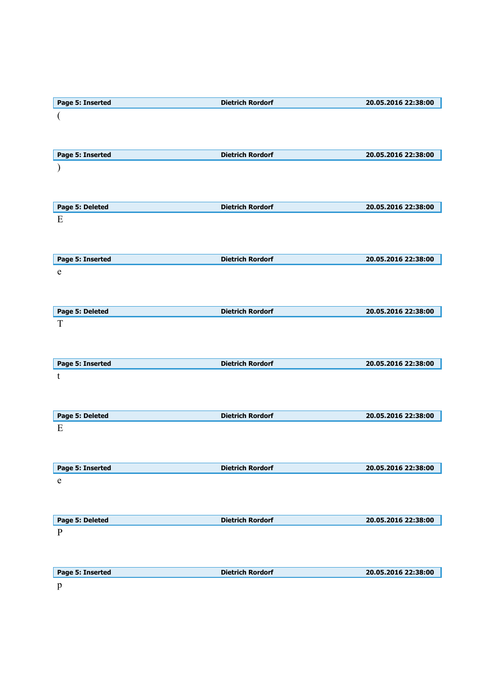| Page 5: Inserted | <b>Dietrich Rordorf</b> | 20.05.2016 22:38:00 |
|------------------|-------------------------|---------------------|
|                  |                         |                     |
|                  |                         |                     |
|                  |                         |                     |
| Page 5: Inserted | <b>Dietrich Rordorf</b> | 20.05.2016 22:38:00 |
|                  |                         |                     |
|                  |                         |                     |
|                  |                         |                     |
| Page 5: Deleted  | <b>Dietrich Rordorf</b> | 20.05.2016 22:38:00 |
| E                |                         |                     |
|                  |                         |                     |
|                  |                         |                     |
| Page 5: Inserted | <b>Dietrich Rordorf</b> | 20.05.2016 22:38:00 |
| $\mathbf e$      |                         |                     |
|                  |                         |                     |
|                  |                         |                     |
| Page 5: Deleted  | <b>Dietrich Rordorf</b> | 20.05.2016 22:38:00 |
| T                |                         |                     |
|                  |                         |                     |
|                  |                         |                     |
| Page 5: Inserted | <b>Dietrich Rordorf</b> | 20.05.2016 22:38:00 |
| t                |                         |                     |
|                  |                         |                     |
|                  |                         |                     |
| Page 5: Deleted  | <b>Dietrich Rordorf</b> | 20.05.2016 22:38:00 |
| E                |                         |                     |
|                  |                         |                     |
|                  |                         |                     |
| Page 5: Inserted | <b>Dietrich Rordorf</b> | 20.05.2016 22:38:00 |
| e                |                         |                     |
|                  |                         |                     |
|                  |                         |                     |
| Page 5: Deleted  | <b>Dietrich Rordorf</b> | 20.05.2016 22:38:00 |
| $\, {\bf p}$     |                         |                     |
|                  |                         |                     |
|                  |                         |                     |
| Page 5: Inserted | <b>Dietrich Rordorf</b> | 20.05.2016 22:38:00 |
| $\, {\bf p}$     |                         |                     |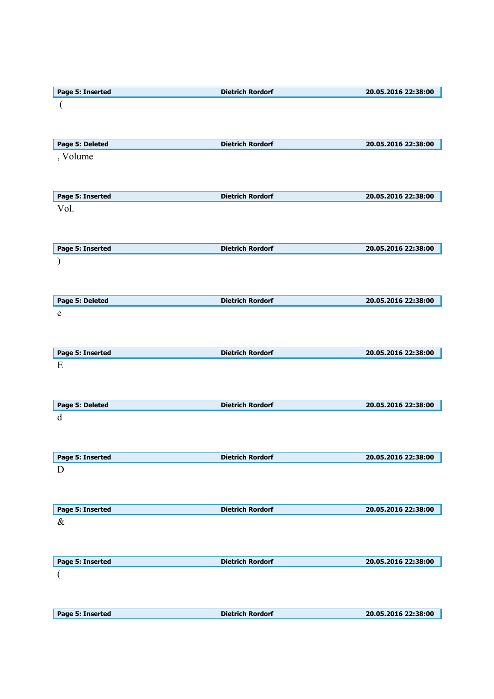| Page 5: Inserted | <b>Dietrich Rordorf</b> | 20.05.2016 22:38:00 |
|------------------|-------------------------|---------------------|
|                  |                         |                     |
|                  |                         |                     |
|                  |                         |                     |
|                  |                         |                     |
| Page 5: Deleted  | <b>Dietrich Rordorf</b> | 20.05.2016 22:38:00 |
| , Volume         |                         |                     |
|                  |                         |                     |
|                  |                         |                     |
|                  | <b>Dietrich Rordorf</b> |                     |
| Page 5: Inserted |                         | 20.05.2016 22:38:00 |
| Vol.             |                         |                     |
|                  |                         |                     |
|                  |                         |                     |
| Page 5: Inserted | <b>Dietrich Rordorf</b> | 20.05.2016 22:38:00 |
|                  |                         |                     |
|                  |                         |                     |
|                  |                         |                     |
|                  |                         |                     |
| Page 5: Deleted  | <b>Dietrich Rordorf</b> | 20.05.2016 22:38:00 |
| e                |                         |                     |
|                  |                         |                     |
|                  |                         |                     |
|                  |                         |                     |
| Page 5: Inserted | <b>Dietrich Rordorf</b> | 20.05.2016 22:38:00 |
| E                |                         |                     |
|                  |                         |                     |
|                  |                         |                     |
|                  |                         |                     |
|                  |                         |                     |
| Page 5: Deleted  | <b>Dietrich Rordorf</b> | 20.05.2016 22:38:00 |
| d                |                         |                     |
|                  |                         |                     |
|                  |                         |                     |
|                  |                         |                     |
| Page 5: Inserted | <b>Dietrich Rordorf</b> | 20.05.2016 22:38:00 |
| D                |                         |                     |
|                  |                         |                     |
|                  |                         |                     |
| Page 5: Inserted | <b>Dietrich Rordorf</b> | 20.05.2016 22:38:00 |
| $\&$             |                         |                     |
|                  |                         |                     |
|                  |                         |                     |
|                  |                         |                     |
| Page 5: Inserted | <b>Dietrich Rordorf</b> | 20.05.2016 22:38:00 |
| (                |                         |                     |
|                  |                         |                     |
|                  |                         |                     |
| Page 5: Inserted | <b>Dietrich Rordorf</b> | 20.05.2016 22:38:00 |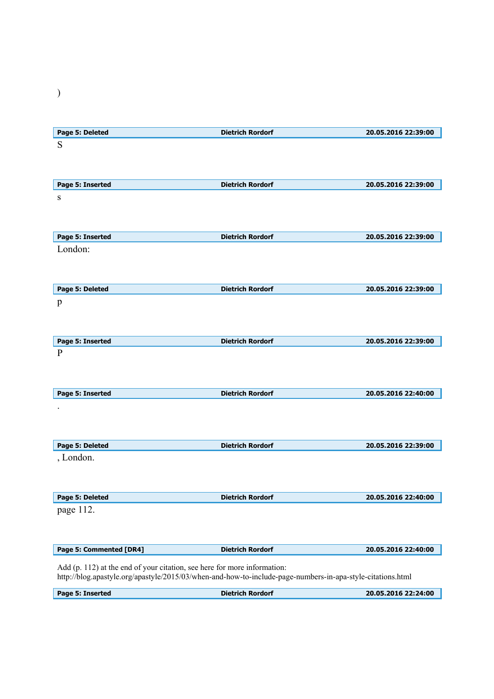| Page 5: Deleted  | <b>Dietrich Rordorf</b> | 20.05.2016 22:39:00 |
|------------------|-------------------------|---------------------|
| S                |                         |                     |
|                  |                         |                     |
|                  |                         |                     |
|                  |                         |                     |
| Page 5: Inserted | <b>Dietrich Rordorf</b> | 20.05.2016 22:39:00 |
| ${\bf S}$        |                         |                     |
|                  |                         |                     |
|                  |                         |                     |
| Page 5: Inserted | <b>Dietrich Rordorf</b> | 20.05.2016 22:39:00 |
| London:          |                         |                     |
|                  |                         |                     |
|                  |                         |                     |
|                  |                         |                     |
| Page 5: Deleted  | <b>Dietrich Rordorf</b> | 20.05.2016 22:39:00 |
| p                |                         |                     |
|                  |                         |                     |
|                  |                         |                     |
| Page 5: Inserted | <b>Dietrich Rordorf</b> | 20.05.2016 22:39:00 |
| $\mathbf{P}$     |                         |                     |
|                  |                         |                     |
|                  |                         |                     |
|                  |                         |                     |
| Page 5: Inserted | <b>Dietrich Rordorf</b> | 20.05.2016 22:40:00 |
|                  |                         |                     |
|                  |                         |                     |
|                  |                         |                     |
| Page 5: Deleted  | <b>Dietrich Rordorf</b> | 20.05.2016 22:39:00 |
| , London.        |                         |                     |
|                  |                         |                     |
|                  |                         |                     |
|                  |                         |                     |
| Page 5: Deleted  | <b>Dietrich Rordorf</b> | 20.05.2016 22:40:00 |
|                  |                         |                     |

page 112.

| Page 5: Commented [DR4] | <b>Dietrich Rordorf</b> | 20.05.2016 22:40:00 |
|-------------------------|-------------------------|---------------------|
|                         |                         |                     |

Add (p. 112) at the end of your citation, see here for more information: http://blog.apastyle.org/apastyle/2015/03/when-and-how-to-include-page-numbers-in-apa-style-citations.html

| Page 5: Inserted | . IF<br>когаоп<br>. | 15.2016 22:24:00<br>20 |
|------------------|---------------------|------------------------|
|                  |                     |                        |

)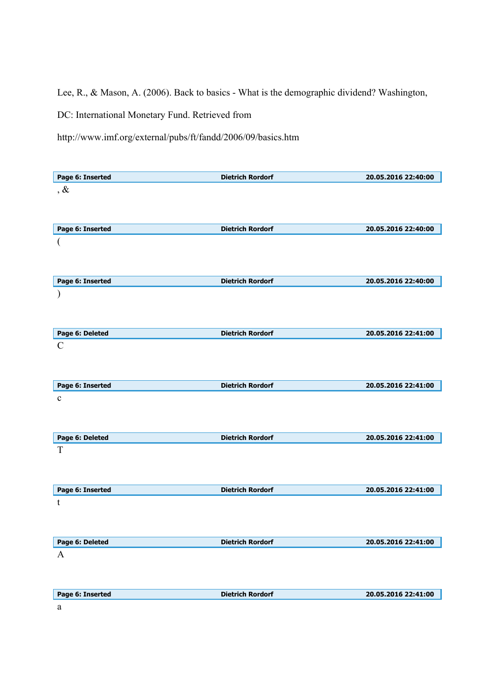Lee, R., & Mason, A. (2006). Back to basics - What is the demographic dividend? Washington,

DC: International Monetary Fund. Retrieved from

http://www.imf.org/external/pubs/ft/fandd/2006/09/basics.htm

| Page 6: Inserted      | <b>Dietrich Rordorf</b> | 20.05.2016 22:40:00 |
|-----------------------|-------------------------|---------------------|
| $, \&$                |                         |                     |
|                       |                         |                     |
|                       |                         |                     |
| Page 6: Inserted      | <b>Dietrich Rordorf</b> | 20.05.2016 22:40:00 |
| (                     |                         |                     |
|                       |                         |                     |
|                       |                         |                     |
| Page 6: Inserted      | <b>Dietrich Rordorf</b> | 20.05.2016 22:40:00 |
|                       |                         |                     |
|                       |                         |                     |
|                       |                         |                     |
|                       |                         |                     |
| Page 6: Deleted       | <b>Dietrich Rordorf</b> | 20.05.2016 22:41:00 |
| $\mathcal{C}$         |                         |                     |
|                       |                         |                     |
|                       |                         |                     |
| Page 6: Inserted      | <b>Dietrich Rordorf</b> | 20.05.2016 22:41:00 |
| $\mathbf{C}$          |                         |                     |
|                       |                         |                     |
|                       |                         |                     |
|                       |                         |                     |
| Page 6: Deleted       | <b>Dietrich Rordorf</b> | 20.05.2016 22:41:00 |
| T                     |                         |                     |
|                       |                         |                     |
|                       |                         |                     |
|                       |                         |                     |
| Page 6: Inserted<br>t | <b>Dietrich Rordorf</b> | 20.05.2016 22:41:00 |
|                       |                         |                     |
|                       |                         |                     |
|                       |                         |                     |
|                       | <b>Dietrich Rordorf</b> | 20.05.2016 22:41:00 |
| Page 6: Deleted<br>A  |                         |                     |
|                       |                         |                     |
|                       |                         |                     |
| Page 6: Inserted<br>a | <b>Dietrich Rordorf</b> | 20.05.2016 22:41:00 |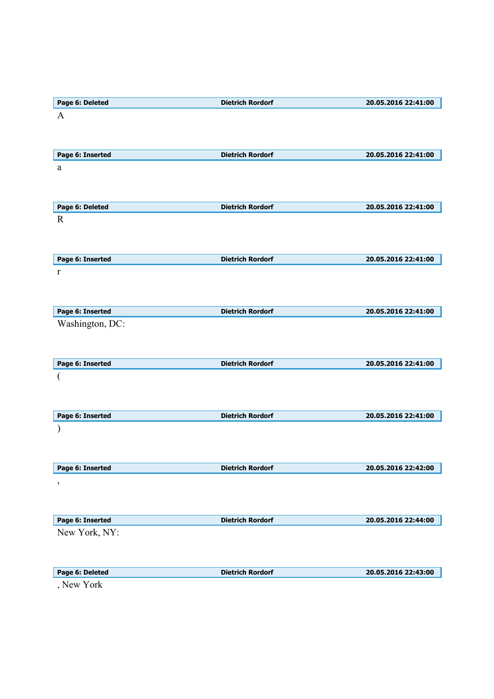| Page 6: Deleted  | <b>Dietrich Rordorf</b> | 20.05.2016 22:41:00 |
|------------------|-------------------------|---------------------|
| $\mathbf{A}$     |                         |                     |
|                  |                         |                     |
|                  |                         |                     |
| Page 6: Inserted | <b>Dietrich Rordorf</b> | 20.05.2016 22:41:00 |
| a                |                         |                     |
|                  |                         |                     |
|                  |                         |                     |
| Page 6: Deleted  | <b>Dietrich Rordorf</b> | 20.05.2016 22:41:00 |
| $\mathbf R$      |                         |                     |
|                  |                         |                     |
|                  |                         |                     |
|                  |                         |                     |
| Page 6: Inserted | <b>Dietrich Rordorf</b> | 20.05.2016 22:41:00 |
| r                |                         |                     |
|                  |                         |                     |
|                  |                         |                     |
| Page 6: Inserted | <b>Dietrich Rordorf</b> | 20.05.2016 22:41:00 |
| Washington, DC:  |                         |                     |
|                  |                         |                     |
|                  |                         |                     |
| Page 6: Inserted | <b>Dietrich Rordorf</b> | 20.05.2016 22:41:00 |
| (                |                         |                     |
|                  |                         |                     |
|                  |                         |                     |
| Page 6: Inserted | <b>Dietrich Rordorf</b> | 20.05.2016 22:41:00 |
|                  |                         |                     |
|                  |                         |                     |
|                  |                         |                     |
| Page 6: Inserted | <b>Dietrich Rordorf</b> | 20.05.2016 22:42:00 |
|                  |                         |                     |
| $\,$             |                         |                     |
|                  |                         |                     |
| Page 6: Inserted | <b>Dietrich Rordorf</b> | 20.05.2016 22:44:00 |
| New York, NY:    |                         |                     |
|                  |                         |                     |
|                  |                         |                     |
|                  |                         |                     |
| Page 6: Deleted  | <b>Dietrich Rordorf</b> | 20.05.2016 22:43:00 |
| , New York       |                         |                     |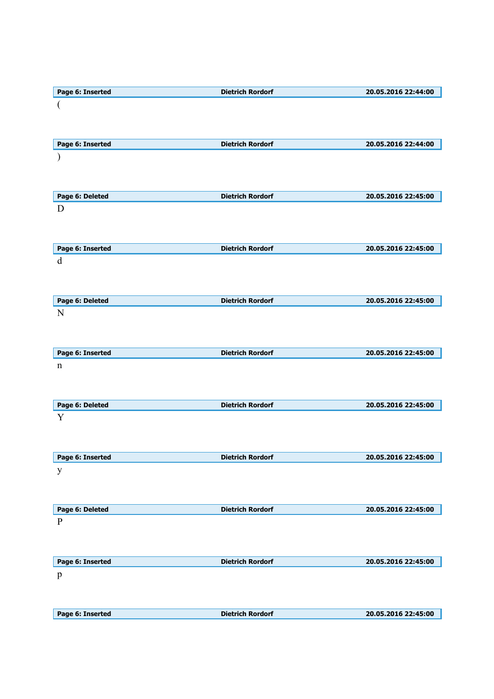| Page 6: Inserted | <b>Dietrich Rordorf</b> | 20.05.2016 22:44:00 |
|------------------|-------------------------|---------------------|
|                  |                         |                     |
|                  |                         |                     |
|                  |                         |                     |
|                  |                         |                     |
| Page 6: Inserted | <b>Dietrich Rordorf</b> | 20.05.2016 22:44:00 |
|                  |                         |                     |
|                  |                         |                     |
|                  |                         |                     |
|                  |                         |                     |
| Page 6: Deleted  | <b>Dietrich Rordorf</b> | 20.05.2016 22:45:00 |
| D                |                         |                     |
|                  |                         |                     |
|                  |                         |                     |
| Page 6: Inserted | <b>Dietrich Rordorf</b> | 20.05.2016 22:45:00 |
| $\mathbf d$      |                         |                     |
|                  |                         |                     |
|                  |                         |                     |
|                  |                         |                     |
| Page 6: Deleted  | <b>Dietrich Rordorf</b> | 20.05.2016 22:45:00 |
| N                |                         |                     |
|                  |                         |                     |
|                  |                         |                     |
| Page 6: Inserted | <b>Dietrich Rordorf</b> | 20.05.2016 22:45:00 |
|                  |                         |                     |
| $\mathbf n$      |                         |                     |
|                  |                         |                     |
|                  |                         |                     |
| Page 6: Deleted  | <b>Dietrich Rordorf</b> | 20.05.2016 22:45:00 |
| Y                |                         |                     |
|                  |                         |                     |
|                  |                         |                     |
|                  |                         |                     |
| Page 6: Inserted | <b>Dietrich Rordorf</b> | 20.05.2016 22:45:00 |
| y                |                         |                     |
|                  |                         |                     |
|                  |                         |                     |
| Page 6: Deleted  | <b>Dietrich Rordorf</b> | 20.05.2016 22:45:00 |
| $\mathbf{P}$     |                         |                     |
|                  |                         |                     |
|                  |                         |                     |
|                  |                         |                     |
| Page 6: Inserted | <b>Dietrich Rordorf</b> | 20.05.2016 22:45:00 |
| $\mathbf{p}$     |                         |                     |
|                  |                         |                     |
|                  |                         |                     |
| Page 6: Inserted | <b>Dietrich Rordorf</b> | 20.05.2016 22:45:00 |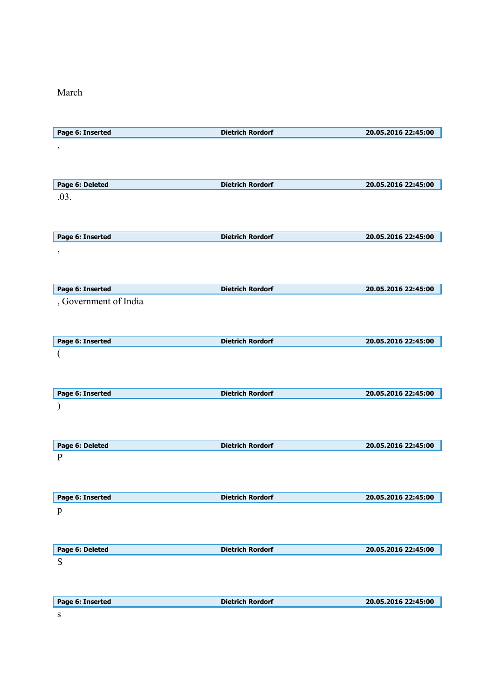March

| Page 6: Inserted                | <b>Dietrich Rordorf</b> | 20.05.2016 22:45:00 |
|---------------------------------|-------------------------|---------------------|
| $\, ,$                          |                         |                     |
|                                 |                         |                     |
|                                 |                         |                     |
| Page 6: Deleted                 | <b>Dietrich Rordorf</b> | 20.05.2016 22:45:00 |
| .03.                            |                         |                     |
|                                 |                         |                     |
|                                 |                         |                     |
| Page 6: Inserted                | <b>Dietrich Rordorf</b> | 20.05.2016 22:45:00 |
| $\, ,$                          |                         |                     |
|                                 |                         |                     |
| Page 6: Inserted                | <b>Dietrich Rordorf</b> | 20.05.2016 22:45:00 |
| , Government of India           |                         |                     |
|                                 |                         |                     |
|                                 |                         |                     |
| Page 6: Inserted                | <b>Dietrich Rordorf</b> | 20.05.2016 22:45:00 |
|                                 |                         |                     |
|                                 |                         |                     |
|                                 |                         |                     |
| Page 6: Inserted                | <b>Dietrich Rordorf</b> | 20.05.2016 22:45:00 |
|                                 |                         |                     |
|                                 |                         |                     |
|                                 |                         |                     |
| Page 6: Deleted<br>$\mathbf{P}$ | <b>Dietrich Rordorf</b> | 20.05.2016 22:45:00 |
|                                 |                         |                     |
|                                 |                         |                     |
| Page 6: Inserted                | <b>Dietrich Rordorf</b> | 20.05.2016 22:45:00 |
| $\mathbf{p}$                    |                         |                     |
|                                 |                         |                     |
|                                 |                         |                     |
| Page 6: Deleted                 | <b>Dietrich Rordorf</b> | 20.05.2016 22:45:00 |
| S                               |                         |                     |
|                                 |                         |                     |
|                                 |                         |                     |
| Page 6: Inserted                | <b>Dietrich Rordorf</b> | 20.05.2016 22:45:00 |
| S                               |                         |                     |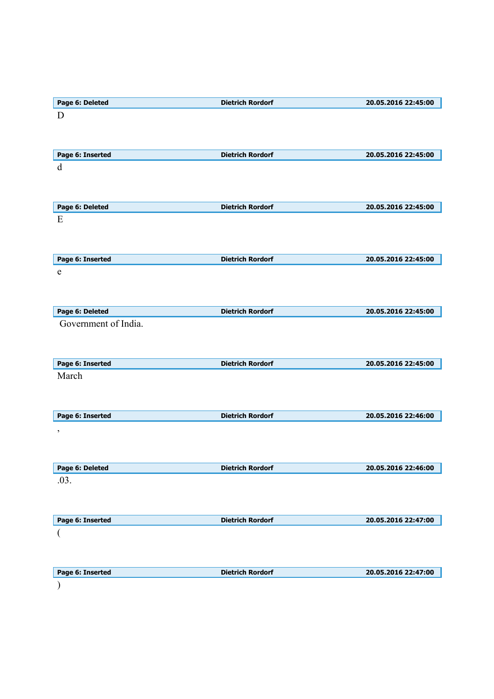| Page 6: Deleted                             | <b>Dietrich Rordorf</b> | 20.05.2016 22:45:00 |
|---------------------------------------------|-------------------------|---------------------|
| D                                           |                         |                     |
| Page 6: Inserted                            | <b>Dietrich Rordorf</b> | 20.05.2016 22:45:00 |
| d                                           |                         |                     |
| Page 6: Deleted                             | <b>Dietrich Rordorf</b> | 20.05.2016 22:45:00 |
| E                                           |                         |                     |
| Page 6: Inserted                            | <b>Dietrich Rordorf</b> | 20.05.2016 22:45:00 |
| e                                           |                         |                     |
| Page 6: Deleted                             | <b>Dietrich Rordorf</b> | 20.05.2016 22:45:00 |
|                                             |                         |                     |
| Government of India.                        |                         |                     |
| Page 6: Inserted                            | <b>Dietrich Rordorf</b> | 20.05.2016 22:45:00 |
| March                                       |                         |                     |
|                                             | <b>Dietrich Rordorf</b> | 20.05.2016 22:46:00 |
|                                             |                         |                     |
| Page 6: Inserted<br>$\,$<br>Page 6: Deleted | <b>Dietrich Rordorf</b> | 20.05.2016 22:46:00 |
| .03.                                        |                         |                     |
| Page 6: Inserted                            | <b>Dietrich Rordorf</b> | 20.05.2016 22:47:00 |
| (                                           |                         |                     |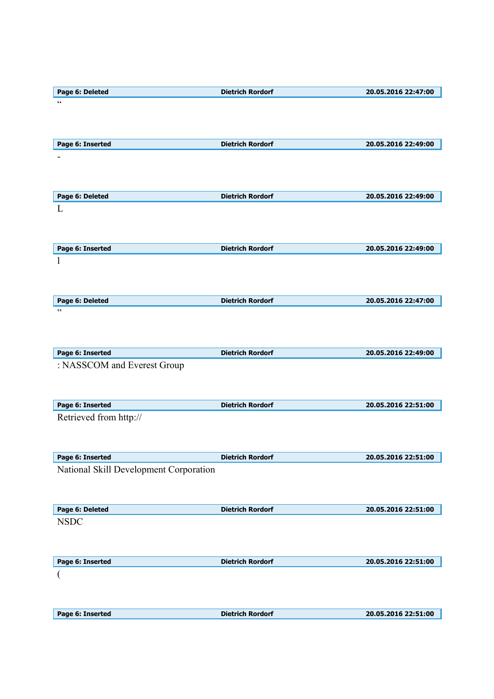| Page 6: Deleted                        | <b>Dietrich Rordorf</b> | 20.05.2016 22:47:00 |
|----------------------------------------|-------------------------|---------------------|
| $\zeta\,\zeta$                         |                         |                     |
|                                        |                         |                     |
|                                        |                         |                     |
|                                        |                         |                     |
| Page 6: Inserted                       | <b>Dietrich Rordorf</b> | 20.05.2016 22:49:00 |
|                                        |                         |                     |
|                                        |                         |                     |
|                                        |                         |                     |
| Page 6: Deleted                        | <b>Dietrich Rordorf</b> | 20.05.2016 22:49:00 |
|                                        |                         |                     |
| L                                      |                         |                     |
|                                        |                         |                     |
|                                        |                         |                     |
| Page 6: Inserted                       | <b>Dietrich Rordorf</b> | 20.05.2016 22:49:00 |
| $\mathbf{l}$                           |                         |                     |
|                                        |                         |                     |
|                                        |                         |                     |
|                                        |                         |                     |
| Page 6: Deleted                        | <b>Dietrich Rordorf</b> | 20.05.2016 22:47:00 |
| ,,                                     |                         |                     |
|                                        |                         |                     |
|                                        |                         |                     |
| Page 6: Inserted                       | <b>Dietrich Rordorf</b> | 20.05.2016 22:49:00 |
| : NASSCOM and Everest Group            |                         |                     |
|                                        |                         |                     |
|                                        |                         |                     |
|                                        |                         |                     |
| Page 6: Inserted                       | <b>Dietrich Rordorf</b> | 20.05.2016 22:51:00 |
| Retrieved from http://                 |                         |                     |
|                                        |                         |                     |
|                                        |                         |                     |
|                                        |                         |                     |
| Page 6: Inserted                       | <b>Dietrich Rordorf</b> | 20.05.2016 22:51:00 |
| National Skill Development Corporation |                         |                     |
|                                        |                         |                     |
|                                        |                         |                     |
| Page 6: Deleted                        | <b>Dietrich Rordorf</b> | 20.05.2016 22:51:00 |
| <b>NSDC</b>                            |                         |                     |
|                                        |                         |                     |
|                                        |                         |                     |
|                                        |                         |                     |
| Page 6: Inserted                       | <b>Dietrich Rordorf</b> | 20.05.2016 22:51:00 |
|                                        |                         |                     |
|                                        |                         |                     |
|                                        |                         |                     |
|                                        |                         |                     |
| Page 6: Inserted                       | <b>Dietrich Rordorf</b> | 20.05.2016 22:51:00 |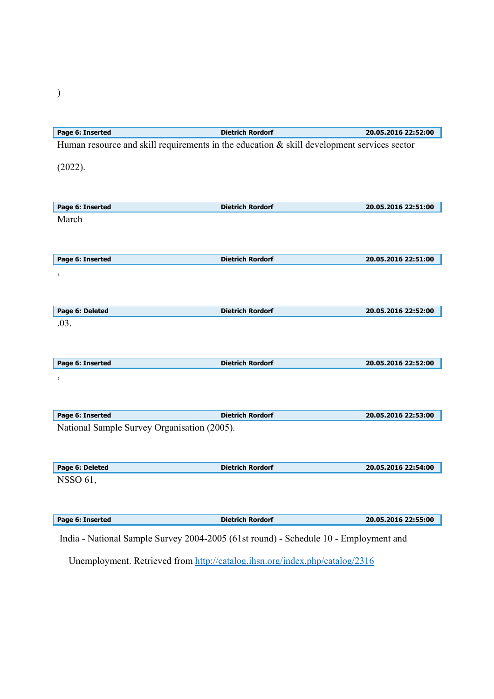| Page 6: Inserted                            | <b>Dietrich Rordorf</b>                                                                    | 20.05.2016 22:52:00 |
|---------------------------------------------|--------------------------------------------------------------------------------------------|---------------------|
|                                             | Human resource and skill requirements in the education & skill development services sector |                     |
|                                             |                                                                                            |                     |
| (2022).                                     |                                                                                            |                     |
|                                             |                                                                                            |                     |
| Page 6: Inserted                            | <b>Dietrich Rordorf</b>                                                                    | 20.05.2016 22:51:00 |
| March                                       |                                                                                            |                     |
|                                             |                                                                                            |                     |
|                                             |                                                                                            |                     |
| Page 6: Inserted                            | <b>Dietrich Rordorf</b>                                                                    | 20.05.2016 22:51:00 |
| $\overline{\phantom{a}}$                    |                                                                                            |                     |
|                                             |                                                                                            |                     |
| Page 6: Deleted                             | <b>Dietrich Rordorf</b>                                                                    | 20.05.2016 22:52:00 |
| .03.                                        |                                                                                            |                     |
|                                             |                                                                                            |                     |
|                                             |                                                                                            |                     |
| Page 6: Inserted                            | <b>Dietrich Rordorf</b>                                                                    | 20.05.2016 22:52:00 |
| ,                                           |                                                                                            |                     |
|                                             |                                                                                            |                     |
| Page 6: Inserted                            | <b>Dietrich Rordorf</b>                                                                    | 20.05.2016 22:53:00 |
| National Sample Survey Organisation (2005). |                                                                                            |                     |
|                                             |                                                                                            |                     |
|                                             |                                                                                            |                     |
| Page 6: Deleted                             | <b>Dietrich Rordorf</b>                                                                    | 20.05.2016 22:54:00 |
| <b>NSSO 61,</b>                             |                                                                                            |                     |
|                                             |                                                                                            |                     |
| Page 6: Inserted                            | <b>Dietrich Rordorf</b>                                                                    | 20.05.2016 22:55:00 |
|                                             |                                                                                            |                     |
|                                             | India - National Sample Survey 2004-2005 (61st round) - Schedule 10 - Employment and       |                     |

Unemployment. Retrieved from http://catalog.ihsn.org/index.php/catalog/2316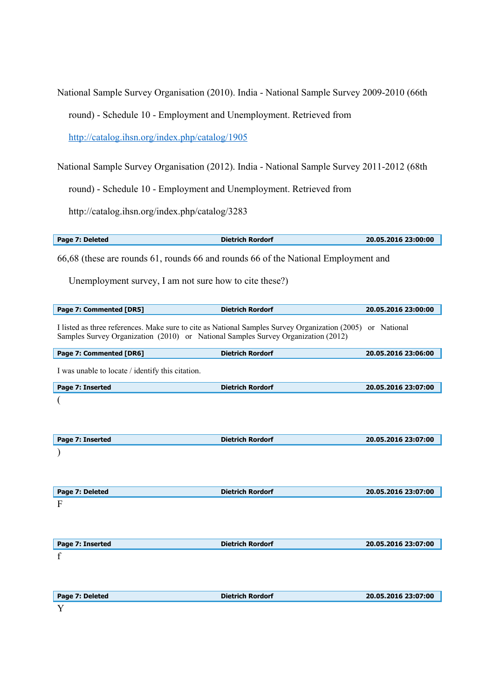National Sample Survey Organisation (2010). India - National Sample Survey 2009-2010 (66th

round) - Schedule 10 - Employment and Unemployment. Retrieved from

http://catalog.ihsn.org/index.php/catalog/1905

National Sample Survey Organisation (2012). India - National Sample Survey 2011-2012 (68th

round) - Schedule 10 - Employment and Unemployment. Retrieved from

http://catalog.ihsn.org/index.php/catalog/3283

| Page 7: Deleted | <b>Dietrich Rordorf</b> | 20.05.2016 23:00:00 |
|-----------------|-------------------------|---------------------|

66,68 (these are rounds 61, rounds 66 and rounds 66 of the National Employment and

Unemployment survey, I am not sure how to cite these?)

| Page 7: Commented [DR5]                                                                                                                                                                         | <b>Dietrich Rordorf</b> | 20.05.2016 23:00:00 |
|-------------------------------------------------------------------------------------------------------------------------------------------------------------------------------------------------|-------------------------|---------------------|
| I listed as three references. Make sure to cite as National Samples Survey Organization (2005) or National<br>Samples Survey Organization (2010) or National Samples Survey Organization (2012) |                         |                     |
| Page 7: Commented [DR6]                                                                                                                                                                         | <b>Dietrich Rordorf</b> | 20.05.2016 23:06:00 |
| I was unable to locate / identify this citation.                                                                                                                                                |                         |                     |
| Page 7: Inserted                                                                                                                                                                                | <b>Dietrich Rordorf</b> | 20.05.2016 23:07:00 |
|                                                                                                                                                                                                 |                         |                     |
| Page 7: Inserted                                                                                                                                                                                | <b>Dietrich Rordorf</b> | 20.05.2016 23:07:00 |
|                                                                                                                                                                                                 |                         |                     |
| Page 7: Deleted                                                                                                                                                                                 | <b>Dietrich Rordorf</b> | 20.05.2016 23:07:00 |
| F                                                                                                                                                                                               |                         |                     |
| Page 7: Inserted                                                                                                                                                                                | <b>Dietrich Rordorf</b> | 20.05.2016 23:07:00 |
| f                                                                                                                                                                                               |                         |                     |
| Page 7: Deleted                                                                                                                                                                                 | <b>Dietrich Rordorf</b> | 20.05.2016 23:07:00 |
| Y                                                                                                                                                                                               |                         |                     |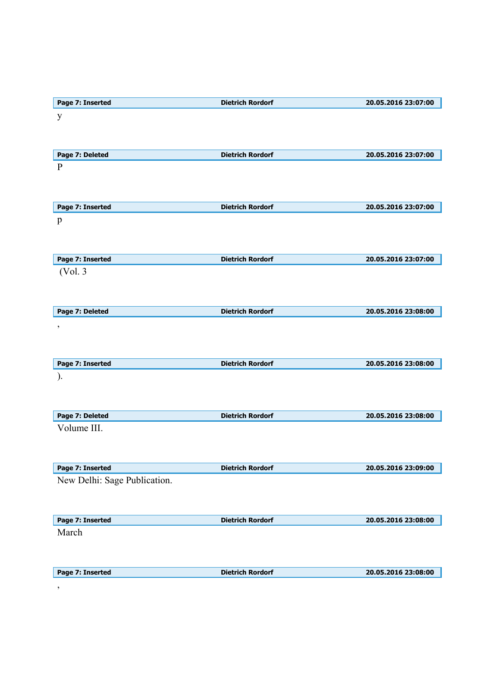| Page 7: Inserted             | <b>Dietrich Rordorf</b> | 20.05.2016 23:07:00 |
|------------------------------|-------------------------|---------------------|
| $\mathbf{y}$                 |                         |                     |
|                              |                         |                     |
|                              |                         |                     |
| Page 7: Deleted              | <b>Dietrich Rordorf</b> | 20.05.2016 23:07:00 |
| $\mathbf{P}$                 |                         |                     |
|                              |                         |                     |
|                              |                         |                     |
| Page 7: Inserted             | <b>Dietrich Rordorf</b> | 20.05.2016 23:07:00 |
| p                            |                         |                     |
|                              |                         |                     |
|                              |                         |                     |
| Page 7: Inserted             | <b>Dietrich Rordorf</b> | 20.05.2016 23:07:00 |
| (Vol. 3)                     |                         |                     |
|                              |                         |                     |
|                              |                         |                     |
| Page 7: Deleted              | <b>Dietrich Rordorf</b> | 20.05.2016 23:08:00 |
| $\,$                         |                         |                     |
|                              |                         |                     |
|                              |                         |                     |
| Page 7: Inserted             | <b>Dietrich Rordorf</b> | 20.05.2016 23:08:00 |
| ).                           |                         |                     |
|                              |                         |                     |
|                              |                         |                     |
| Page 7: Deleted              | <b>Dietrich Rordorf</b> | 20.05.2016 23:08:00 |
| Volume III.                  |                         |                     |
|                              |                         |                     |
|                              |                         |                     |
| Page 7: Inserted             | <b>Dietrich Rordorf</b> | 20.05.2016 23:09:00 |
| New Delhi: Sage Publication. |                         |                     |
|                              |                         |                     |
|                              |                         |                     |
| Page 7: Inserted             | <b>Dietrich Rordorf</b> | 20.05.2016 23:08:00 |
| March                        |                         |                     |
|                              |                         |                     |
|                              |                         |                     |
| Page 7: Inserted             | <b>Dietrich Rordorf</b> | 20.05.2016 23:08:00 |
|                              |                         |                     |
| $\, \, ,$                    |                         |                     |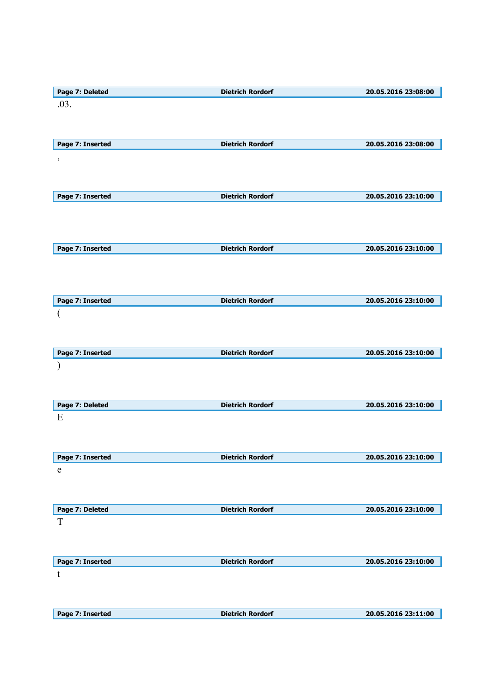| Page 7: Deleted  | <b>Dietrich Rordorf</b> | 20.05.2016 23:08:00 |
|------------------|-------------------------|---------------------|
| .03.             |                         |                     |
|                  |                         |                     |
|                  |                         |                     |
| Page 7: Inserted | <b>Dietrich Rordorf</b> | 20.05.2016 23:08:00 |
|                  |                         |                     |
| $\,$             |                         |                     |
|                  |                         |                     |
|                  |                         |                     |
| Page 7: Inserted | <b>Dietrich Rordorf</b> | 20.05.2016 23:10:00 |
|                  |                         |                     |
|                  |                         |                     |
|                  |                         |                     |
| Page 7: Inserted | <b>Dietrich Rordorf</b> | 20.05.2016 23:10:00 |
|                  |                         |                     |
|                  |                         |                     |
|                  |                         |                     |
|                  |                         |                     |
| Page 7: Inserted | <b>Dietrich Rordorf</b> | 20.05.2016 23:10:00 |
| $\overline{(}$   |                         |                     |
|                  |                         |                     |
|                  |                         |                     |
| Page 7: Inserted | <b>Dietrich Rordorf</b> | 20.05.2016 23:10:00 |
|                  |                         |                     |
|                  |                         |                     |
|                  |                         |                     |
| Page 7: Deleted  | <b>Dietrich Rordorf</b> | 20.05.2016 23:10:00 |
| E                |                         |                     |
|                  |                         |                     |
|                  |                         |                     |
|                  |                         |                     |
| Page 7: Inserted | <b>Dietrich Rordorf</b> | 20.05.2016 23:10:00 |
| e                |                         |                     |
|                  |                         |                     |
|                  |                         |                     |
| Page 7: Deleted  | <b>Dietrich Rordorf</b> | 20.05.2016 23:10:00 |
| T                |                         |                     |
|                  |                         |                     |
|                  |                         |                     |
|                  |                         |                     |
| Page 7: Inserted | <b>Dietrich Rordorf</b> | 20.05.2016 23:10:00 |
| t                |                         |                     |
|                  |                         |                     |
|                  |                         |                     |
| Page 7: Inserted | <b>Dietrich Rordorf</b> | 20.05.2016 23:11:00 |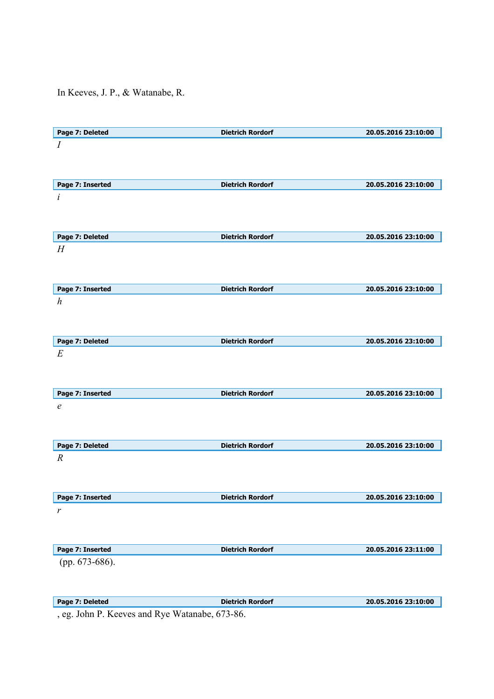In Keeves, J. P., & Watanabe, R.

| Page 7: Deleted  | <b>Dietrich Rordorf</b> | 20.05.2016 23:10:00 |
|------------------|-------------------------|---------------------|
| $\boldsymbol{I}$ |                         |                     |
|                  |                         |                     |
|                  |                         |                     |
|                  |                         |                     |
| Page 7: Inserted | <b>Dietrich Rordorf</b> | 20.05.2016 23:10:00 |
| i                |                         |                     |
|                  |                         |                     |
|                  |                         |                     |
|                  | <b>Dietrich Rordorf</b> | 20.05.2016 23:10:00 |
| Page 7: Deleted  |                         |                     |
| H                |                         |                     |
|                  |                         |                     |
|                  |                         |                     |
| Page 7: Inserted | <b>Dietrich Rordorf</b> | 20.05.2016 23:10:00 |
|                  |                         |                     |
| $\boldsymbol{h}$ |                         |                     |
|                  |                         |                     |
|                  |                         |                     |
| Page 7: Deleted  | <b>Dietrich Rordorf</b> | 20.05.2016 23:10:00 |
| E                |                         |                     |
|                  |                         |                     |
|                  |                         |                     |
|                  |                         |                     |
| Page 7: Inserted | <b>Dietrich Rordorf</b> | 20.05.2016 23:10:00 |
| $\epsilon$       |                         |                     |
|                  |                         |                     |
|                  |                         |                     |
|                  |                         |                     |
| Page 7: Deleted  | <b>Dietrich Rordorf</b> | 20.05.2016 23:10:00 |
| $\boldsymbol{R}$ |                         |                     |
|                  |                         |                     |
|                  |                         |                     |
|                  |                         |                     |
| Page 7: Inserted | <b>Dietrich Rordorf</b> | 20.05.2016 23:10:00 |
| $\boldsymbol{r}$ |                         |                     |
|                  |                         |                     |
|                  |                         |                     |
|                  |                         |                     |
| Page 7: Inserted | <b>Dietrich Rordorf</b> | 20.05.2016 23:11:00 |
| (pp. 673-686).   |                         |                     |
|                  |                         |                     |
|                  |                         |                     |
|                  |                         |                     |
| Page 7: Deleted  | <b>Dietrich Rordorf</b> | 20.05.2016 23:10:00 |

, eg. John P. Keeves and Rye Watanabe, 673-86.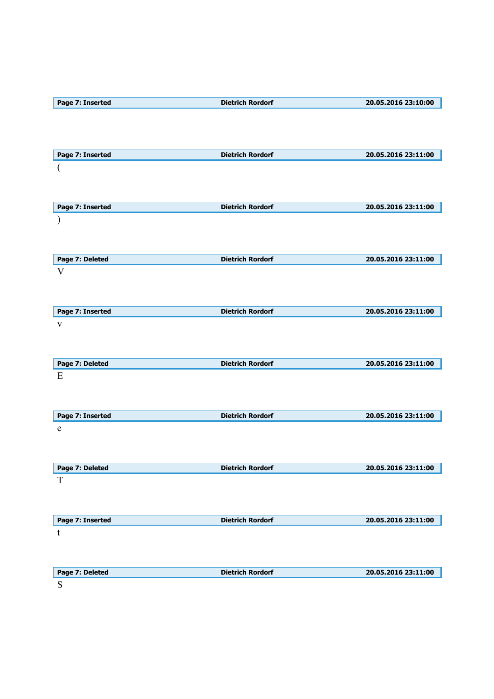| Page 7: Inserted | <b>Dietrich Rordorf</b> | 20.05.2016 23:10:00 |
|------------------|-------------------------|---------------------|
|                  |                         |                     |
|                  |                         |                     |
|                  |                         |                     |
| Page 7: Inserted | <b>Dietrich Rordorf</b> | 20.05.2016 23:11:00 |
| (                |                         |                     |
|                  |                         |                     |
|                  |                         |                     |
| Page 7: Inserted | <b>Dietrich Rordorf</b> | 20.05.2016 23:11:00 |
|                  |                         |                     |
|                  |                         |                     |
|                  |                         |                     |
| Page 7: Deleted  | <b>Dietrich Rordorf</b> | 20.05.2016 23:11:00 |
| V                |                         |                     |
|                  |                         |                     |
|                  |                         |                     |
| Page 7: Inserted | <b>Dietrich Rordorf</b> | 20.05.2016 23:11:00 |
| $\mathbf{V}$     |                         |                     |
|                  |                         |                     |
|                  |                         |                     |
| Page 7: Deleted  | <b>Dietrich Rordorf</b> | 20.05.2016 23:11:00 |
| Ε                |                         |                     |
|                  |                         |                     |
|                  |                         |                     |
| Page 7: Inserted | <b>Dietrich Rordorf</b> | 20.05.2016 23:11:00 |
| e                |                         |                     |
|                  |                         |                     |
|                  |                         |                     |
| Page 7: Deleted  | <b>Dietrich Rordorf</b> | 20.05.2016 23:11:00 |
| T                |                         |                     |
|                  |                         |                     |
|                  |                         |                     |
| Page 7: Inserted | <b>Dietrich Rordorf</b> | 20.05.2016 23:11:00 |
| t                |                         |                     |
|                  |                         |                     |
|                  |                         |                     |
|                  |                         |                     |
| Page 7: Deleted  | <b>Dietrich Rordorf</b> | 20.05.2016 23:11:00 |
| ${\bf S}$        |                         |                     |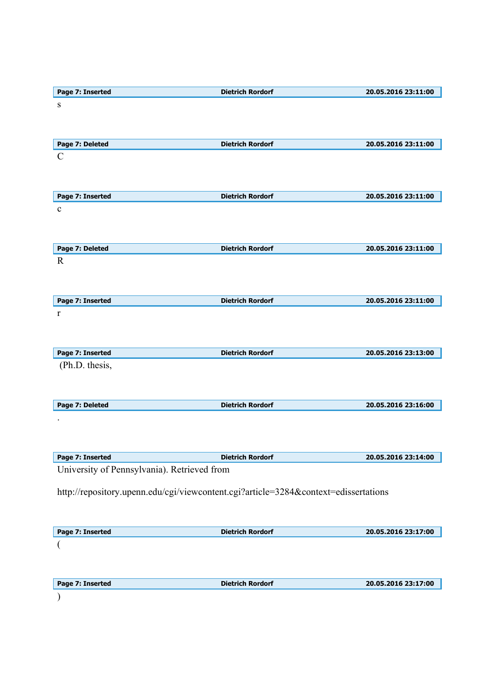| Page 7: Inserted                            | <b>Dietrich Rordorf</b>                                                             | 20.05.2016 23:11:00 |
|---------------------------------------------|-------------------------------------------------------------------------------------|---------------------|
| ${\bf S}$                                   |                                                                                     |                     |
|                                             |                                                                                     |                     |
|                                             |                                                                                     |                     |
| Page 7: Deleted                             | <b>Dietrich Rordorf</b>                                                             | 20.05.2016 23:11:00 |
| $\mathbf C$                                 |                                                                                     |                     |
|                                             |                                                                                     |                     |
|                                             |                                                                                     |                     |
| Page 7: Inserted                            | <b>Dietrich Rordorf</b>                                                             | 20.05.2016 23:11:00 |
| $\mathbf c$                                 |                                                                                     |                     |
|                                             |                                                                                     |                     |
|                                             |                                                                                     |                     |
| Page 7: Deleted                             | <b>Dietrich Rordorf</b>                                                             | 20.05.2016 23:11:00 |
| $\mathbf R$                                 |                                                                                     |                     |
|                                             |                                                                                     |                     |
|                                             |                                                                                     |                     |
| Page 7: Inserted                            | <b>Dietrich Rordorf</b>                                                             | 20.05.2016 23:11:00 |
| r                                           |                                                                                     |                     |
|                                             |                                                                                     |                     |
|                                             |                                                                                     |                     |
| Page 7: Inserted                            | <b>Dietrich Rordorf</b>                                                             | 20.05.2016 23:13:00 |
| (Ph.D. thesis,                              |                                                                                     |                     |
|                                             |                                                                                     |                     |
|                                             |                                                                                     |                     |
| Page 7: Deleted                             | <b>Dietrich Rordorf</b>                                                             | 20.05.2016 23:16:00 |
|                                             |                                                                                     |                     |
|                                             |                                                                                     |                     |
|                                             |                                                                                     |                     |
| Page 7: Inserted                            | <b>Dietrich Rordorf</b>                                                             | 20.05.2016 23:14:00 |
| University of Pennsylvania). Retrieved from |                                                                                     |                     |
|                                             |                                                                                     |                     |
|                                             | http://repository.upenn.edu/cgi/viewcontent.cgi?article=3284&context=edissertations |                     |
|                                             |                                                                                     |                     |
|                                             |                                                                                     |                     |
| Page 7: Inserted                            | <b>Dietrich Rordorf</b>                                                             | 20.05.2016 23:17:00 |
|                                             |                                                                                     |                     |
|                                             |                                                                                     |                     |
|                                             |                                                                                     |                     |
|                                             |                                                                                     |                     |
| Page 7: Inserted                            | <b>Dietrich Rordorf</b>                                                             | 20.05.2016 23:17:00 |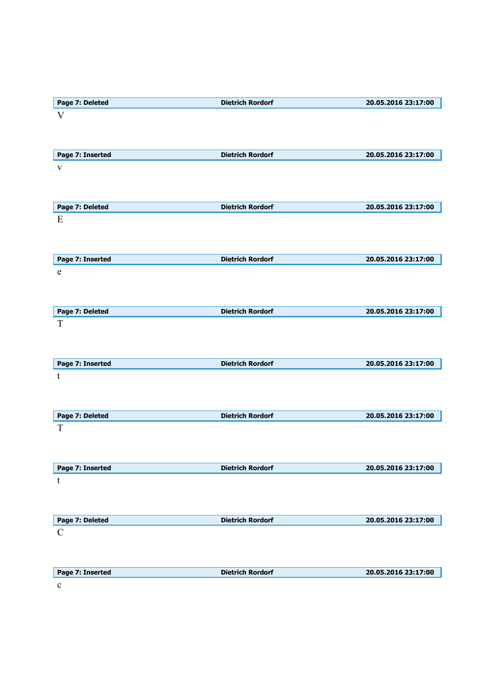| Page 7: Deleted                | <b>Dietrich Rordorf</b> | 20.05.2016 23:17:00 |
|--------------------------------|-------------------------|---------------------|
| V                              |                         |                     |
|                                |                         |                     |
|                                |                         |                     |
| Page 7: Inserted               | <b>Dietrich Rordorf</b> | 20.05.2016 23:17:00 |
| $\mathbf V$                    |                         |                     |
|                                |                         |                     |
|                                |                         |                     |
| Page 7: Deleted                | <b>Dietrich Rordorf</b> | 20.05.2016 23:17:00 |
| E                              |                         |                     |
|                                |                         |                     |
|                                |                         |                     |
|                                |                         | 20.05.2016 23:17:00 |
| Page 7: Inserted               | <b>Dietrich Rordorf</b> |                     |
| e                              |                         |                     |
|                                |                         |                     |
|                                |                         |                     |
| Page 7: Deleted                | <b>Dietrich Rordorf</b> | 20.05.2016 23:17:00 |
| $\mathbf T$                    |                         |                     |
|                                |                         |                     |
|                                |                         |                     |
| Page 7: Inserted               | <b>Dietrich Rordorf</b> | 20.05.2016 23:17:00 |
| t                              |                         |                     |
|                                |                         |                     |
|                                |                         |                     |
| Page 7: Deleted                | <b>Dietrich Rordorf</b> | 20.05.2016 23:17:00 |
| $\mathbf T$                    |                         |                     |
|                                |                         |                     |
|                                |                         |                     |
| Page 7: Inserted               | <b>Dietrich Rordorf</b> | 20.05.2016 23:17:00 |
| t                              |                         |                     |
|                                |                         |                     |
|                                |                         |                     |
|                                | <b>Dietrich Rordorf</b> | 20.05.2016 23:17:00 |
| Page 7: Deleted<br>$\mathbf C$ |                         |                     |
|                                |                         |                     |
|                                |                         |                     |
|                                |                         |                     |
| Page 7: Inserted               | <b>Dietrich Rordorf</b> | 20.05.2016 23:17:00 |
| $\mathbf c$                    |                         |                     |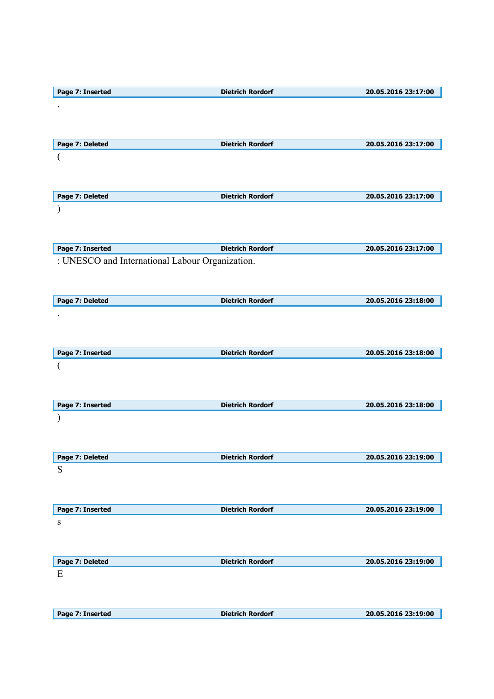| Page 7: Inserted                                | <b>Dietrich Rordorf</b> | 20.05.2016 23:17:00 |
|-------------------------------------------------|-------------------------|---------------------|
|                                                 |                         |                     |
|                                                 |                         |                     |
|                                                 |                         |                     |
|                                                 |                         |                     |
| Page 7: Deleted                                 | <b>Dietrich Rordorf</b> | 20.05.2016 23:17:00 |
|                                                 |                         |                     |
|                                                 |                         |                     |
|                                                 |                         |                     |
| Page 7: Deleted                                 | <b>Dietrich Rordorf</b> | 20.05.2016 23:17:00 |
|                                                 |                         |                     |
|                                                 |                         |                     |
|                                                 |                         |                     |
|                                                 |                         |                     |
| Page 7: Inserted                                | <b>Dietrich Rordorf</b> | 20.05.2016 23:17:00 |
| : UNESCO and International Labour Organization. |                         |                     |
|                                                 |                         |                     |
|                                                 |                         |                     |
|                                                 |                         |                     |
| Page 7: Deleted                                 | <b>Dietrich Rordorf</b> | 20.05.2016 23:18:00 |
|                                                 |                         |                     |
|                                                 |                         |                     |
|                                                 |                         |                     |
|                                                 |                         |                     |
| Page 7: Inserted                                | <b>Dietrich Rordorf</b> | 20.05.2016 23:18:00 |
|                                                 |                         |                     |
|                                                 |                         |                     |
|                                                 |                         |                     |
|                                                 |                         |                     |
|                                                 |                         |                     |
| Page 7: Inserted                                | <b>Dietrich Rordorf</b> | 20.05.2016 23:18:00 |
|                                                 |                         |                     |
|                                                 |                         |                     |
|                                                 |                         |                     |
| Page 7: Deleted                                 | <b>Dietrich Rordorf</b> | 20.05.2016 23:19:00 |
| S                                               |                         |                     |
|                                                 |                         |                     |
|                                                 |                         |                     |
|                                                 |                         |                     |
| Page 7: Inserted                                | <b>Dietrich Rordorf</b> | 20.05.2016 23:19:00 |
| S                                               |                         |                     |
|                                                 |                         |                     |
|                                                 |                         |                     |
|                                                 |                         |                     |
| Page 7: Deleted                                 | <b>Dietrich Rordorf</b> | 20.05.2016 23:19:00 |
| Ε                                               |                         |                     |
|                                                 |                         |                     |
|                                                 |                         |                     |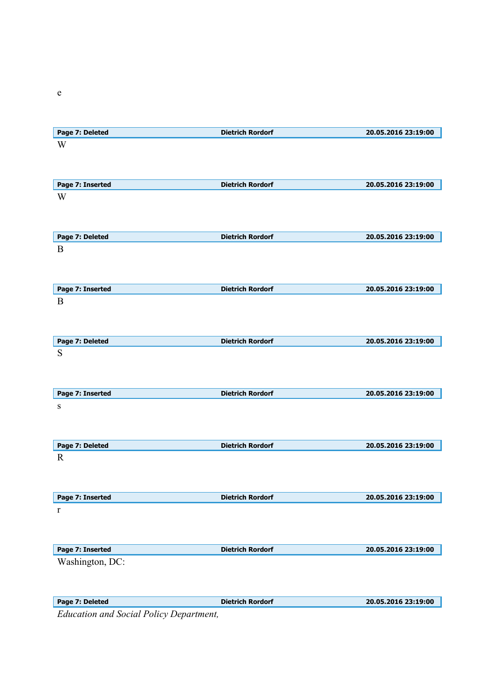| Page 7: Deleted  | <b>Dietrich Rordorf</b> | 20.05.2016 23:19:00 |
|------------------|-------------------------|---------------------|
| W                |                         |                     |
|                  |                         |                     |
|                  |                         |                     |
|                  |                         |                     |
| Page 7: Inserted | <b>Dietrich Rordorf</b> | 20.05.2016 23:19:00 |
| W                |                         |                     |
|                  |                         |                     |
|                  |                         |                     |
|                  |                         |                     |
| Page 7: Deleted  | <b>Dietrich Rordorf</b> | 20.05.2016 23:19:00 |
| $\mathbf{B}$     |                         |                     |
|                  |                         |                     |
|                  |                         |                     |
|                  |                         |                     |
| Page 7: Inserted | <b>Dietrich Rordorf</b> | 20.05.2016 23:19:00 |
| B                |                         |                     |
|                  |                         |                     |
|                  |                         |                     |
|                  |                         | 20.05.2016 23:19:00 |
| Page 7: Deleted  | <b>Dietrich Rordorf</b> |                     |
| ${\bf S}$        |                         |                     |
|                  |                         |                     |
|                  |                         |                     |
| Page 7: Inserted | <b>Dietrich Rordorf</b> | 20.05.2016 23:19:00 |
|                  |                         |                     |
| ${\bf S}$        |                         |                     |
|                  |                         |                     |
|                  |                         |                     |
| Page 7: Deleted  | <b>Dietrich Rordorf</b> | 20.05.2016 23:19:00 |
| $\mathbf R$      |                         |                     |
|                  |                         |                     |
|                  |                         |                     |
|                  |                         |                     |
| Page 7: Inserted | <b>Dietrich Rordorf</b> | 20.05.2016 23:19:00 |
| r                |                         |                     |
|                  |                         |                     |
|                  |                         |                     |
|                  |                         |                     |
| Page 7: Inserted | <b>Dietrich Rordorf</b> | 20.05.2016 23:19:00 |
| Washington, DC:  |                         |                     |
|                  |                         |                     |
|                  |                         |                     |
|                  |                         |                     |
| Page 7: Deleted  | <b>Dietrich Rordorf</b> | 20.05.2016 23:19:00 |

*Education and Social Policy Department,* 

e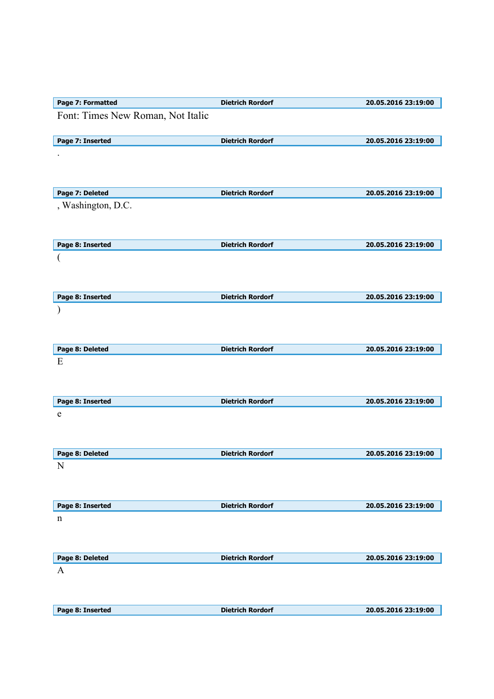| Page 7: Formatted                 | <b>Dietrich Rordorf</b> | 20.05.2016 23:19:00 |
|-----------------------------------|-------------------------|---------------------|
| Font: Times New Roman, Not Italic |                         |                     |
| Page 7: Inserted                  | <b>Dietrich Rordorf</b> | 20.05.2016 23:19:00 |
|                                   |                         |                     |
| Page 7: Deleted                   | <b>Dietrich Rordorf</b> | 20.05.2016 23:19:00 |
| , Washington, D.C.                |                         |                     |
| Page 8: Inserted                  | <b>Dietrich Rordorf</b> | 20.05.2016 23:19:00 |
|                                   |                         |                     |
| Page 8: Inserted                  | <b>Dietrich Rordorf</b> | 20.05.2016 23:19:00 |
|                                   |                         |                     |
| Page 8: Deleted                   | <b>Dietrich Rordorf</b> | 20.05.2016 23:19:00 |
| E                                 |                         |                     |
| Page 8: Inserted                  | <b>Dietrich Rordorf</b> | 20.05.2016 23:19:00 |
| $\mathbf e$                       |                         |                     |
| Page 8: Deleted                   | <b>Dietrich Rordorf</b> | 20.05.2016 23:19:00 |
| N                                 |                         |                     |
| Page 8: Inserted                  | <b>Dietrich Rordorf</b> | 20.05.2016 23:19:00 |
| n                                 |                         |                     |
| Page 8: Deleted                   | <b>Dietrich Rordorf</b> | 20.05.2016 23:19:00 |
| A<br>Page 8: Inserted             | <b>Dietrich Rordorf</b> | 20.05.2016 23:19:00 |
|                                   |                         |                     |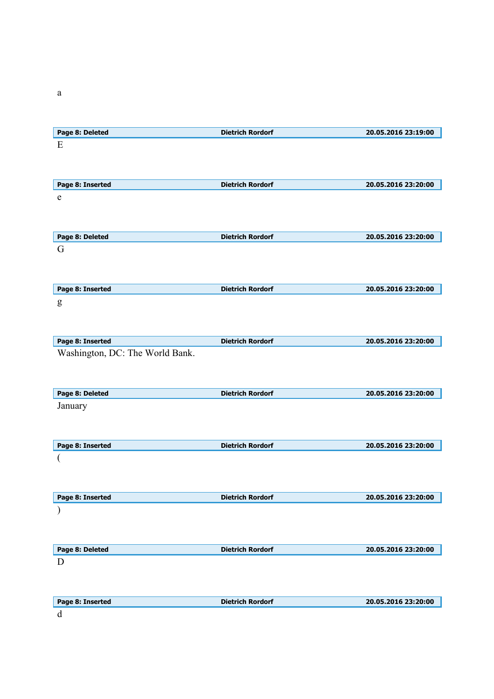| Page 8: Deleted                                     | <b>Dietrich Rordorf</b> | 20.05.2016 23:19:00 |
|-----------------------------------------------------|-------------------------|---------------------|
| E                                                   |                         |                     |
|                                                     |                         |                     |
|                                                     |                         |                     |
| Page 8: Inserted                                    | <b>Dietrich Rordorf</b> | 20.05.2016 23:20:00 |
| e                                                   |                         |                     |
|                                                     |                         |                     |
|                                                     |                         |                     |
| Page 8: Deleted                                     | <b>Dietrich Rordorf</b> | 20.05.2016 23:20:00 |
| G                                                   |                         |                     |
|                                                     |                         |                     |
|                                                     |                         |                     |
| Page 8: Inserted                                    | <b>Dietrich Rordorf</b> | 20.05.2016 23:20:00 |
| g                                                   |                         |                     |
|                                                     |                         |                     |
|                                                     |                         | 20.05.2016 23:20:00 |
| Page 8: Inserted<br>Washington, DC: The World Bank. | <b>Dietrich Rordorf</b> |                     |
|                                                     |                         |                     |
|                                                     |                         |                     |
| Page 8: Deleted                                     | <b>Dietrich Rordorf</b> | 20.05.2016 23:20:00 |
| January                                             |                         |                     |
|                                                     |                         |                     |
|                                                     |                         |                     |
| Page 8: Inserted                                    | <b>Dietrich Rordorf</b> | 20.05.2016 23:20:00 |
|                                                     |                         |                     |
|                                                     |                         |                     |
|                                                     |                         |                     |
| Page 8: Inserted                                    | <b>Dietrich Rordorf</b> | 20.05.2016 23:20:00 |
|                                                     |                         |                     |
|                                                     |                         |                     |
|                                                     |                         |                     |
| Page 8: Deleted                                     |                         |                     |
|                                                     | <b>Dietrich Rordorf</b> | 20.05.2016 23:20:00 |
| D                                                   |                         |                     |
|                                                     |                         |                     |
| Page 8: Inserted                                    | <b>Dietrich Rordorf</b> | 20.05.2016 23:20:00 |

a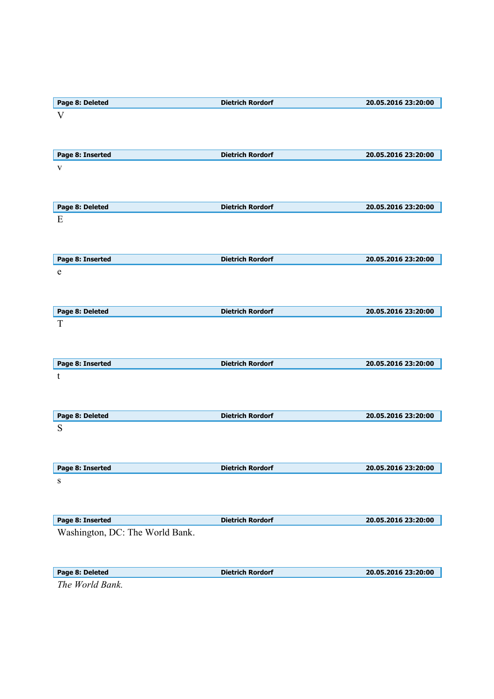| Page 8: Deleted                 | <b>Dietrich Rordorf</b> | 20.05.2016 23:20:00 |
|---------------------------------|-------------------------|---------------------|
| $\mathbf{V}$                    |                         |                     |
|                                 |                         |                     |
|                                 |                         |                     |
| Page 8: Inserted                | <b>Dietrich Rordorf</b> | 20.05.2016 23:20:00 |
| $\mathbf{V}$                    |                         |                     |
|                                 |                         |                     |
|                                 |                         |                     |
| Page 8: Deleted                 | <b>Dietrich Rordorf</b> | 20.05.2016 23:20:00 |
| E                               |                         |                     |
|                                 |                         |                     |
|                                 |                         |                     |
| Page 8: Inserted                | <b>Dietrich Rordorf</b> | 20.05.2016 23:20:00 |
| e                               |                         |                     |
|                                 |                         |                     |
|                                 |                         |                     |
|                                 |                         |                     |
| Page 8: Deleted<br>$\mathbf T$  | <b>Dietrich Rordorf</b> | 20.05.2016 23:20:00 |
|                                 |                         |                     |
|                                 |                         |                     |
|                                 |                         |                     |
| Page 8: Inserted                | <b>Dietrich Rordorf</b> | 20.05.2016 23:20:00 |
| $\mathbf t$                     |                         |                     |
|                                 |                         |                     |
|                                 |                         |                     |
| Page 8: Deleted                 | <b>Dietrich Rordorf</b> | 20.05.2016 23:20:00 |
| S                               |                         |                     |
|                                 |                         |                     |
|                                 |                         |                     |
| Page 8: Inserted                | <b>Dietrich Rordorf</b> | 20.05.2016 23:20:00 |
| ${\bf S}$                       |                         |                     |
|                                 |                         |                     |
|                                 |                         |                     |
| Page 8: Inserted                | <b>Dietrich Rordorf</b> | 20.05.2016 23:20:00 |
| Washington, DC: The World Bank. |                         |                     |
|                                 |                         |                     |
|                                 |                         |                     |
| Page 8: Deleted                 | <b>Dietrich Rordorf</b> | 20.05.2016 23:20:00 |
| The World Bank.                 |                         |                     |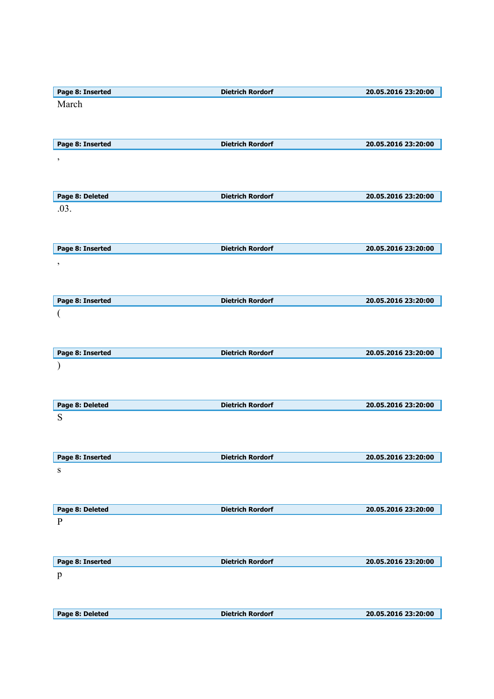| Page 8: Inserted         | <b>Dietrich Rordorf</b> | 20.05.2016 23:20:00 |
|--------------------------|-------------------------|---------------------|
| March                    |                         |                     |
|                          |                         |                     |
|                          |                         |                     |
| Page 8: Inserted         | <b>Dietrich Rordorf</b> | 20.05.2016 23:20:00 |
|                          |                         |                     |
| $\,$                     |                         |                     |
|                          |                         |                     |
|                          |                         |                     |
| Page 8: Deleted          | <b>Dietrich Rordorf</b> | 20.05.2016 23:20:00 |
| .03.                     |                         |                     |
|                          |                         |                     |
|                          |                         |                     |
| Page 8: Inserted         | <b>Dietrich Rordorf</b> | 20.05.2016 23:20:00 |
| $\, ,$                   |                         |                     |
|                          |                         |                     |
|                          |                         |                     |
| Page 8: Inserted         | <b>Dietrich Rordorf</b> | 20.05.2016 23:20:00 |
| $\overline{\mathcal{L}}$ |                         |                     |
|                          |                         |                     |
|                          |                         |                     |
|                          | <b>Dietrich Rordorf</b> |                     |
| Page 8: Inserted         |                         | 20.05.2016 23:20:00 |
|                          |                         |                     |
|                          |                         |                     |
|                          |                         |                     |
| Page 8: Deleted          | <b>Dietrich Rordorf</b> | 20.05.2016 23:20:00 |
| ${\bf S}$                |                         |                     |
|                          |                         |                     |
|                          |                         |                     |
| Page 8: Inserted         | <b>Dietrich Rordorf</b> | 20.05.2016 23:20:00 |
| ${\bf S}$                |                         |                     |
|                          |                         |                     |
|                          |                         |                     |
| Page 8: Deleted          | <b>Dietrich Rordorf</b> | 20.05.2016 23:20:00 |
| $\, {\bf P}$             |                         |                     |
|                          |                         |                     |
|                          |                         |                     |
|                          |                         |                     |
| Page 8: Inserted         | <b>Dietrich Rordorf</b> | 20.05.2016 23:20:00 |
| $\, {\bf p}$             |                         |                     |
|                          |                         |                     |
|                          |                         |                     |
| Page 8: Deleted          | <b>Dietrich Rordorf</b> | 20.05.2016 23:20:00 |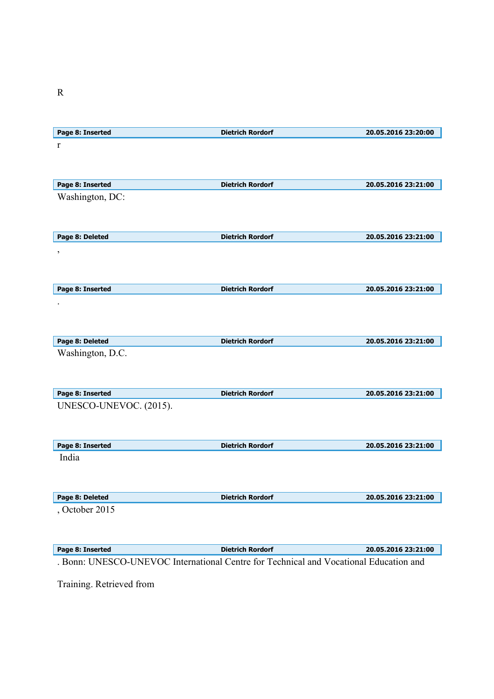| Page 8: Inserted         | <b>Dietrich Rordorf</b> | 20.05.2016 23:20:00 |
|--------------------------|-------------------------|---------------------|
| $\mathbf{r}$             |                         |                     |
|                          |                         |                     |
|                          |                         |                     |
|                          |                         |                     |
| Page 8: Inserted         | <b>Dietrich Rordorf</b> | 20.05.2016 23:21:00 |
| Washington, DC:          |                         |                     |
|                          |                         |                     |
|                          |                         |                     |
| Page 8: Deleted          | <b>Dietrich Rordorf</b> | 20.05.2016 23:21:00 |
| $\overline{\phantom{a}}$ |                         |                     |
|                          |                         |                     |
|                          |                         |                     |
| Page 8: Inserted         | <b>Dietrich Rordorf</b> | 20.05.2016 23:21:00 |
|                          |                         |                     |
|                          |                         |                     |
|                          |                         |                     |
|                          |                         |                     |
| Page 8: Deleted          | <b>Dietrich Rordorf</b> | 20.05.2016 23:21:00 |
| Washington, D.C.         |                         |                     |
|                          |                         |                     |
|                          |                         |                     |
| Page 8: Inserted         | <b>Dietrich Rordorf</b> | 20.05.2016 23:21:00 |
| UNESCO-UNEVOC. (2015).   |                         |                     |
|                          |                         |                     |
|                          |                         |                     |
|                          |                         |                     |
| Page 8: Inserted         | <b>Dietrich Rordorf</b> | 20.05.2016 23:21:00 |
| India                    |                         |                     |
|                          |                         |                     |
|                          |                         |                     |
| Page 8: Deleted          | <b>Dietrich Rordorf</b> | 20.05.2016 23:21:00 |
| , October 2015           |                         |                     |
|                          |                         |                     |
|                          |                         |                     |
|                          |                         |                     |
| Page 8: Inserted         | <b>Dietrich Rordorf</b> | 20.05.2016 23:21:00 |

. Bonn: UNESCO-UNEVOC International Centre for Technical and Vocational Education and

Training. Retrieved from

R